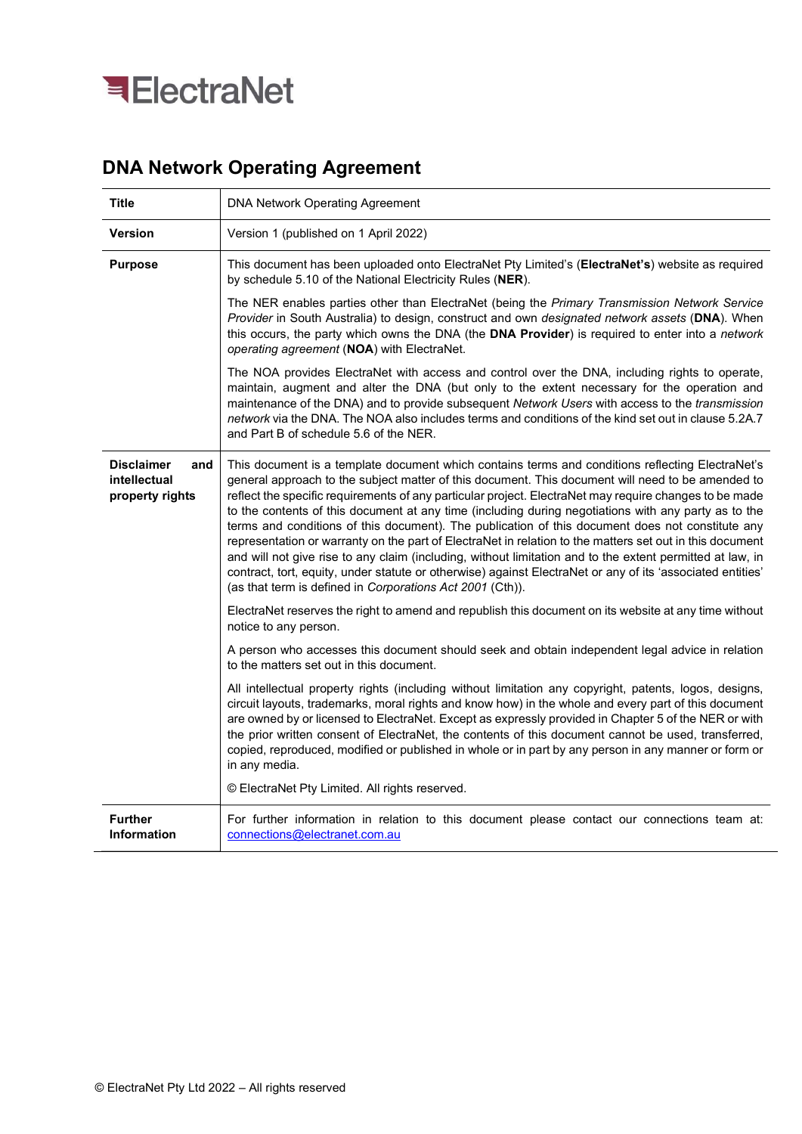

## DNA Network Operating Agreement

| <b>Title</b>                                                                                                                                                                                                                                                                                                                                       | <b>DNA Network Operating Agreement</b>                                                                                                                                                                                                                                                                                                                                                                                                                                                                                                                                                                                                                                                                                                                                                                                                                                                                                          |  |
|----------------------------------------------------------------------------------------------------------------------------------------------------------------------------------------------------------------------------------------------------------------------------------------------------------------------------------------------------|---------------------------------------------------------------------------------------------------------------------------------------------------------------------------------------------------------------------------------------------------------------------------------------------------------------------------------------------------------------------------------------------------------------------------------------------------------------------------------------------------------------------------------------------------------------------------------------------------------------------------------------------------------------------------------------------------------------------------------------------------------------------------------------------------------------------------------------------------------------------------------------------------------------------------------|--|
| <b>Version</b>                                                                                                                                                                                                                                                                                                                                     | Version 1 (published on 1 April 2022)                                                                                                                                                                                                                                                                                                                                                                                                                                                                                                                                                                                                                                                                                                                                                                                                                                                                                           |  |
| <b>Purpose</b>                                                                                                                                                                                                                                                                                                                                     | This document has been uploaded onto ElectraNet Pty Limited's (ElectraNet's) website as required<br>by schedule 5.10 of the National Electricity Rules (NER).                                                                                                                                                                                                                                                                                                                                                                                                                                                                                                                                                                                                                                                                                                                                                                   |  |
| The NER enables parties other than ElectraNet (being the Primary Transmission Network Service<br>Provider in South Australia) to design, construct and own designated network assets (DNA). When<br>this occurs, the party which owns the DNA (the DNA Provider) is required to enter into a network<br>operating agreement (NOA) with ElectraNet. |                                                                                                                                                                                                                                                                                                                                                                                                                                                                                                                                                                                                                                                                                                                                                                                                                                                                                                                                 |  |
|                                                                                                                                                                                                                                                                                                                                                    | The NOA provides ElectraNet with access and control over the DNA, including rights to operate,<br>maintain, augment and alter the DNA (but only to the extent necessary for the operation and<br>maintenance of the DNA) and to provide subsequent Network Users with access to the transmission<br>network via the DNA. The NOA also includes terms and conditions of the kind set out in clause 5.2A.7<br>and Part B of schedule 5.6 of the NER.                                                                                                                                                                                                                                                                                                                                                                                                                                                                              |  |
| <b>Disclaimer</b><br>and<br>intellectual<br>property rights                                                                                                                                                                                                                                                                                        | This document is a template document which contains terms and conditions reflecting ElectraNet's<br>general approach to the subject matter of this document. This document will need to be amended to<br>reflect the specific requirements of any particular project. ElectraNet may require changes to be made<br>to the contents of this document at any time (including during negotiations with any party as to the<br>terms and conditions of this document). The publication of this document does not constitute any<br>representation or warranty on the part of ElectraNet in relation to the matters set out in this document<br>and will not give rise to any claim (including, without limitation and to the extent permitted at law, in<br>contract, tort, equity, under statute or otherwise) against ElectraNet or any of its 'associated entities'<br>(as that term is defined in Corporations Act 2001 (Cth)). |  |
| ElectraNet reserves the right to amend and republish this document on its website at any time without<br>notice to any person.                                                                                                                                                                                                                     |                                                                                                                                                                                                                                                                                                                                                                                                                                                                                                                                                                                                                                                                                                                                                                                                                                                                                                                                 |  |
|                                                                                                                                                                                                                                                                                                                                                    | A person who accesses this document should seek and obtain independent legal advice in relation<br>to the matters set out in this document.                                                                                                                                                                                                                                                                                                                                                                                                                                                                                                                                                                                                                                                                                                                                                                                     |  |
|                                                                                                                                                                                                                                                                                                                                                    | All intellectual property rights (including without limitation any copyright, patents, logos, designs,<br>circuit layouts, trademarks, moral rights and know how) in the whole and every part of this document<br>are owned by or licensed to ElectraNet. Except as expressly provided in Chapter 5 of the NER or with<br>the prior written consent of ElectraNet, the contents of this document cannot be used, transferred,<br>copied, reproduced, modified or published in whole or in part by any person in any manner or form or<br>in any media.<br>© ElectraNet Pty Limited. All rights reserved.                                                                                                                                                                                                                                                                                                                        |  |
| <b>Further</b>                                                                                                                                                                                                                                                                                                                                     | For further information in relation to this document please contact our connections team at:                                                                                                                                                                                                                                                                                                                                                                                                                                                                                                                                                                                                                                                                                                                                                                                                                                    |  |
| <b>Information</b>                                                                                                                                                                                                                                                                                                                                 | connections@electranet.com.au                                                                                                                                                                                                                                                                                                                                                                                                                                                                                                                                                                                                                                                                                                                                                                                                                                                                                                   |  |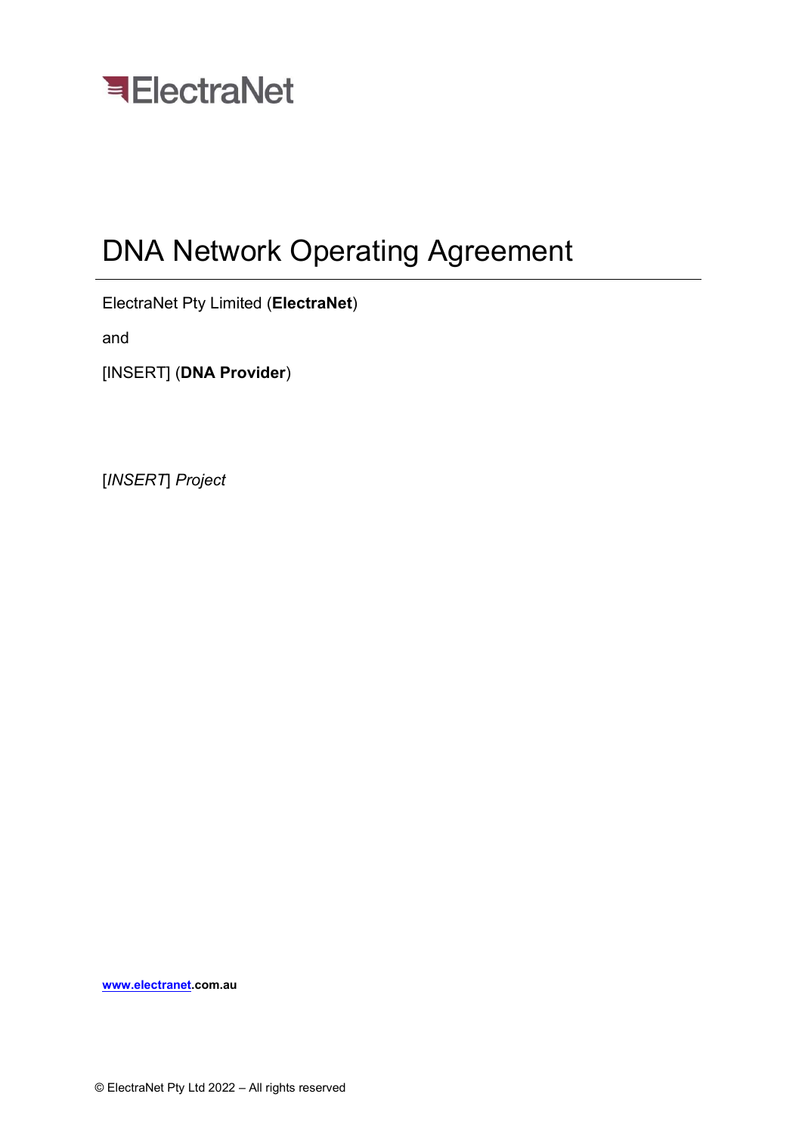

# DNA Network Operating Agreement

ElectraNet Pty Limited (ElectraNet)

and

[INSERT] (DNA Provider)

[INSERT] Project

www.electranet.com.au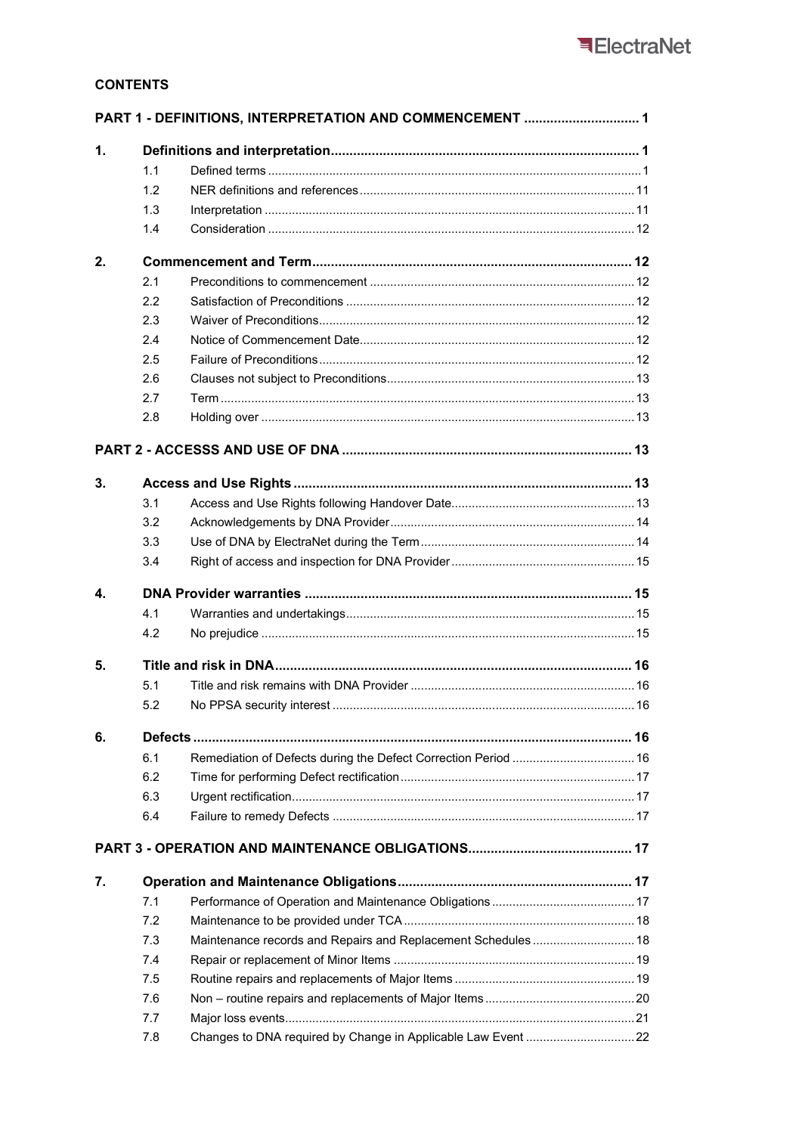## **CONTENTS**

|                |     |                                                                | PART 1 - DEFINITIONS, INTERPRETATION AND COMMENCEMENT  1 |  |
|----------------|-----|----------------------------------------------------------------|----------------------------------------------------------|--|
| $\mathbf{1}$ . |     |                                                                |                                                          |  |
|                | 1.1 |                                                                |                                                          |  |
|                | 1.2 |                                                                |                                                          |  |
|                | 1.3 |                                                                |                                                          |  |
|                | 1.4 |                                                                |                                                          |  |
| 2.             |     |                                                                |                                                          |  |
|                | 2.1 |                                                                |                                                          |  |
|                | 2.2 |                                                                |                                                          |  |
|                | 2.3 |                                                                |                                                          |  |
|                | 2.4 |                                                                |                                                          |  |
|                | 2.5 |                                                                |                                                          |  |
|                | 2.6 |                                                                |                                                          |  |
|                | 2.7 |                                                                |                                                          |  |
|                | 2.8 |                                                                |                                                          |  |
|                |     |                                                                |                                                          |  |
| 3.             |     |                                                                |                                                          |  |
|                | 3.1 |                                                                |                                                          |  |
|                | 3.2 |                                                                |                                                          |  |
|                | 3.3 |                                                                |                                                          |  |
|                | 3.4 |                                                                |                                                          |  |
|                |     |                                                                |                                                          |  |
| 4.             |     |                                                                |                                                          |  |
|                | 4.1 |                                                                |                                                          |  |
|                | 4.2 |                                                                |                                                          |  |
| 5.             |     |                                                                |                                                          |  |
|                | 5.1 |                                                                |                                                          |  |
|                | 5.2 |                                                                |                                                          |  |
| 6.             |     |                                                                |                                                          |  |
|                |     |                                                                |                                                          |  |
|                | 6.1 | Remediation of Defects during the Defect Correction Period  16 |                                                          |  |
|                | 6.2 |                                                                |                                                          |  |
|                | 6.3 |                                                                |                                                          |  |
|                | 6.4 |                                                                |                                                          |  |
|                |     |                                                                |                                                          |  |
| 7.             |     |                                                                |                                                          |  |
|                | 7.1 |                                                                |                                                          |  |
|                | 7.2 |                                                                |                                                          |  |
|                | 7.3 | Maintenance records and Repairs and Replacement Schedules  18  |                                                          |  |
|                | 7.4 |                                                                |                                                          |  |
|                | 7.5 |                                                                |                                                          |  |
|                | 7.6 |                                                                |                                                          |  |
|                | 7.7 |                                                                |                                                          |  |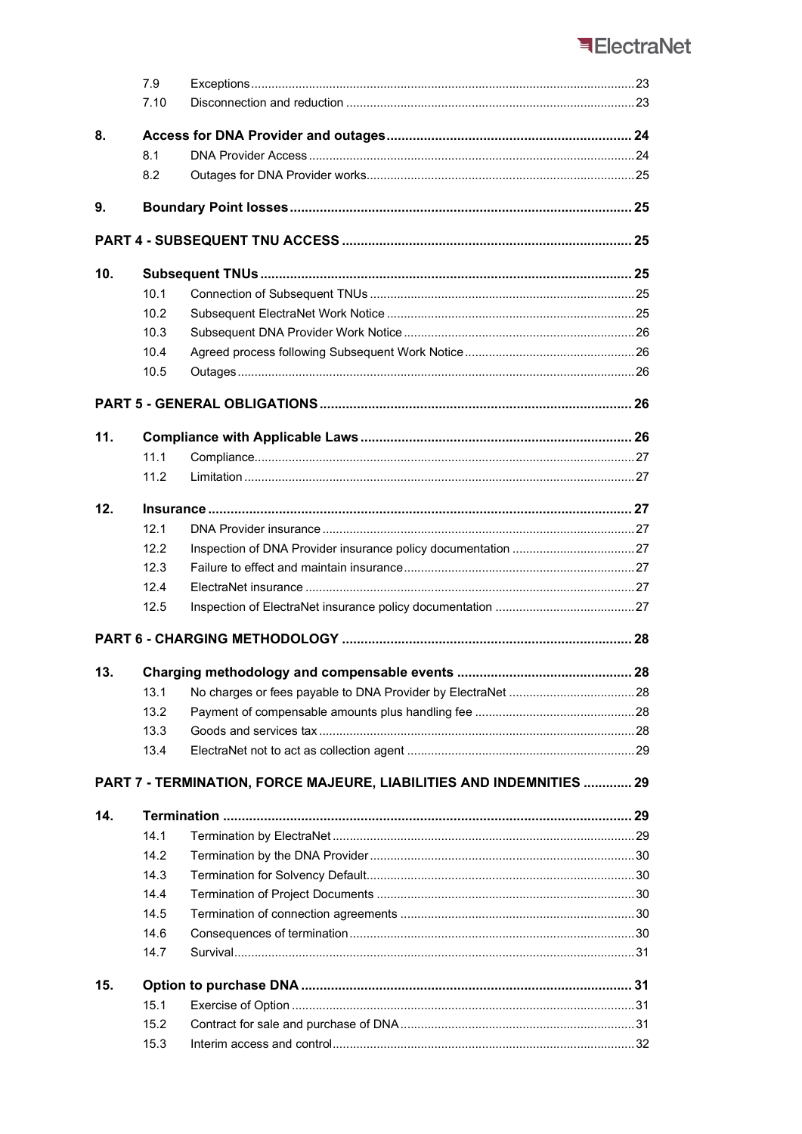## ElectraNet

|     | 7.9  |                                                                      |  |  |
|-----|------|----------------------------------------------------------------------|--|--|
|     | 7.10 |                                                                      |  |  |
| 8.  |      |                                                                      |  |  |
|     | 8.1  |                                                                      |  |  |
|     | 8.2  |                                                                      |  |  |
| 9.  |      |                                                                      |  |  |
|     |      |                                                                      |  |  |
| 10. |      |                                                                      |  |  |
|     | 10.1 |                                                                      |  |  |
|     | 10.2 |                                                                      |  |  |
|     | 10.3 |                                                                      |  |  |
|     | 10.4 |                                                                      |  |  |
|     | 10.5 |                                                                      |  |  |
|     |      |                                                                      |  |  |
| 11. |      |                                                                      |  |  |
|     | 11.1 |                                                                      |  |  |
|     | 11.2 |                                                                      |  |  |
| 12. |      |                                                                      |  |  |
|     | 12.1 |                                                                      |  |  |
|     | 12.2 |                                                                      |  |  |
|     | 12.3 |                                                                      |  |  |
|     | 12.4 |                                                                      |  |  |
|     | 12.5 |                                                                      |  |  |
|     |      |                                                                      |  |  |
| 13. |      |                                                                      |  |  |
|     | 13.1 |                                                                      |  |  |
|     | 13.2 |                                                                      |  |  |
|     | 13.3 |                                                                      |  |  |
|     | 13.4 |                                                                      |  |  |
|     |      | PART 7 - TERMINATION, FORCE MAJEURE, LIABILITIES AND INDEMNITIES  29 |  |  |
| 14. |      |                                                                      |  |  |
|     | 14.1 |                                                                      |  |  |
|     | 14.2 |                                                                      |  |  |
|     | 14.3 |                                                                      |  |  |
|     | 14.4 |                                                                      |  |  |
|     | 14.5 |                                                                      |  |  |
|     | 14.6 |                                                                      |  |  |
|     | 14.7 |                                                                      |  |  |
| 15. |      |                                                                      |  |  |
|     | 15.1 |                                                                      |  |  |
|     | 15.2 |                                                                      |  |  |
|     | 15.3 |                                                                      |  |  |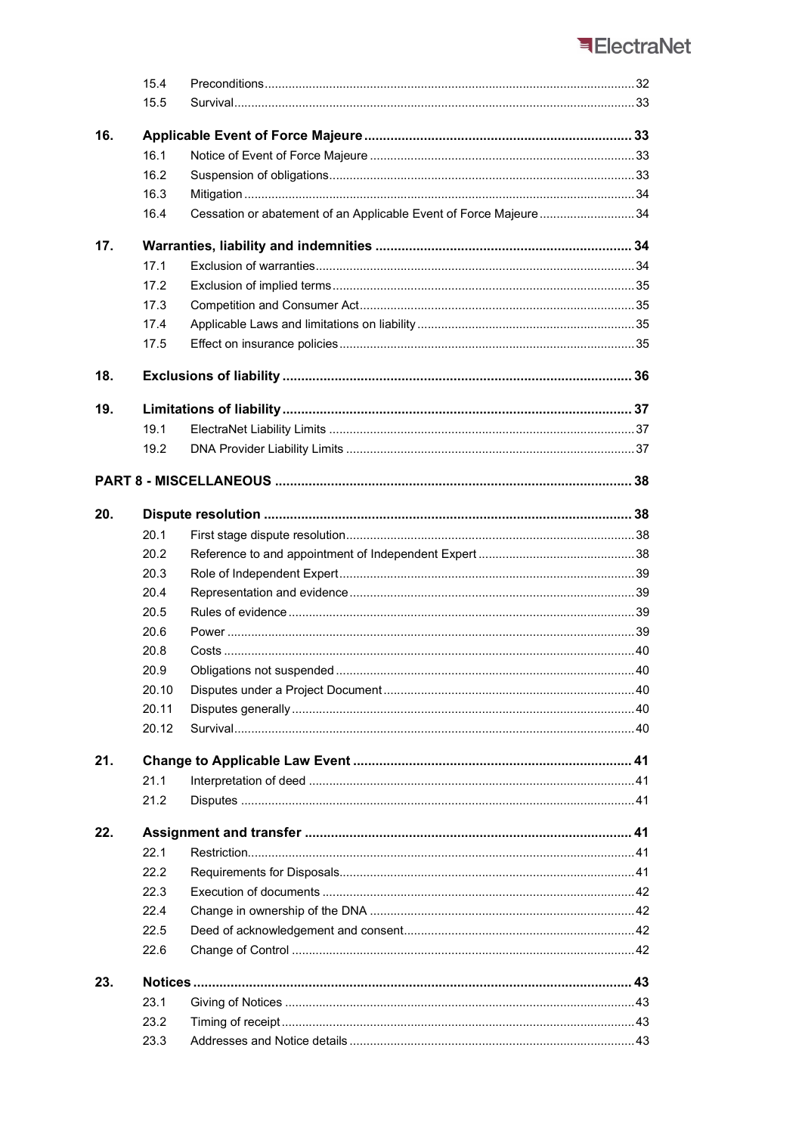## ElectraNet

|     | 15.4  |                                                                  |  |
|-----|-------|------------------------------------------------------------------|--|
|     | 15.5  |                                                                  |  |
|     |       |                                                                  |  |
| 16. | 16.1  |                                                                  |  |
|     | 16.2  |                                                                  |  |
|     | 16.3  |                                                                  |  |
|     |       |                                                                  |  |
|     | 16.4  | Cessation or abatement of an Applicable Event of Force Majeure34 |  |
| 17. |       |                                                                  |  |
|     | 17.1  |                                                                  |  |
|     | 17.2  |                                                                  |  |
|     | 17.3  |                                                                  |  |
|     | 17.4  |                                                                  |  |
|     | 17.5  |                                                                  |  |
| 18. |       |                                                                  |  |
| 19. |       |                                                                  |  |
|     | 19.1  |                                                                  |  |
|     | 19.2  |                                                                  |  |
|     |       |                                                                  |  |
|     |       |                                                                  |  |
| 20. |       |                                                                  |  |
|     | 20.1  |                                                                  |  |
|     | 20.2  |                                                                  |  |
|     | 20.3  |                                                                  |  |
|     | 20.4  |                                                                  |  |
|     | 20.5  |                                                                  |  |
|     | 20.6  |                                                                  |  |
|     | 20.8  |                                                                  |  |
|     | 20.9  |                                                                  |  |
|     | 20.10 |                                                                  |  |
|     | 20.11 |                                                                  |  |
|     | 20.12 |                                                                  |  |
| 21. |       |                                                                  |  |
|     | 21.1  |                                                                  |  |
|     | 21.2  |                                                                  |  |
|     |       |                                                                  |  |
| 22. |       |                                                                  |  |
|     | 22.1  |                                                                  |  |
|     | 22.2  |                                                                  |  |
|     | 22.3  |                                                                  |  |
|     | 22.4  |                                                                  |  |
|     | 22.5  |                                                                  |  |
|     | 22.6  |                                                                  |  |
| 23. |       |                                                                  |  |
|     | 23.1  |                                                                  |  |
|     | 23.2  |                                                                  |  |
|     | 23.3  |                                                                  |  |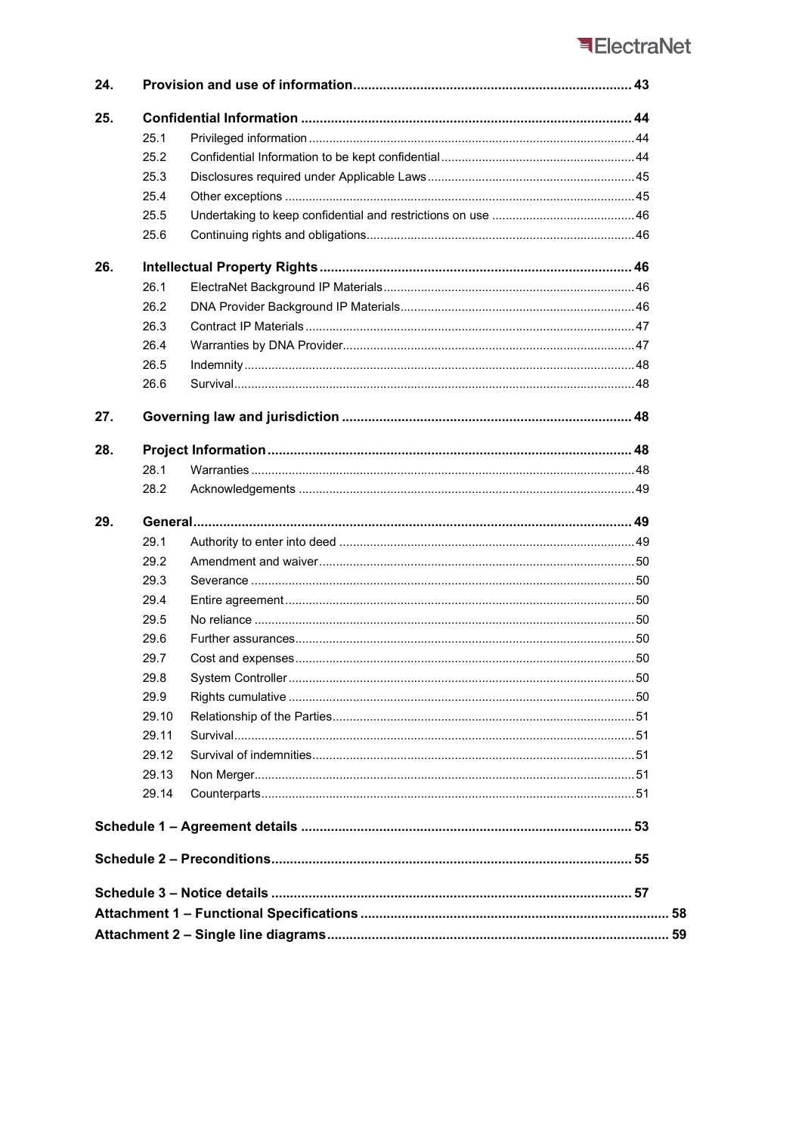## ElectraNet

| 24. |       |  |  |
|-----|-------|--|--|
| 25. |       |  |  |
|     | 25.1  |  |  |
|     | 25.2  |  |  |
|     | 25.3  |  |  |
|     | 25.4  |  |  |
|     | 25.5  |  |  |
|     | 25.6  |  |  |
| 26. |       |  |  |
|     | 26.1  |  |  |
|     | 26.2  |  |  |
|     | 26.3  |  |  |
|     | 26.4  |  |  |
|     | 26.5  |  |  |
|     | 26.6  |  |  |
| 27. |       |  |  |
| 28. |       |  |  |
|     | 28.1  |  |  |
|     | 28.2  |  |  |
| 29. |       |  |  |
|     | 29.1  |  |  |
|     | 29.2  |  |  |
|     | 29.3  |  |  |
|     | 29.4  |  |  |
|     | 29.5  |  |  |
|     | 29.6  |  |  |
|     | 29.7  |  |  |
|     | 29.8  |  |  |
|     | 29.9  |  |  |
|     | 29.10 |  |  |
|     | 29.11 |  |  |
|     | 29.12 |  |  |
|     | 29.13 |  |  |
|     | 29.14 |  |  |
|     |       |  |  |
|     |       |  |  |
|     |       |  |  |
|     |       |  |  |
|     |       |  |  |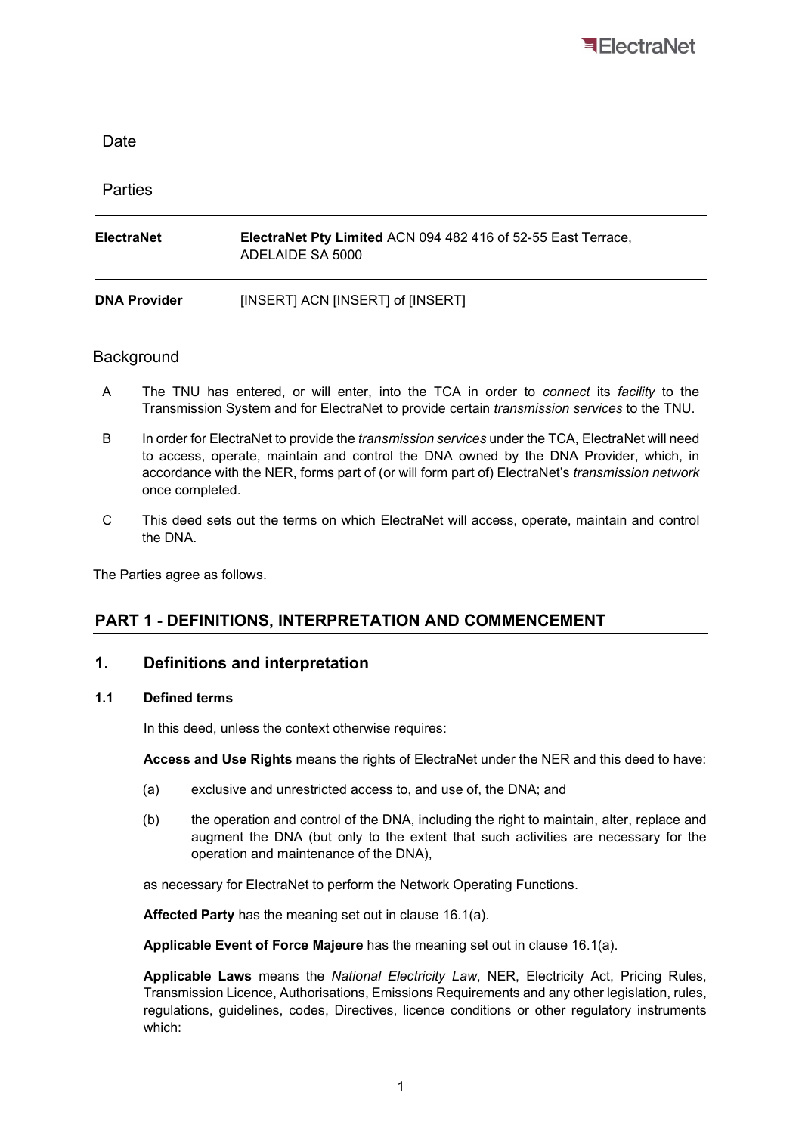

| Date                |                                                                                          |
|---------------------|------------------------------------------------------------------------------------------|
| <b>Parties</b>      |                                                                                          |
| ElectraNet          | <b>ElectraNet Pty Limited ACN 094 482 416 of 52-55 East Terrace,</b><br>ADELAIDE SA 5000 |
| <b>DNA Provider</b> | [INSERT] ACN [INSERT] of [INSERT]                                                        |

## **Background**

- A The TNU has entered, or will enter, into the TCA in order to *connect* its *facility* to the Transmission System and for ElectraNet to provide certain transmission services to the TNU.
- B In order for ElectraNet to provide the *transmission services* under the TCA, ElectraNet will need to access, operate, maintain and control the DNA owned by the DNA Provider, which, in accordance with the NER, forms part of (or will form part of) ElectraNet's transmission network once completed.
- C This deed sets out the terms on which ElectraNet will access, operate, maintain and control the DNA.

The Parties agree as follows.

## PART 1 - DEFINITIONS, INTERPRETATION AND COMMENCEMENT

#### 1. Definitions and interpretation

#### 1.1 Defined terms

In this deed, unless the context otherwise requires:

Access and Use Rights means the rights of ElectraNet under the NER and this deed to have:

- (a) exclusive and unrestricted access to, and use of, the DNA; and
- (b) the operation and control of the DNA, including the right to maintain, alter, replace and augment the DNA (but only to the extent that such activities are necessary for the operation and maintenance of the DNA),

as necessary for ElectraNet to perform the Network Operating Functions.

Affected Party has the meaning set out in clause 16.1(a).

Applicable Event of Force Majeure has the meaning set out in clause 16.1(a).

Applicable Laws means the National Electricity Law, NER, Electricity Act, Pricing Rules, Transmission Licence, Authorisations, Emissions Requirements and any other legislation, rules, regulations, guidelines, codes, Directives, licence conditions or other regulatory instruments which: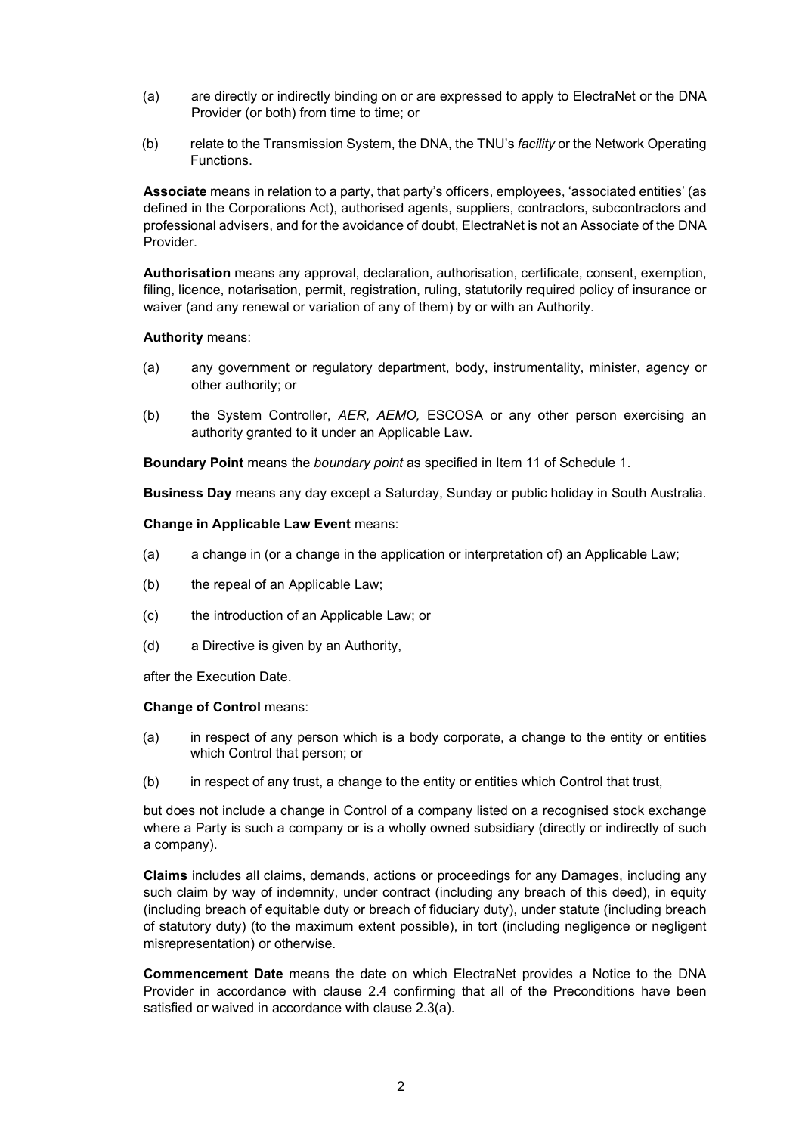- (a) are directly or indirectly binding on or are expressed to apply to ElectraNet or the DNA Provider (or both) from time to time; or
- (b) relate to the Transmission System, the DNA, the TNU's *facility* or the Network Operating Functions.

Associate means in relation to a party, that party's officers, employees, 'associated entities' (as defined in the Corporations Act), authorised agents, suppliers, contractors, subcontractors and professional advisers, and for the avoidance of doubt, ElectraNet is not an Associate of the DNA Provider.

Authorisation means any approval, declaration, authorisation, certificate, consent, exemption, filing, licence, notarisation, permit, registration, ruling, statutorily required policy of insurance or waiver (and any renewal or variation of any of them) by or with an Authority.

#### Authority means:

- (a) any government or regulatory department, body, instrumentality, minister, agency or other authority; or
- (b) the System Controller, AER, AEMO, ESCOSA or any other person exercising an authority granted to it under an Applicable Law.

Boundary Point means the boundary point as specified in Item 11 of Schedule 1.

Business Day means any day except a Saturday, Sunday or public holiday in South Australia.

Change in Applicable Law Event means:

- (a) a change in (or a change in the application or interpretation of) an Applicable Law;
- (b) the repeal of an Applicable Law;
- (c) the introduction of an Applicable Law; or
- (d) a Directive is given by an Authority,

after the Execution Date.

#### Change of Control means:

- (a) in respect of any person which is a body corporate, a change to the entity or entities which Control that person; or
- (b) in respect of any trust, a change to the entity or entities which Control that trust,

but does not include a change in Control of a company listed on a recognised stock exchange where a Party is such a company or is a wholly owned subsidiary (directly or indirectly of such a company).

Claims includes all claims, demands, actions or proceedings for any Damages, including any such claim by way of indemnity, under contract (including any breach of this deed), in equity (including breach of equitable duty or breach of fiduciary duty), under statute (including breach of statutory duty) (to the maximum extent possible), in tort (including negligence or negligent misrepresentation) or otherwise.

Commencement Date means the date on which ElectraNet provides a Notice to the DNA Provider in accordance with clause 2.4 confirming that all of the Preconditions have been satisfied or waived in accordance with clause 2.3(a).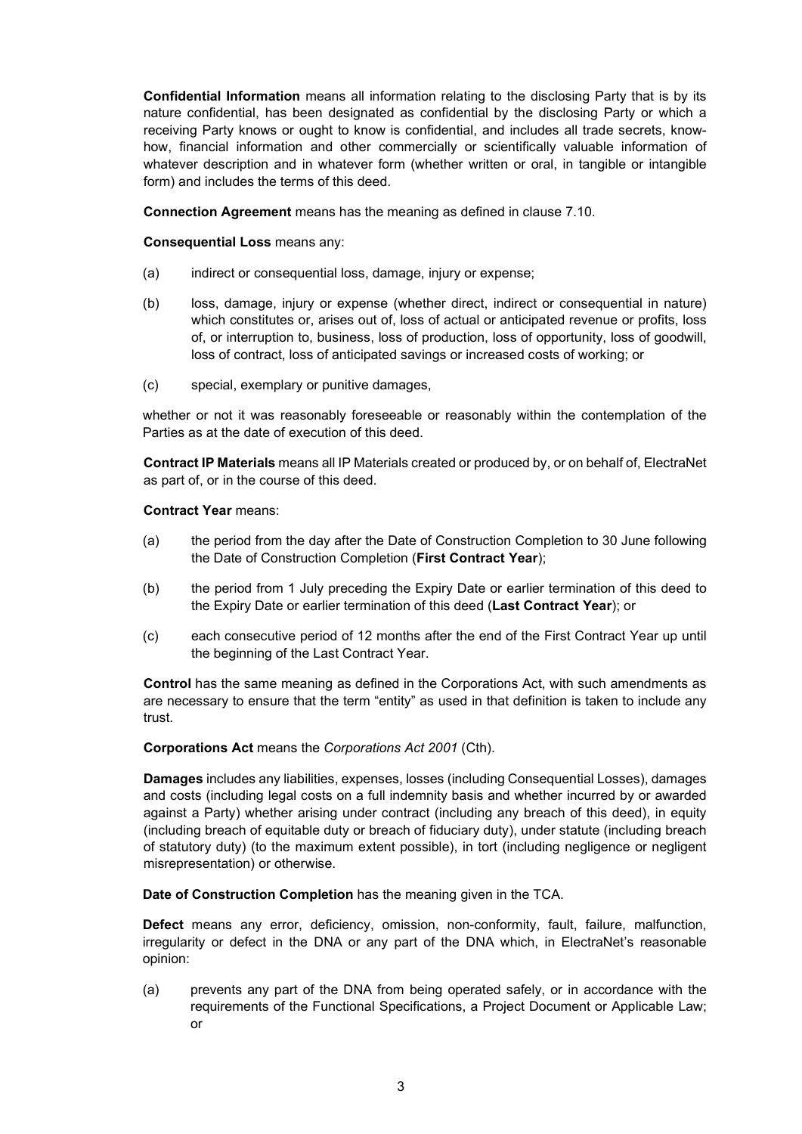Confidential Information means all information relating to the disclosing Party that is by its nature confidential, has been designated as confidential by the disclosing Party or which a receiving Party knows or ought to know is confidential, and includes all trade secrets, knowhow, financial information and other commercially or scientifically valuable information of whatever description and in whatever form (whether written or oral, in tangible or intangible form) and includes the terms of this deed.

Connection Agreement means has the meaning as defined in clause 7.10.

#### Consequential Loss means any:

- (a) indirect or consequential loss, damage, injury or expense;
- (b) loss, damage, injury or expense (whether direct, indirect or consequential in nature) which constitutes or, arises out of, loss of actual or anticipated revenue or profits, loss of, or interruption to, business, loss of production, loss of opportunity, loss of goodwill, loss of contract, loss of anticipated savings or increased costs of working; or
- (c) special, exemplary or punitive damages,

whether or not it was reasonably foreseeable or reasonably within the contemplation of the Parties as at the date of execution of this deed.

Contract IP Materials means all IP Materials created or produced by, or on behalf of, ElectraNet as part of, or in the course of this deed.

#### Contract Year means:

- (a) the period from the day after the Date of Construction Completion to 30 June following the Date of Construction Completion (First Contract Year);
- (b) the period from 1 July preceding the Expiry Date or earlier termination of this deed to the Expiry Date or earlier termination of this deed (Last Contract Year); or
- (c) each consecutive period of 12 months after the end of the First Contract Year up until the beginning of the Last Contract Year.

Control has the same meaning as defined in the Corporations Act, with such amendments as are necessary to ensure that the term "entity" as used in that definition is taken to include any trust.

Corporations Act means the Corporations Act 2001 (Cth).

Damages includes any liabilities, expenses, losses (including Consequential Losses), damages and costs (including legal costs on a full indemnity basis and whether incurred by or awarded against a Party) whether arising under contract (including any breach of this deed), in equity (including breach of equitable duty or breach of fiduciary duty), under statute (including breach of statutory duty) (to the maximum extent possible), in tort (including negligence or negligent misrepresentation) or otherwise.

Date of Construction Completion has the meaning given in the TCA.

Defect means any error, deficiency, omission, non-conformity, fault, failure, malfunction, irregularity or defect in the DNA or any part of the DNA which, in ElectraNet's reasonable opinion:

(a) prevents any part of the DNA from being operated safely, or in accordance with the requirements of the Functional Specifications, a Project Document or Applicable Law; or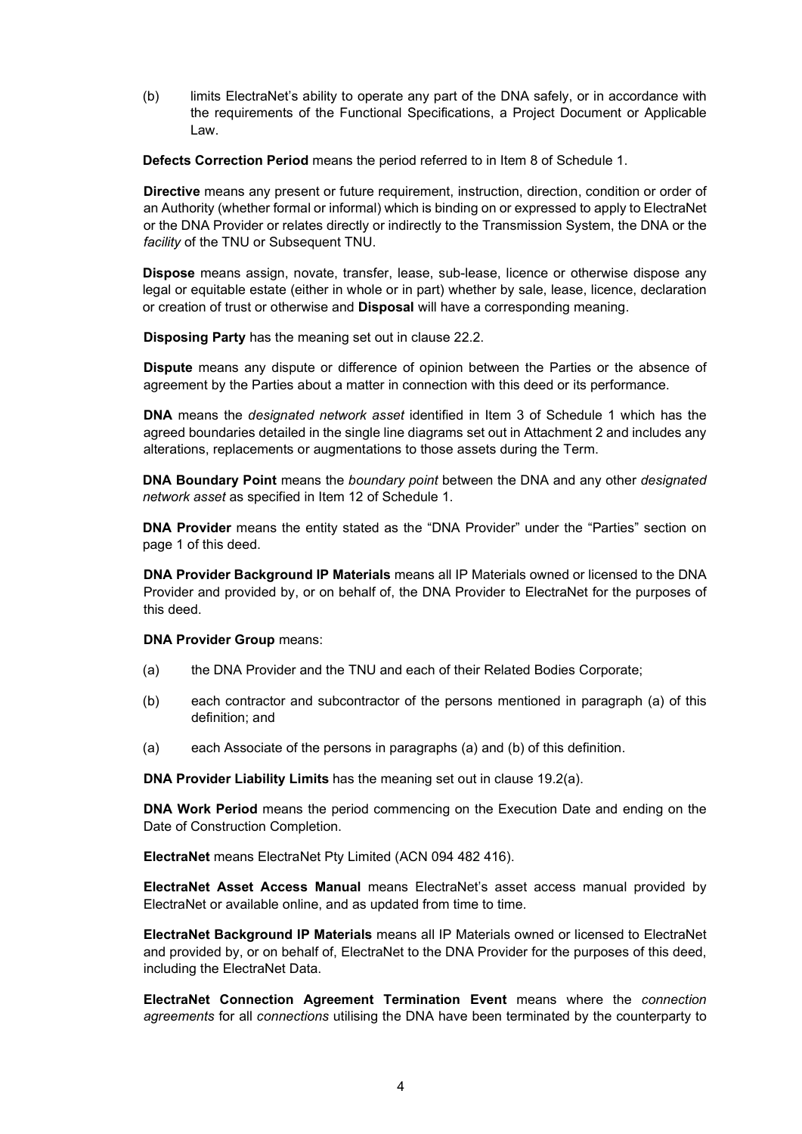(b) limits ElectraNet's ability to operate any part of the DNA safely, or in accordance with the requirements of the Functional Specifications, a Project Document or Applicable Law.

Defects Correction Period means the period referred to in Item 8 of Schedule 1.

Directive means any present or future requirement, instruction, direction, condition or order of an Authority (whether formal or informal) which is binding on or expressed to apply to ElectraNet or the DNA Provider or relates directly or indirectly to the Transmission System, the DNA or the facility of the TNU or Subsequent TNU.

Dispose means assign, novate, transfer, lease, sub-lease, licence or otherwise dispose any legal or equitable estate (either in whole or in part) whether by sale, lease, licence, declaration or creation of trust or otherwise and Disposal will have a corresponding meaning.

Disposing Party has the meaning set out in clause 22.2.

Dispute means any dispute or difference of opinion between the Parties or the absence of agreement by the Parties about a matter in connection with this deed or its performance.

DNA means the designated network asset identified in Item 3 of Schedule 1 which has the agreed boundaries detailed in the single line diagrams set out in Attachment 2 and includes any alterations, replacements or augmentations to those assets during the Term.

**DNA Boundary Point** means the *boundary point* between the DNA and any other *designated* network asset as specified in Item 12 of Schedule 1.

DNA Provider means the entity stated as the "DNA Provider" under the "Parties" section on page 1 of this deed.

DNA Provider Background IP Materials means all IP Materials owned or licensed to the DNA Provider and provided by, or on behalf of, the DNA Provider to ElectraNet for the purposes of this deed.

DNA Provider Group means:

- (a) the DNA Provider and the TNU and each of their Related Bodies Corporate;
- (b) each contractor and subcontractor of the persons mentioned in paragraph (a) of this definition; and
- (a) each Associate of the persons in paragraphs (a) and (b) of this definition.

DNA Provider Liability Limits has the meaning set out in clause 19.2(a).

DNA Work Period means the period commencing on the Execution Date and ending on the Date of Construction Completion.

ElectraNet means ElectraNet Pty Limited (ACN 094 482 416).

ElectraNet Asset Access Manual means ElectraNet's asset access manual provided by ElectraNet or available online, and as updated from time to time.

ElectraNet Background IP Materials means all IP Materials owned or licensed to ElectraNet and provided by, or on behalf of, ElectraNet to the DNA Provider for the purposes of this deed, including the ElectraNet Data.

ElectraNet Connection Agreement Termination Event means where the connection agreements for all connections utilising the DNA have been terminated by the counterparty to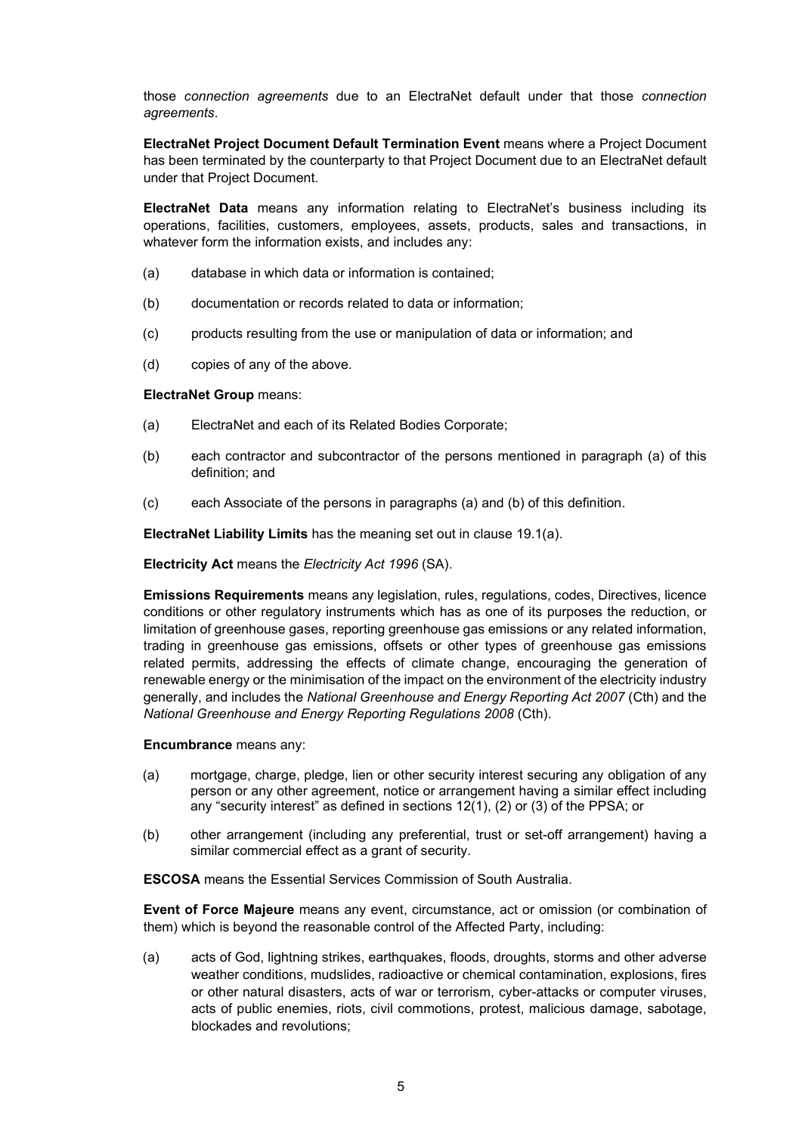those connection agreements due to an ElectraNet default under that those connection agreements.

ElectraNet Project Document Default Termination Event means where a Project Document has been terminated by the counterparty to that Project Document due to an ElectraNet default under that Project Document.

ElectraNet Data means any information relating to ElectraNet's business including its operations, facilities, customers, employees, assets, products, sales and transactions, in whatever form the information exists, and includes any:

- (a) database in which data or information is contained;
- (b) documentation or records related to data or information;
- (c) products resulting from the use or manipulation of data or information; and
- (d) copies of any of the above.

#### ElectraNet Group means:

- (a) ElectraNet and each of its Related Bodies Corporate;
- (b) each contractor and subcontractor of the persons mentioned in paragraph (a) of this definition; and
- (c) each Associate of the persons in paragraphs (a) and (b) of this definition.

ElectraNet Liability Limits has the meaning set out in clause 19.1(a).

Electricity Act means the Electricity Act 1996 (SA).

Emissions Requirements means any legislation, rules, regulations, codes, Directives, licence conditions or other regulatory instruments which has as one of its purposes the reduction, or limitation of greenhouse gases, reporting greenhouse gas emissions or any related information, trading in greenhouse gas emissions, offsets or other types of greenhouse gas emissions related permits, addressing the effects of climate change, encouraging the generation of renewable energy or the minimisation of the impact on the environment of the electricity industry generally, and includes the National Greenhouse and Energy Reporting Act 2007 (Cth) and the National Greenhouse and Energy Reporting Regulations 2008 (Cth).

Encumbrance means any:

- (a) mortgage, charge, pledge, lien or other security interest securing any obligation of any person or any other agreement, notice or arrangement having a similar effect including any "security interest" as defined in sections 12(1), (2) or (3) of the PPSA; or
- (b) other arrangement (including any preferential, trust or set-off arrangement) having a similar commercial effect as a grant of security.

ESCOSA means the Essential Services Commission of South Australia.

Event of Force Majeure means any event, circumstance, act or omission (or combination of them) which is beyond the reasonable control of the Affected Party, including:

(a) acts of God, lightning strikes, earthquakes, floods, droughts, storms and other adverse weather conditions, mudslides, radioactive or chemical contamination, explosions, fires or other natural disasters, acts of war or terrorism, cyber-attacks or computer viruses, acts of public enemies, riots, civil commotions, protest, malicious damage, sabotage, blockades and revolutions;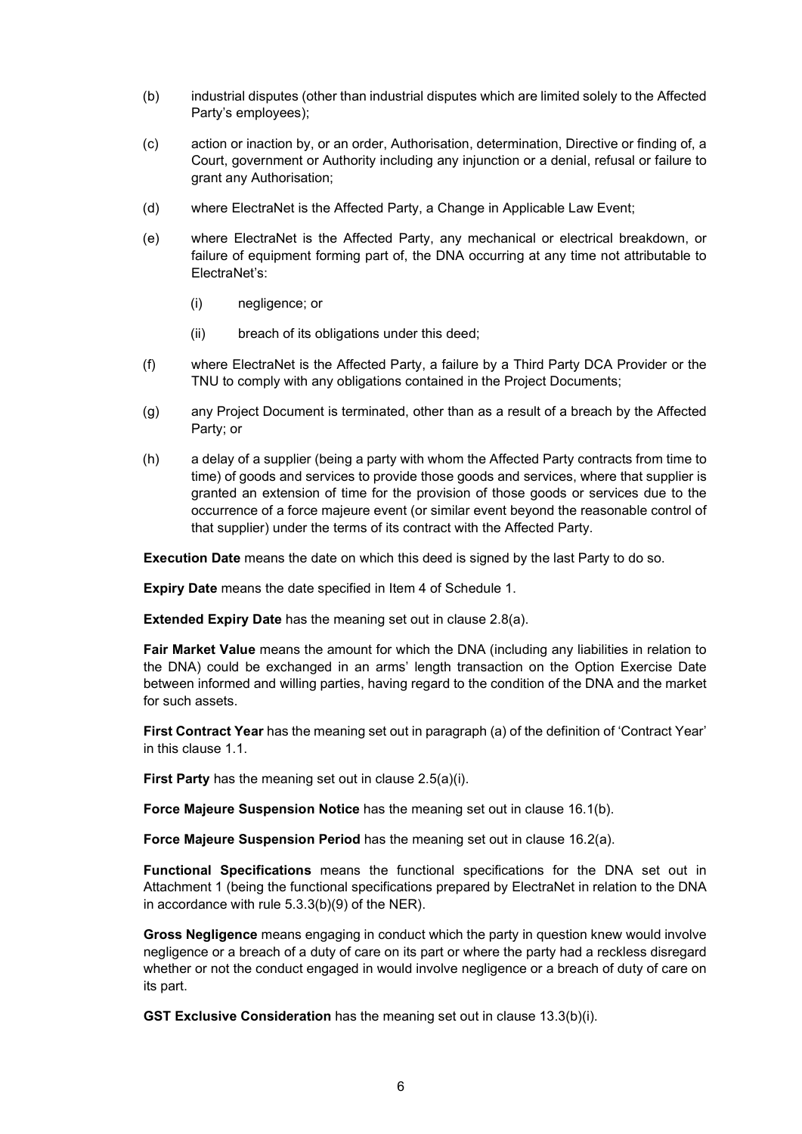- (b) industrial disputes (other than industrial disputes which are limited solely to the Affected Party's employees);
- (c) action or inaction by, or an order, Authorisation, determination, Directive or finding of, a Court, government or Authority including any injunction or a denial, refusal or failure to grant any Authorisation;
- (d) where ElectraNet is the Affected Party, a Change in Applicable Law Event;
- (e) where ElectraNet is the Affected Party, any mechanical or electrical breakdown, or failure of equipment forming part of, the DNA occurring at any time not attributable to ElectraNet's:
	- (i) negligence; or
	- (ii) breach of its obligations under this deed;
- (f) where ElectraNet is the Affected Party, a failure by a Third Party DCA Provider or the TNU to comply with any obligations contained in the Project Documents;
- (g) any Project Document is terminated, other than as a result of a breach by the Affected Party; or
- (h) a delay of a supplier (being a party with whom the Affected Party contracts from time to time) of goods and services to provide those goods and services, where that supplier is granted an extension of time for the provision of those goods or services due to the occurrence of a force majeure event (or similar event beyond the reasonable control of that supplier) under the terms of its contract with the Affected Party.

Execution Date means the date on which this deed is signed by the last Party to do so.

Expiry Date means the date specified in Item 4 of Schedule 1.

**Extended Expiry Date** has the meaning set out in clause 2.8(a).

Fair Market Value means the amount for which the DNA (including any liabilities in relation to the DNA) could be exchanged in an arms' length transaction on the Option Exercise Date between informed and willing parties, having regard to the condition of the DNA and the market for such assets.

First Contract Year has the meaning set out in paragraph (a) of the definition of 'Contract Year' in this clause 1.1.

First Party has the meaning set out in clause 2.5(a)(i).

Force Majeure Suspension Notice has the meaning set out in clause 16.1(b).

Force Majeure Suspension Period has the meaning set out in clause 16.2(a).

Functional Specifications means the functional specifications for the DNA set out in Attachment 1 (being the functional specifications prepared by ElectraNet in relation to the DNA in accordance with rule 5.3.3(b)(9) of the NER).

Gross Negligence means engaging in conduct which the party in question knew would involve negligence or a breach of a duty of care on its part or where the party had a reckless disregard whether or not the conduct engaged in would involve negligence or a breach of duty of care on its part.

GST Exclusive Consideration has the meaning set out in clause 13.3(b)(i).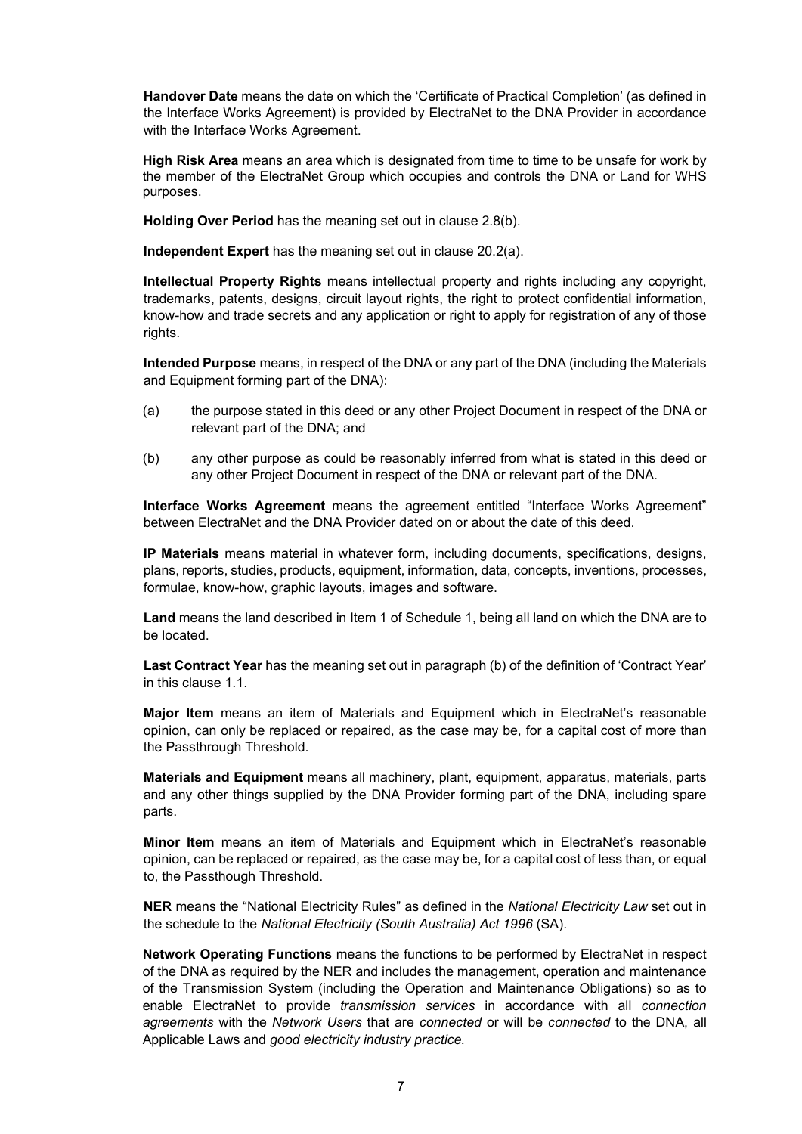Handover Date means the date on which the 'Certificate of Practical Completion' (as defined in the Interface Works Agreement) is provided by ElectraNet to the DNA Provider in accordance with the Interface Works Agreement.

High Risk Area means an area which is designated from time to time to be unsafe for work by the member of the ElectraNet Group which occupies and controls the DNA or Land for WHS purposes.

Holding Over Period has the meaning set out in clause 2.8(b).

Independent Expert has the meaning set out in clause 20.2(a).

Intellectual Property Rights means intellectual property and rights including any copyright, trademarks, patents, designs, circuit layout rights, the right to protect confidential information, know-how and trade secrets and any application or right to apply for registration of any of those rights.

Intended Purpose means, in respect of the DNA or any part of the DNA (including the Materials and Equipment forming part of the DNA):

- (a) the purpose stated in this deed or any other Project Document in respect of the DNA or relevant part of the DNA; and
- (b) any other purpose as could be reasonably inferred from what is stated in this deed or any other Project Document in respect of the DNA or relevant part of the DNA.

Interface Works Agreement means the agreement entitled "Interface Works Agreement" between ElectraNet and the DNA Provider dated on or about the date of this deed.

IP Materials means material in whatever form, including documents, specifications, designs, plans, reports, studies, products, equipment, information, data, concepts, inventions, processes, formulae, know-how, graphic layouts, images and software.

Land means the land described in Item 1 of Schedule 1, being all land on which the DNA are to be located.

Last Contract Year has the meaning set out in paragraph (b) of the definition of 'Contract Year' in this clause 1.1.

Major Item means an item of Materials and Equipment which in ElectraNet's reasonable opinion, can only be replaced or repaired, as the case may be, for a capital cost of more than the Passthrough Threshold.

Materials and Equipment means all machinery, plant, equipment, apparatus, materials, parts and any other things supplied by the DNA Provider forming part of the DNA, including spare parts.

**Minor Item** means an item of Materials and Equipment which in ElectraNet's reasonable opinion, can be replaced or repaired, as the case may be, for a capital cost of less than, or equal to, the Passthough Threshold.

NER means the "National Electricity Rules" as defined in the National Electricity Law set out in the schedule to the National Electricity (South Australia) Act 1996 (SA).

Network Operating Functions means the functions to be performed by ElectraNet in respect of the DNA as required by the NER and includes the management, operation and maintenance of the Transmission System (including the Operation and Maintenance Obligations) so as to enable ElectraNet to provide transmission services in accordance with all connection agreements with the Network Users that are connected or will be connected to the DNA, all Applicable Laws and good electricity industry practice.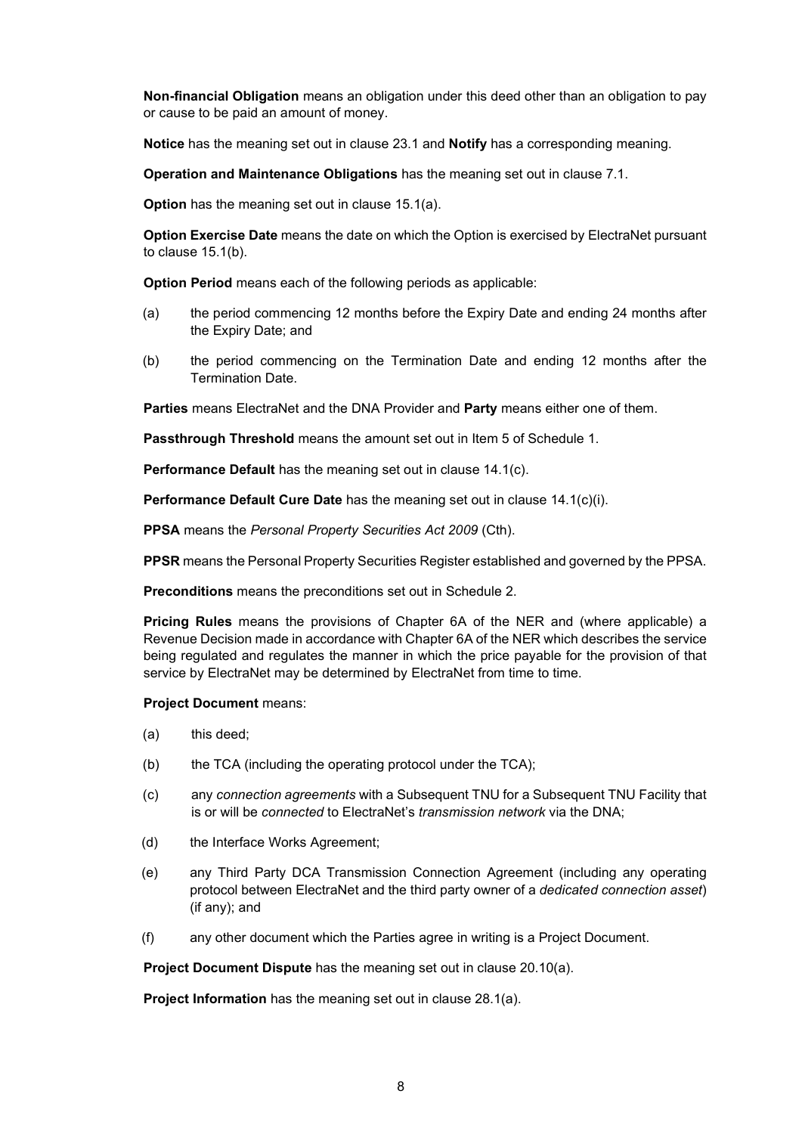Non-financial Obligation means an obligation under this deed other than an obligation to pay or cause to be paid an amount of money.

Notice has the meaning set out in clause 23.1 and Notify has a corresponding meaning.

Operation and Maintenance Obligations has the meaning set out in clause 7.1.

Option has the meaning set out in clause 15.1(a).

Option Exercise Date means the date on which the Option is exercised by ElectraNet pursuant to clause 15.1(b).

Option Period means each of the following periods as applicable:

- (a) the period commencing 12 months before the Expiry Date and ending 24 months after the Expiry Date; and
- (b) the period commencing on the Termination Date and ending 12 months after the Termination Date.

Parties means ElectraNet and the DNA Provider and Party means either one of them.

Passthrough Threshold means the amount set out in Item 5 of Schedule 1.

Performance Default has the meaning set out in clause 14.1(c).

Performance Default Cure Date has the meaning set out in clause 14.1(c)(i).

PPSA means the Personal Property Securities Act 2009 (Cth).

PPSR means the Personal Property Securities Register established and governed by the PPSA.

Preconditions means the preconditions set out in Schedule 2.

Pricing Rules means the provisions of Chapter 6A of the NER and (where applicable) a Revenue Decision made in accordance with Chapter 6A of the NER which describes the service being regulated and regulates the manner in which the price payable for the provision of that service by ElectraNet may be determined by ElectraNet from time to time.

#### Project Document means:

- (a) this deed;
- (b) the TCA (including the operating protocol under the TCA);
- (c) any connection agreements with a Subsequent TNU for a Subsequent TNU Facility that is or will be connected to ElectraNet's *transmission network* via the DNA;
- (d) the Interface Works Agreement;
- (e) any Third Party DCA Transmission Connection Agreement (including any operating protocol between ElectraNet and the third party owner of a dedicated connection asset) (if any); and
- (f) any other document which the Parties agree in writing is a Project Document.

Project Document Dispute has the meaning set out in clause 20.10(a).

Project Information has the meaning set out in clause 28.1(a).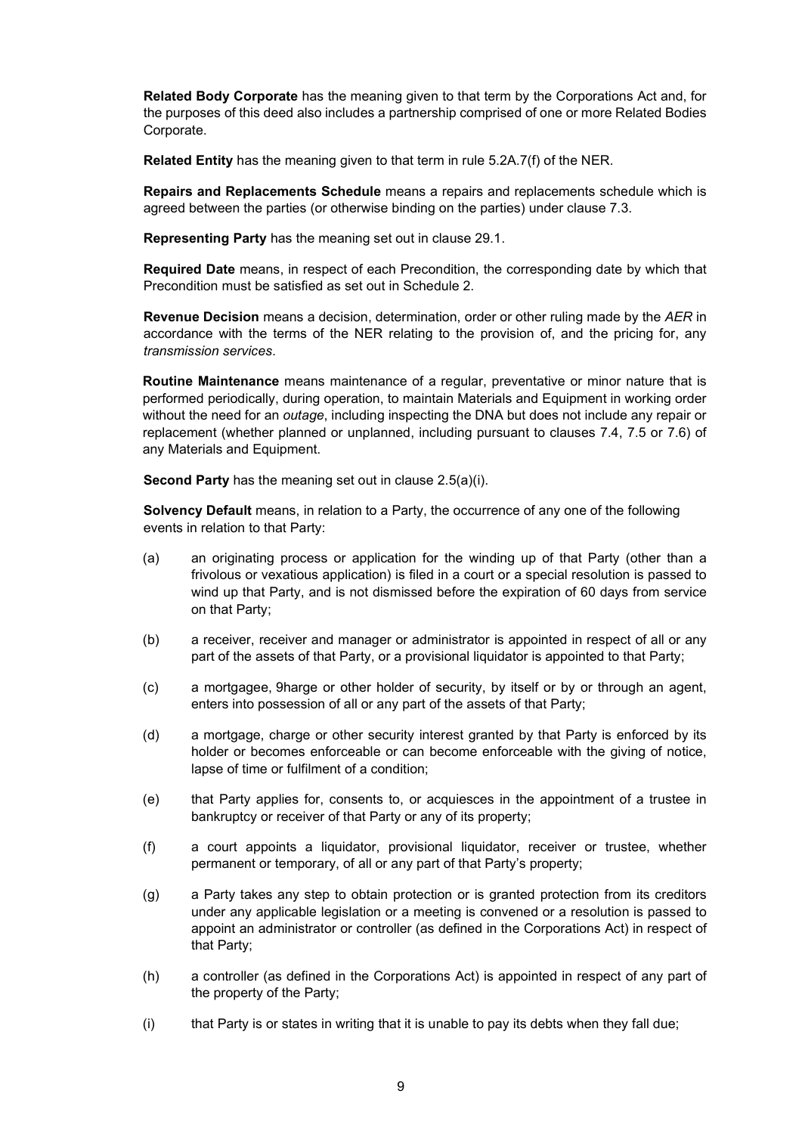Related Body Corporate has the meaning given to that term by the Corporations Act and, for the purposes of this deed also includes a partnership comprised of one or more Related Bodies Corporate.

Related Entity has the meaning given to that term in rule 5.2A.7(f) of the NER.

Repairs and Replacements Schedule means a repairs and replacements schedule which is agreed between the parties (or otherwise binding on the parties) under clause 7.3.

Representing Party has the meaning set out in clause 29.1.

Required Date means, in respect of each Precondition, the corresponding date by which that Precondition must be satisfied as set out in Schedule 2.

Revenue Decision means a decision, determination, order or other ruling made by the AER in accordance with the terms of the NER relating to the provision of, and the pricing for, any transmission services.

Routine Maintenance means maintenance of a regular, preventative or minor nature that is performed periodically, during operation, to maintain Materials and Equipment in working order without the need for an *outage*, including inspecting the DNA but does not include any repair or replacement (whether planned or unplanned, including pursuant to clauses 7.4, 7.5 or 7.6) of any Materials and Equipment.

Second Party has the meaning set out in clause 2.5(a)(i).

Solvency Default means, in relation to a Party, the occurrence of any one of the following events in relation to that Party:

- (a) an originating process or application for the winding up of that Party (other than a frivolous or vexatious application) is filed in a court or a special resolution is passed to wind up that Party, and is not dismissed before the expiration of 60 days from service on that Party;
- (b) a receiver, receiver and manager or administrator is appointed in respect of all or any part of the assets of that Party, or a provisional liquidator is appointed to that Party;
- (c) a mortgagee, 9harge or other holder of security, by itself or by or through an agent, enters into possession of all or any part of the assets of that Party;
- (d) a mortgage, charge or other security interest granted by that Party is enforced by its holder or becomes enforceable or can become enforceable with the giving of notice, lapse of time or fulfilment of a condition;
- (e) that Party applies for, consents to, or acquiesces in the appointment of a trustee in bankruptcy or receiver of that Party or any of its property;
- (f) a court appoints a liquidator, provisional liquidator, receiver or trustee, whether permanent or temporary, of all or any part of that Party's property;
- (g) a Party takes any step to obtain protection or is granted protection from its creditors under any applicable legislation or a meeting is convened or a resolution is passed to appoint an administrator or controller (as defined in the Corporations Act) in respect of that Party;
- (h) a controller (as defined in the Corporations Act) is appointed in respect of any part of the property of the Party;
- (i) that Party is or states in writing that it is unable to pay its debts when they fall due;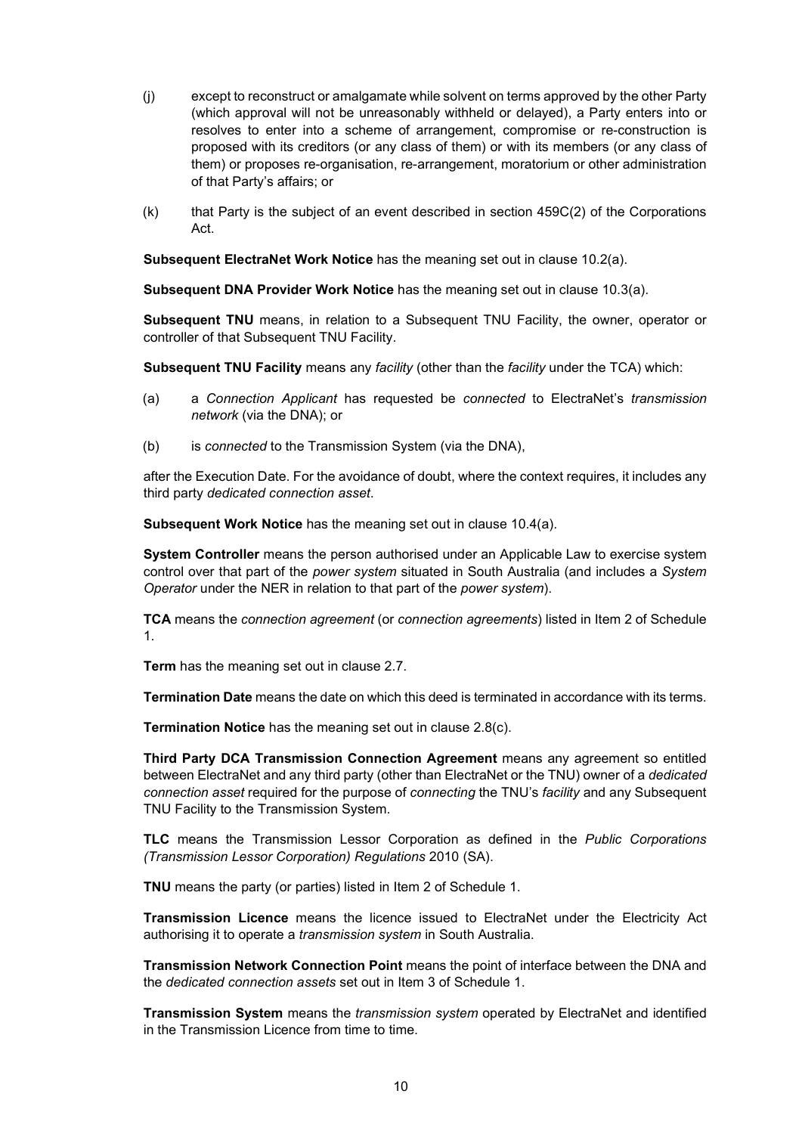- (j) except to reconstruct or amalgamate while solvent on terms approved by the other Party (which approval will not be unreasonably withheld or delayed), a Party enters into or resolves to enter into a scheme of arrangement, compromise or re-construction is proposed with its creditors (or any class of them) or with its members (or any class of them) or proposes re-organisation, re-arrangement, moratorium or other administration of that Party's affairs; or
- (k) that Party is the subject of an event described in section 459C(2) of the Corporations Act.

Subsequent ElectraNet Work Notice has the meaning set out in clause 10.2(a).

Subsequent DNA Provider Work Notice has the meaning set out in clause 10.3(a).

Subsequent TNU means, in relation to a Subsequent TNU Facility, the owner, operator or controller of that Subsequent TNU Facility.

Subsequent TNU Facility means any facility (other than the facility under the TCA) which:

- (a) a Connection Applicant has requested be connected to ElectraNet's transmission network (via the DNA); or
- (b) is connected to the Transmission System (via the DNA).

after the Execution Date. For the avoidance of doubt, where the context requires, it includes any third party dedicated connection asset.

Subsequent Work Notice has the meaning set out in clause 10.4(a).

System Controller means the person authorised under an Applicable Law to exercise system control over that part of the power system situated in South Australia (and includes a System Operator under the NER in relation to that part of the power system).

TCA means the connection agreement (or connection agreements) listed in Item 2 of Schedule 1.

Term has the meaning set out in clause 2.7.

Termination Date means the date on which this deed is terminated in accordance with its terms.

Termination Notice has the meaning set out in clause 2.8(c).

Third Party DCA Transmission Connection Agreement means any agreement so entitled between ElectraNet and any third party (other than ElectraNet or the TNU) owner of a *dedicated* connection asset required for the purpose of connecting the TNU's facility and any Subsequent TNU Facility to the Transmission System.

TLC means the Transmission Lessor Corporation as defined in the Public Corporations (Transmission Lessor Corporation) Regulations 2010 (SA).

TNU means the party (or parties) listed in Item 2 of Schedule 1.

Transmission Licence means the licence issued to ElectraNet under the Electricity Act authorising it to operate a transmission system in South Australia.

Transmission Network Connection Point means the point of interface between the DNA and the dedicated connection assets set out in Item 3 of Schedule 1.

Transmission System means the *transmission system* operated by ElectraNet and identified in the Transmission Licence from time to time.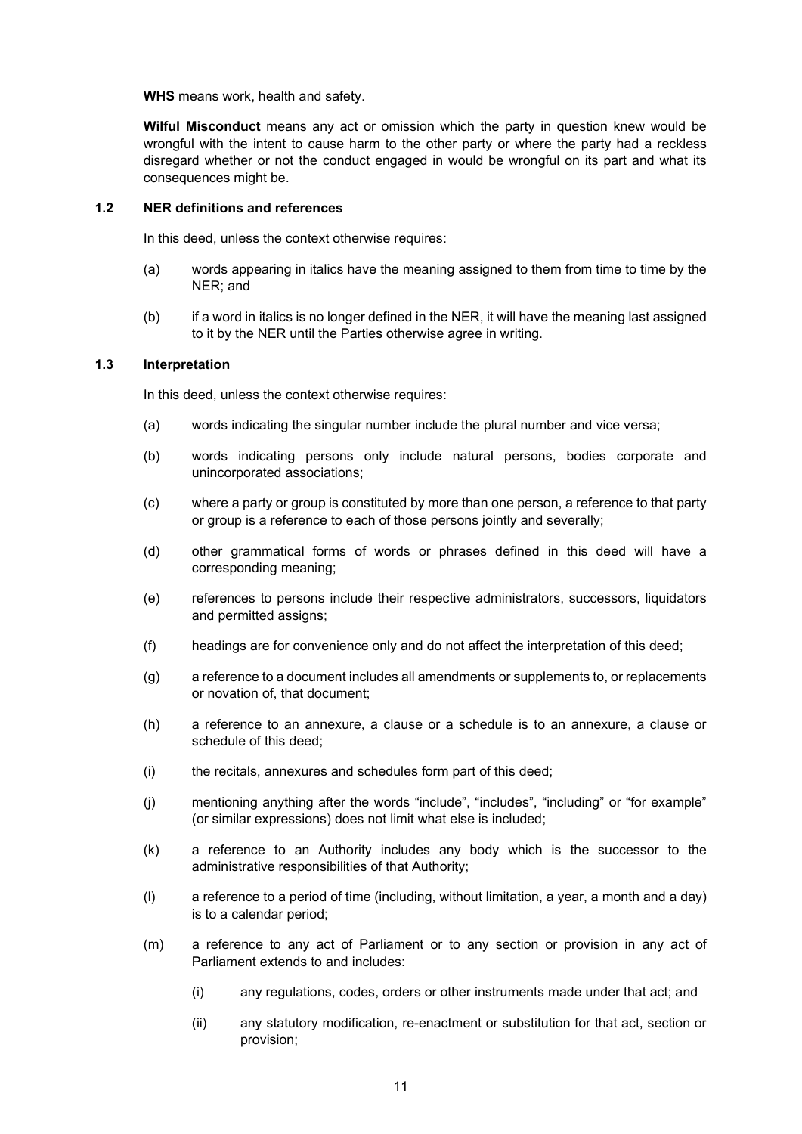WHS means work, health and safety.

Wilful Misconduct means any act or omission which the party in question knew would be wrongful with the intent to cause harm to the other party or where the party had a reckless disregard whether or not the conduct engaged in would be wrongful on its part and what its consequences might be.

#### 1.2 NER definitions and references

In this deed, unless the context otherwise requires:

- (a) words appearing in italics have the meaning assigned to them from time to time by the NER; and
- (b) if a word in italics is no longer defined in the NER, it will have the meaning last assigned to it by the NER until the Parties otherwise agree in writing.

## 1.3 Interpretation

In this deed, unless the context otherwise requires:

- (a) words indicating the singular number include the plural number and vice versa;
- (b) words indicating persons only include natural persons, bodies corporate and unincorporated associations;
- (c) where a party or group is constituted by more than one person, a reference to that party or group is a reference to each of those persons jointly and severally;
- (d) other grammatical forms of words or phrases defined in this deed will have a corresponding meaning;
- (e) references to persons include their respective administrators, successors, liquidators and permitted assigns;
- (f) headings are for convenience only and do not affect the interpretation of this deed;
- (g) a reference to a document includes all amendments or supplements to, or replacements or novation of, that document;
- (h) a reference to an annexure, a clause or a schedule is to an annexure, a clause or schedule of this deed;
- (i) the recitals, annexures and schedules form part of this deed;
- (j) mentioning anything after the words "include", "includes", "including" or "for example" (or similar expressions) does not limit what else is included;
- (k) a reference to an Authority includes any body which is the successor to the administrative responsibilities of that Authority;
- (l) a reference to a period of time (including, without limitation, a year, a month and a day) is to a calendar period;
- (m) a reference to any act of Parliament or to any section or provision in any act of Parliament extends to and includes:
	- (i) any regulations, codes, orders or other instruments made under that act; and
	- (ii) any statutory modification, re-enactment or substitution for that act, section or provision;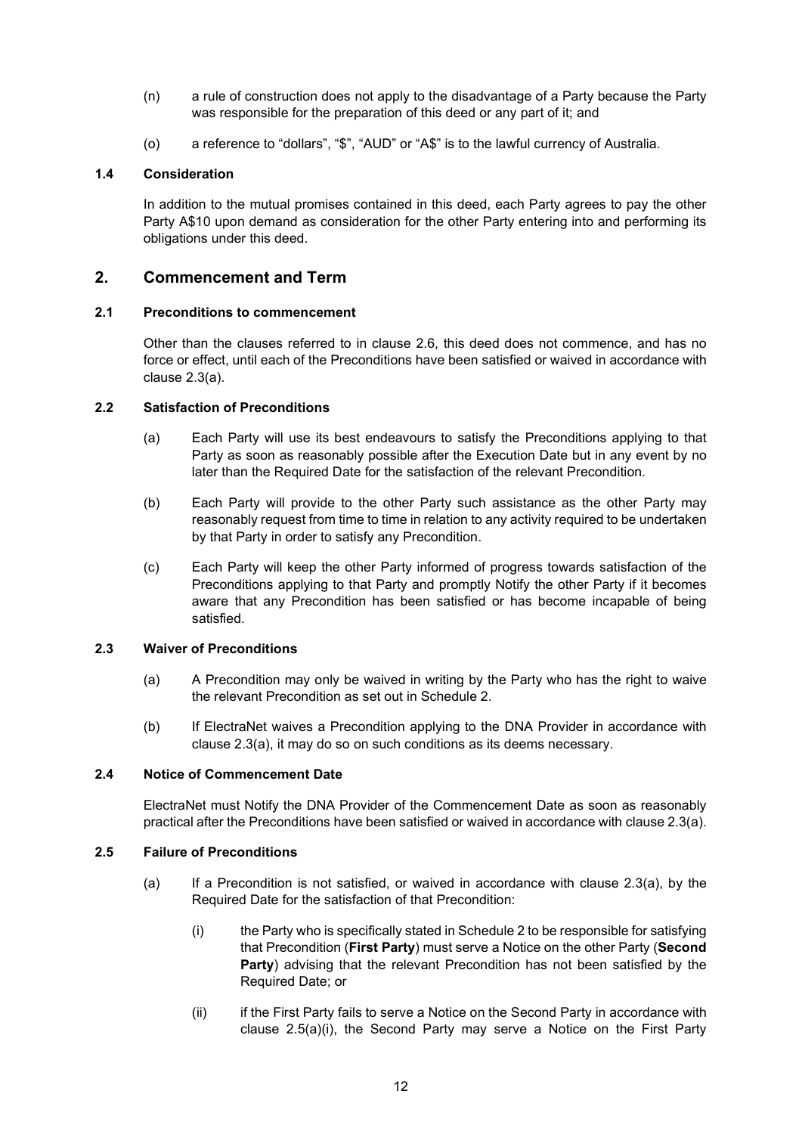- (n) a rule of construction does not apply to the disadvantage of a Party because the Party was responsible for the preparation of this deed or any part of it; and
- (o) a reference to "dollars", "\$", "AUD" or "A\$" is to the lawful currency of Australia.

#### 1.4 Consideration

In addition to the mutual promises contained in this deed, each Party agrees to pay the other Party A\$10 upon demand as consideration for the other Party entering into and performing its obligations under this deed.

### 2. Commencement and Term

#### 2.1 Preconditions to commencement

Other than the clauses referred to in clause 2.6, this deed does not commence, and has no force or effect, until each of the Preconditions have been satisfied or waived in accordance with clause 2.3(a).

## 2.2 Satisfaction of Preconditions

- (a) Each Party will use its best endeavours to satisfy the Preconditions applying to that Party as soon as reasonably possible after the Execution Date but in any event by no later than the Required Date for the satisfaction of the relevant Precondition.
- (b) Each Party will provide to the other Party such assistance as the other Party may reasonably request from time to time in relation to any activity required to be undertaken by that Party in order to satisfy any Precondition.
- (c) Each Party will keep the other Party informed of progress towards satisfaction of the Preconditions applying to that Party and promptly Notify the other Party if it becomes aware that any Precondition has been satisfied or has become incapable of being satisfied.

#### 2.3 Waiver of Preconditions

- (a) A Precondition may only be waived in writing by the Party who has the right to waive the relevant Precondition as set out in Schedule 2.
- (b) If ElectraNet waives a Precondition applying to the DNA Provider in accordance with clause 2.3(a), it may do so on such conditions as its deems necessary.

#### 2.4 Notice of Commencement Date

ElectraNet must Notify the DNA Provider of the Commencement Date as soon as reasonably practical after the Preconditions have been satisfied or waived in accordance with clause 2.3(a).

#### 2.5 Failure of Preconditions

- (a) If a Precondition is not satisfied, or waived in accordance with clause  $2.3(a)$ , by the Required Date for the satisfaction of that Precondition:
	- (i) the Party who is specifically stated in Schedule 2 to be responsible for satisfying that Precondition (First Party) must serve a Notice on the other Party (Second Party) advising that the relevant Precondition has not been satisfied by the Required Date; or
	- (ii) if the First Party fails to serve a Notice on the Second Party in accordance with clause 2.5(a)(i), the Second Party may serve a Notice on the First Party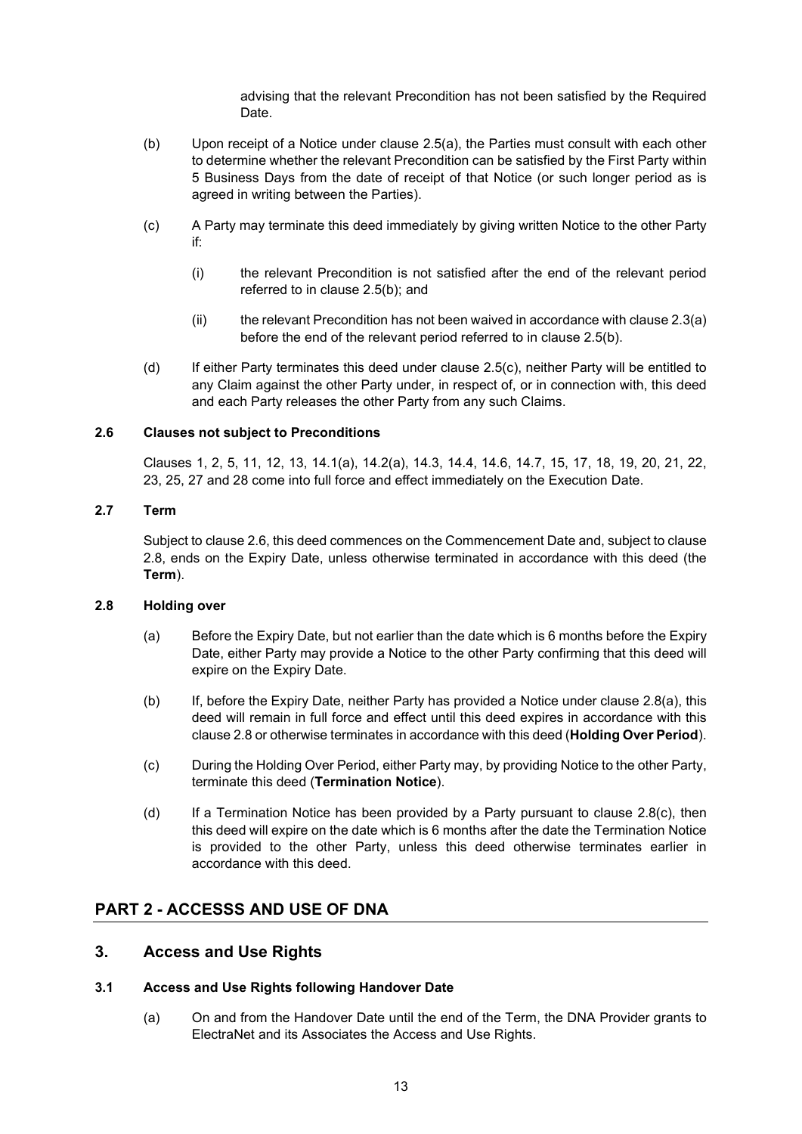advising that the relevant Precondition has not been satisfied by the Required Date.

- (b) Upon receipt of a Notice under clause 2.5(a), the Parties must consult with each other to determine whether the relevant Precondition can be satisfied by the First Party within 5 Business Days from the date of receipt of that Notice (or such longer period as is agreed in writing between the Parties).
- (c) A Party may terminate this deed immediately by giving written Notice to the other Party if:
	- (i) the relevant Precondition is not satisfied after the end of the relevant period referred to in clause 2.5(b); and
	- $(i)$  the relevant Precondition has not been waived in accordance with clause 2.3(a) before the end of the relevant period referred to in clause 2.5(b).
- (d) If either Party terminates this deed under clause 2.5(c), neither Party will be entitled to any Claim against the other Party under, in respect of, or in connection with, this deed and each Party releases the other Party from any such Claims.

#### 2.6 Clauses not subject to Preconditions

Clauses 1, 2, 5, 11, 12, 13, 14.1(a), 14.2(a), 14.3, 14.4, 14.6, 14.7, 15, 17, 18, 19, 20, 21, 22, 23, 25, 27 and 28 come into full force and effect immediately on the Execution Date.

#### 2.7 Term

Subject to clause 2.6, this deed commences on the Commencement Date and, subject to clause 2.8, ends on the Expiry Date, unless otherwise terminated in accordance with this deed (the Term).

#### 2.8 Holding over

- (a) Before the Expiry Date, but not earlier than the date which is 6 months before the Expiry Date, either Party may provide a Notice to the other Party confirming that this deed will expire on the Expiry Date.
- (b) If, before the Expiry Date, neither Party has provided a Notice under clause 2.8(a), this deed will remain in full force and effect until this deed expires in accordance with this clause 2.8 or otherwise terminates in accordance with this deed (Holding Over Period).
- (c) During the Holding Over Period, either Party may, by providing Notice to the other Party, terminate this deed (Termination Notice).
- (d) If a Termination Notice has been provided by a Party pursuant to clause  $2.8(c)$ , then this deed will expire on the date which is 6 months after the date the Termination Notice is provided to the other Party, unless this deed otherwise terminates earlier in accordance with this deed.

## PART 2 - ACCESSS AND USE OF DNA

## 3. Access and Use Rights

#### 3.1 Access and Use Rights following Handover Date

(a) On and from the Handover Date until the end of the Term, the DNA Provider grants to ElectraNet and its Associates the Access and Use Rights.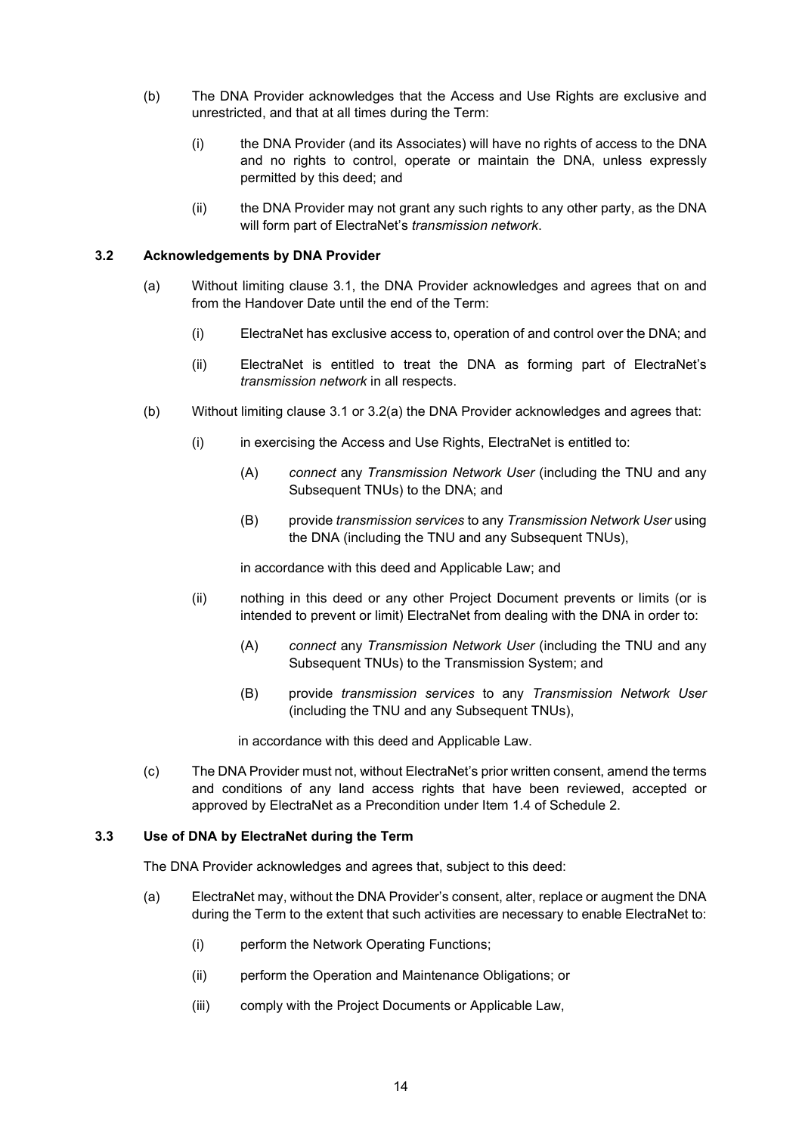- (b) The DNA Provider acknowledges that the Access and Use Rights are exclusive and unrestricted, and that at all times during the Term:
	- (i) the DNA Provider (and its Associates) will have no rights of access to the DNA and no rights to control, operate or maintain the DNA, unless expressly permitted by this deed; and
	- (ii) the DNA Provider may not grant any such rights to any other party, as the DNA will form part of ElectraNet's transmission network.

#### 3.2 Acknowledgements by DNA Provider

- (a) Without limiting clause 3.1, the DNA Provider acknowledges and agrees that on and from the Handover Date until the end of the Term:
	- (i) ElectraNet has exclusive access to, operation of and control over the DNA; and
	- (ii) ElectraNet is entitled to treat the DNA as forming part of ElectraNet's transmission network in all respects.
- (b) Without limiting clause 3.1 or 3.2(a) the DNA Provider acknowledges and agrees that:
	- (i) in exercising the Access and Use Rights, ElectraNet is entitled to:
		- (A) connect any Transmission Network User (including the TNU and any Subsequent TNUs) to the DNA; and
		- (B) provide transmission services to any Transmission Network User using the DNA (including the TNU and any Subsequent TNUs),

in accordance with this deed and Applicable Law; and

- (ii) nothing in this deed or any other Project Document prevents or limits (or is intended to prevent or limit) ElectraNet from dealing with the DNA in order to:
	- (A) connect any Transmission Network User (including the TNU and any Subsequent TNUs) to the Transmission System; and
	- (B) provide transmission services to any Transmission Network User (including the TNU and any Subsequent TNUs),

in accordance with this deed and Applicable Law.

(c) The DNA Provider must not, without ElectraNet's prior written consent, amend the terms and conditions of any land access rights that have been reviewed, accepted or approved by ElectraNet as a Precondition under Item 1.4 of Schedule 2.

## 3.3 Use of DNA by ElectraNet during the Term

The DNA Provider acknowledges and agrees that, subject to this deed:

- (a) ElectraNet may, without the DNA Provider's consent, alter, replace or augment the DNA during the Term to the extent that such activities are necessary to enable ElectraNet to:
	- (i) perform the Network Operating Functions;
	- (ii) perform the Operation and Maintenance Obligations; or
	- (iii) comply with the Project Documents or Applicable Law,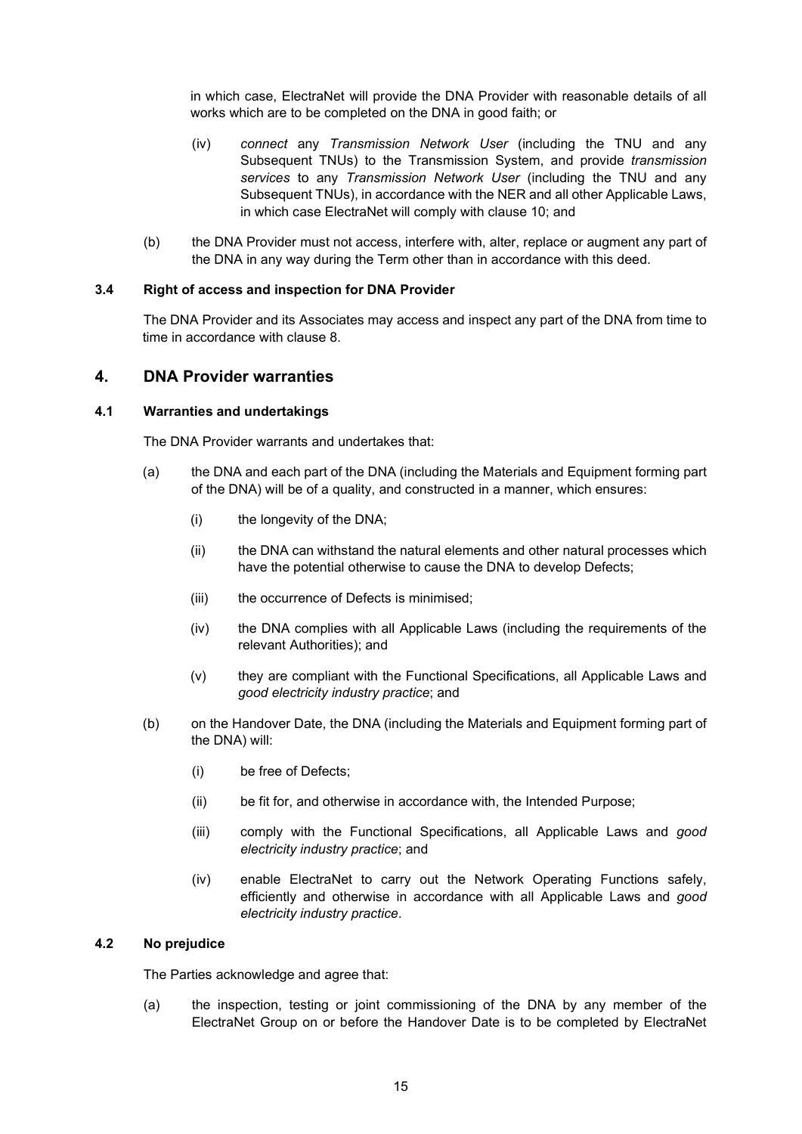in which case, ElectraNet will provide the DNA Provider with reasonable details of all works which are to be completed on the DNA in good faith; or

- (iv) connect any Transmission Network User (including the TNU and any Subsequent TNUs) to the Transmission System, and provide transmission services to any Transmission Network User (including the TNU and any Subsequent TNUs), in accordance with the NER and all other Applicable Laws, in which case ElectraNet will comply with clause 10; and
- (b) the DNA Provider must not access, interfere with, alter, replace or augment any part of the DNA in any way during the Term other than in accordance with this deed.

#### 3.4 Right of access and inspection for DNA Provider

The DNA Provider and its Associates may access and inspect any part of the DNA from time to time in accordance with clause 8.

## 4. DNA Provider warranties

#### 4.1 Warranties and undertakings

The DNA Provider warrants and undertakes that:

- (a) the DNA and each part of the DNA (including the Materials and Equipment forming part of the DNA) will be of a quality, and constructed in a manner, which ensures:
	- (i) the longevity of the DNA;
	- (ii) the DNA can withstand the natural elements and other natural processes which have the potential otherwise to cause the DNA to develop Defects;
	- (iii) the occurrence of Defects is minimised;
	- (iv) the DNA complies with all Applicable Laws (including the requirements of the relevant Authorities); and
	- (v) they are compliant with the Functional Specifications, all Applicable Laws and good electricity industry practice; and
- (b) on the Handover Date, the DNA (including the Materials and Equipment forming part of the DNA) will:
	- (i) be free of Defects;
	- (ii) be fit for, and otherwise in accordance with, the Intended Purpose;
	- (iii) comply with the Functional Specifications, all Applicable Laws and good electricity industry practice; and
	- (iv) enable ElectraNet to carry out the Network Operating Functions safely, efficiently and otherwise in accordance with all Applicable Laws and good electricity industry practice.

#### 4.2 No prejudice

The Parties acknowledge and agree that:

(a) the inspection, testing or joint commissioning of the DNA by any member of the ElectraNet Group on or before the Handover Date is to be completed by ElectraNet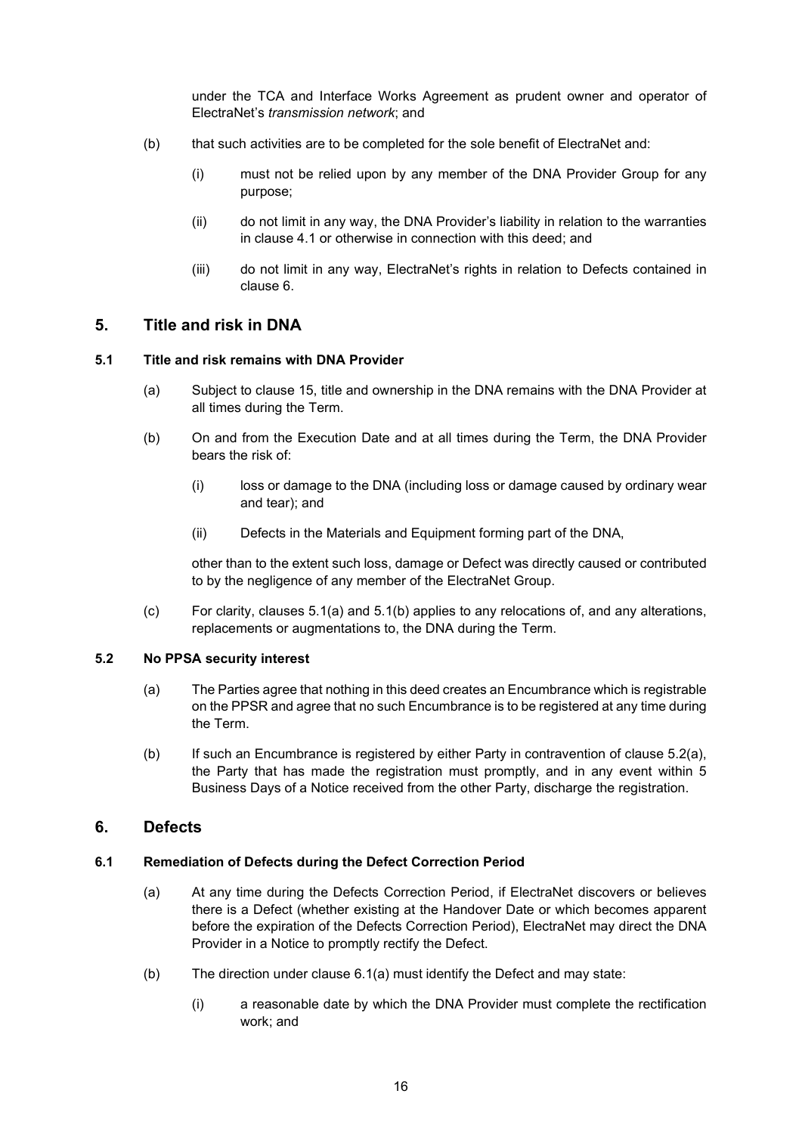under the TCA and Interface Works Agreement as prudent owner and operator of ElectraNet's transmission network; and

- (b) that such activities are to be completed for the sole benefit of ElectraNet and:
	- (i) must not be relied upon by any member of the DNA Provider Group for any purpose;
	- (ii) do not limit in any way, the DNA Provider's liability in relation to the warranties in clause 4.1 or otherwise in connection with this deed; and
	- (iii) do not limit in any way, ElectraNet's rights in relation to Defects contained in clause 6.

## 5. Title and risk in DNA

#### 5.1 Title and risk remains with DNA Provider

- (a) Subject to clause 15, title and ownership in the DNA remains with the DNA Provider at all times during the Term.
- (b) On and from the Execution Date and at all times during the Term, the DNA Provider bears the risk of:
	- (i) loss or damage to the DNA (including loss or damage caused by ordinary wear and tear); and
	- (ii) Defects in the Materials and Equipment forming part of the DNA,

other than to the extent such loss, damage or Defect was directly caused or contributed to by the negligence of any member of the ElectraNet Group.

(c) For clarity, clauses 5.1(a) and 5.1(b) applies to any relocations of, and any alterations, replacements or augmentations to, the DNA during the Term.

#### 5.2 No PPSA security interest

- (a) The Parties agree that nothing in this deed creates an Encumbrance which is registrable on the PPSR and agree that no such Encumbrance is to be registered at any time during the Term.
- (b) If such an Encumbrance is registered by either Party in contravention of clause 5.2(a), the Party that has made the registration must promptly, and in any event within 5 Business Days of a Notice received from the other Party, discharge the registration.

## 6. Defects

#### 6.1 Remediation of Defects during the Defect Correction Period

- (a) At any time during the Defects Correction Period, if ElectraNet discovers or believes there is a Defect (whether existing at the Handover Date or which becomes apparent before the expiration of the Defects Correction Period), ElectraNet may direct the DNA Provider in a Notice to promptly rectify the Defect.
- (b) The direction under clause 6.1(a) must identify the Defect and may state:
	- (i) a reasonable date by which the DNA Provider must complete the rectification work; and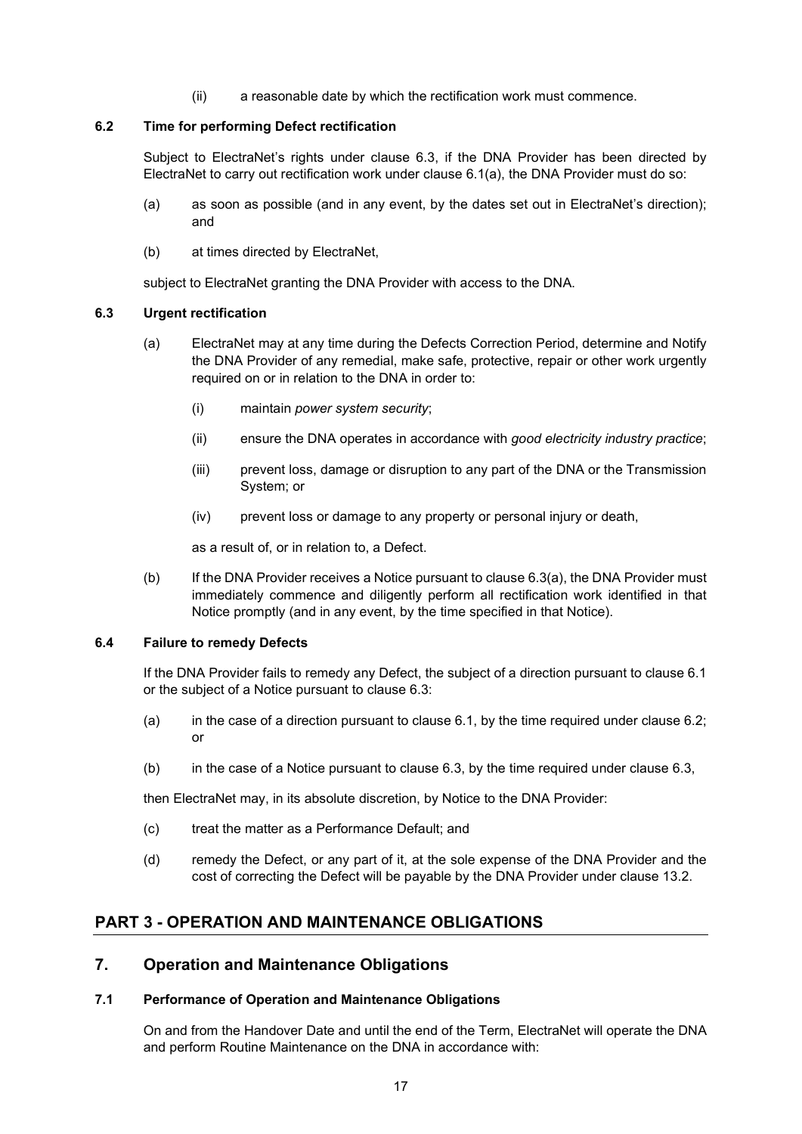(ii) a reasonable date by which the rectification work must commence.

#### 6.2 Time for performing Defect rectification

Subject to ElectraNet's rights under clause 6.3, if the DNA Provider has been directed by ElectraNet to carry out rectification work under clause 6.1(a), the DNA Provider must do so:

- (a) as soon as possible (and in any event, by the dates set out in ElectraNet's direction); and
- (b) at times directed by ElectraNet,

subject to ElectraNet granting the DNA Provider with access to the DNA.

#### 6.3 Urgent rectification

- (a) ElectraNet may at any time during the Defects Correction Period, determine and Notify the DNA Provider of any remedial, make safe, protective, repair or other work urgently required on or in relation to the DNA in order to:
	- (i) maintain power system security;
	- (ii) ensure the DNA operates in accordance with good electricity industry practice;
	- (iii) prevent loss, damage or disruption to any part of the DNA or the Transmission System; or
	- (iv) prevent loss or damage to any property or personal injury or death,

as a result of, or in relation to, a Defect.

(b) If the DNA Provider receives a Notice pursuant to clause 6.3(a), the DNA Provider must immediately commence and diligently perform all rectification work identified in that Notice promptly (and in any event, by the time specified in that Notice).

#### 6.4 Failure to remedy Defects

If the DNA Provider fails to remedy any Defect, the subject of a direction pursuant to clause 6.1 or the subject of a Notice pursuant to clause 6.3:

- (a) in the case of a direction pursuant to clause 6.1, by the time required under clause 6.2; or
- (b) in the case of a Notice pursuant to clause 6.3, by the time required under clause 6.3,

then ElectraNet may, in its absolute discretion, by Notice to the DNA Provider:

- (c) treat the matter as a Performance Default; and
- (d) remedy the Defect, or any part of it, at the sole expense of the DNA Provider and the cost of correcting the Defect will be payable by the DNA Provider under clause 13.2.

## PART 3 - OPERATION AND MAINTENANCE OBLIGATIONS

## 7. Operation and Maintenance Obligations

#### 7.1 Performance of Operation and Maintenance Obligations

On and from the Handover Date and until the end of the Term, ElectraNet will operate the DNA and perform Routine Maintenance on the DNA in accordance with: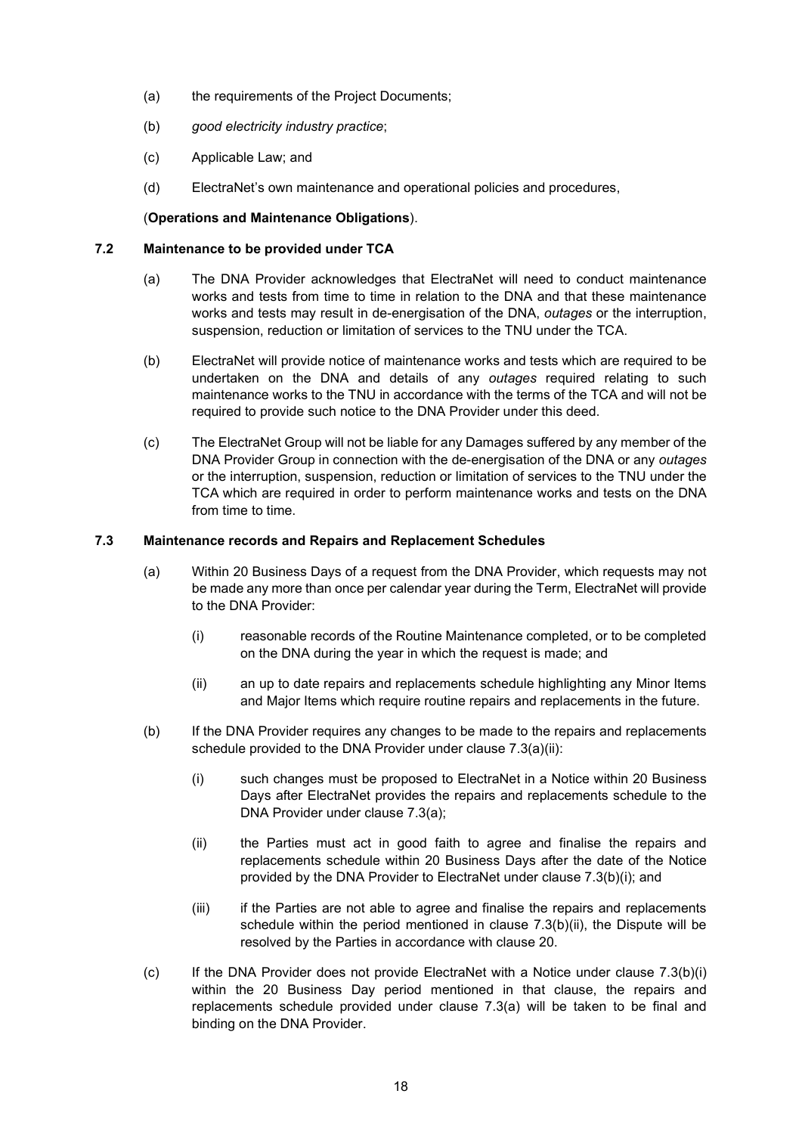- (a) the requirements of the Project Documents;
- (b) good electricity industry practice;
- (c) Applicable Law; and
- (d) ElectraNet's own maintenance and operational policies and procedures,

## (Operations and Maintenance Obligations).

### 7.2 Maintenance to be provided under TCA

- (a) The DNA Provider acknowledges that ElectraNet will need to conduct maintenance works and tests from time to time in relation to the DNA and that these maintenance works and tests may result in de-energisation of the DNA, outages or the interruption, suspension, reduction or limitation of services to the TNU under the TCA.
- (b) ElectraNet will provide notice of maintenance works and tests which are required to be undertaken on the DNA and details of any outages required relating to such maintenance works to the TNU in accordance with the terms of the TCA and will not be required to provide such notice to the DNA Provider under this deed.
- (c) The ElectraNet Group will not be liable for any Damages suffered by any member of the DNA Provider Group in connection with the de-energisation of the DNA or any outages or the interruption, suspension, reduction or limitation of services to the TNU under the TCA which are required in order to perform maintenance works and tests on the DNA from time to time.

#### 7.3 Maintenance records and Repairs and Replacement Schedules

- (a) Within 20 Business Days of a request from the DNA Provider, which requests may not be made any more than once per calendar year during the Term, ElectraNet will provide to the DNA Provider:
	- (i) reasonable records of the Routine Maintenance completed, or to be completed on the DNA during the year in which the request is made; and
	- (ii) an up to date repairs and replacements schedule highlighting any Minor Items and Major Items which require routine repairs and replacements in the future.
- (b) If the DNA Provider requires any changes to be made to the repairs and replacements schedule provided to the DNA Provider under clause 7.3(a)(ii):
	- (i) such changes must be proposed to ElectraNet in a Notice within 20 Business Days after ElectraNet provides the repairs and replacements schedule to the DNA Provider under clause 7.3(a);
	- (ii) the Parties must act in good faith to agree and finalise the repairs and replacements schedule within 20 Business Days after the date of the Notice provided by the DNA Provider to ElectraNet under clause 7.3(b)(i); and
	- (iii) if the Parties are not able to agree and finalise the repairs and replacements schedule within the period mentioned in clause 7.3(b)(ii), the Dispute will be resolved by the Parties in accordance with clause 20.
- (c) If the DNA Provider does not provide ElectraNet with a Notice under clause 7.3(b)(i) within the 20 Business Day period mentioned in that clause, the repairs and replacements schedule provided under clause 7.3(a) will be taken to be final and binding on the DNA Provider.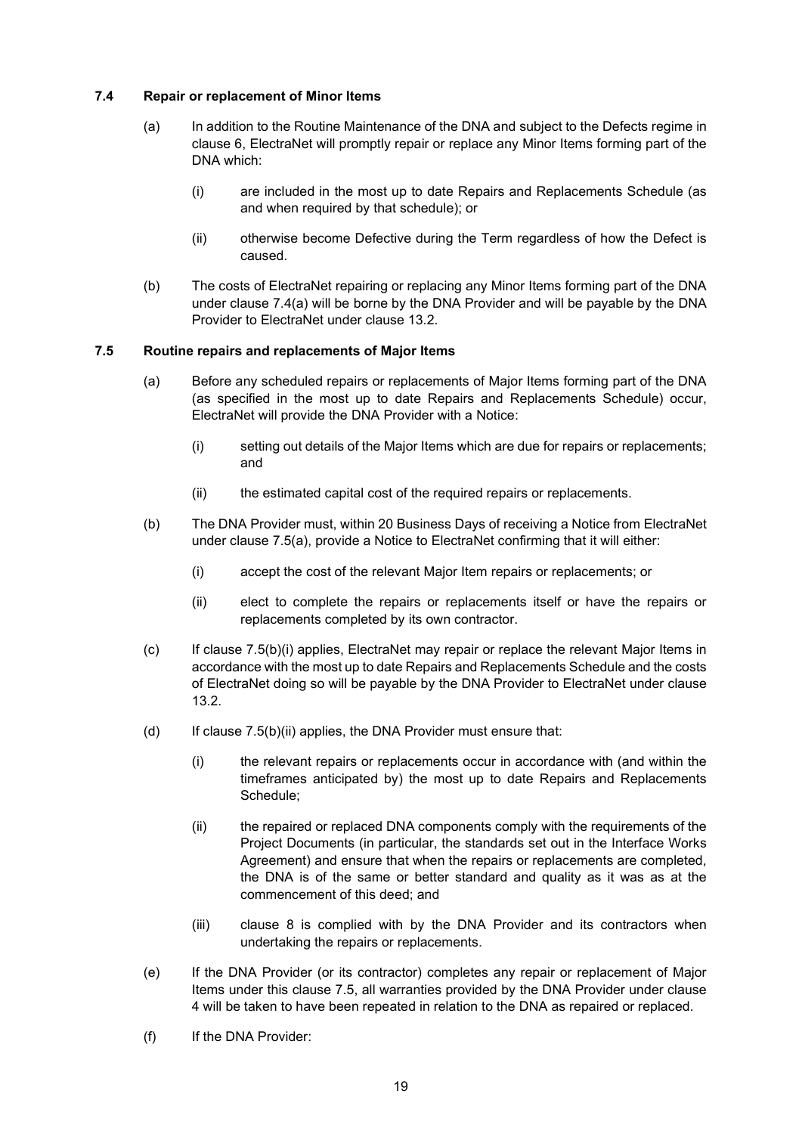#### 7.4 Repair or replacement of Minor Items

- (a) In addition to the Routine Maintenance of the DNA and subject to the Defects regime in clause 6, ElectraNet will promptly repair or replace any Minor Items forming part of the DNA which:
	- (i) are included in the most up to date Repairs and Replacements Schedule (as and when required by that schedule); or
	- (ii) otherwise become Defective during the Term regardless of how the Defect is caused.
- (b) The costs of ElectraNet repairing or replacing any Minor Items forming part of the DNA under clause 7.4(a) will be borne by the DNA Provider and will be payable by the DNA Provider to ElectraNet under clause 13.2.

#### 7.5 Routine repairs and replacements of Major Items

- (a) Before any scheduled repairs or replacements of Major Items forming part of the DNA (as specified in the most up to date Repairs and Replacements Schedule) occur, ElectraNet will provide the DNA Provider with a Notice:
	- (i) setting out details of the Major Items which are due for repairs or replacements; and
	- (ii) the estimated capital cost of the required repairs or replacements.
- (b) The DNA Provider must, within 20 Business Days of receiving a Notice from ElectraNet under clause 7.5(a), provide a Notice to ElectraNet confirming that it will either:
	- (i) accept the cost of the relevant Major Item repairs or replacements; or
	- (ii) elect to complete the repairs or replacements itself or have the repairs or replacements completed by its own contractor.
- $(c)$  If clause 7.5(b)(i) applies, ElectraNet may repair or replace the relevant Major Items in accordance with the most up to date Repairs and Replacements Schedule and the costs of ElectraNet doing so will be payable by the DNA Provider to ElectraNet under clause 13.2.
- (d) If clause  $7.5(b)(ii)$  applies, the DNA Provider must ensure that:
	- (i) the relevant repairs or replacements occur in accordance with (and within the timeframes anticipated by) the most up to date Repairs and Replacements Schedule;
	- (ii) the repaired or replaced DNA components comply with the requirements of the Project Documents (in particular, the standards set out in the Interface Works Agreement) and ensure that when the repairs or replacements are completed, the DNA is of the same or better standard and quality as it was as at the commencement of this deed; and
	- (iii) clause 8 is complied with by the DNA Provider and its contractors when undertaking the repairs or replacements.
- (e) If the DNA Provider (or its contractor) completes any repair or replacement of Major Items under this clause 7.5, all warranties provided by the DNA Provider under clause 4 will be taken to have been repeated in relation to the DNA as repaired or replaced.
- (f) If the DNA Provider: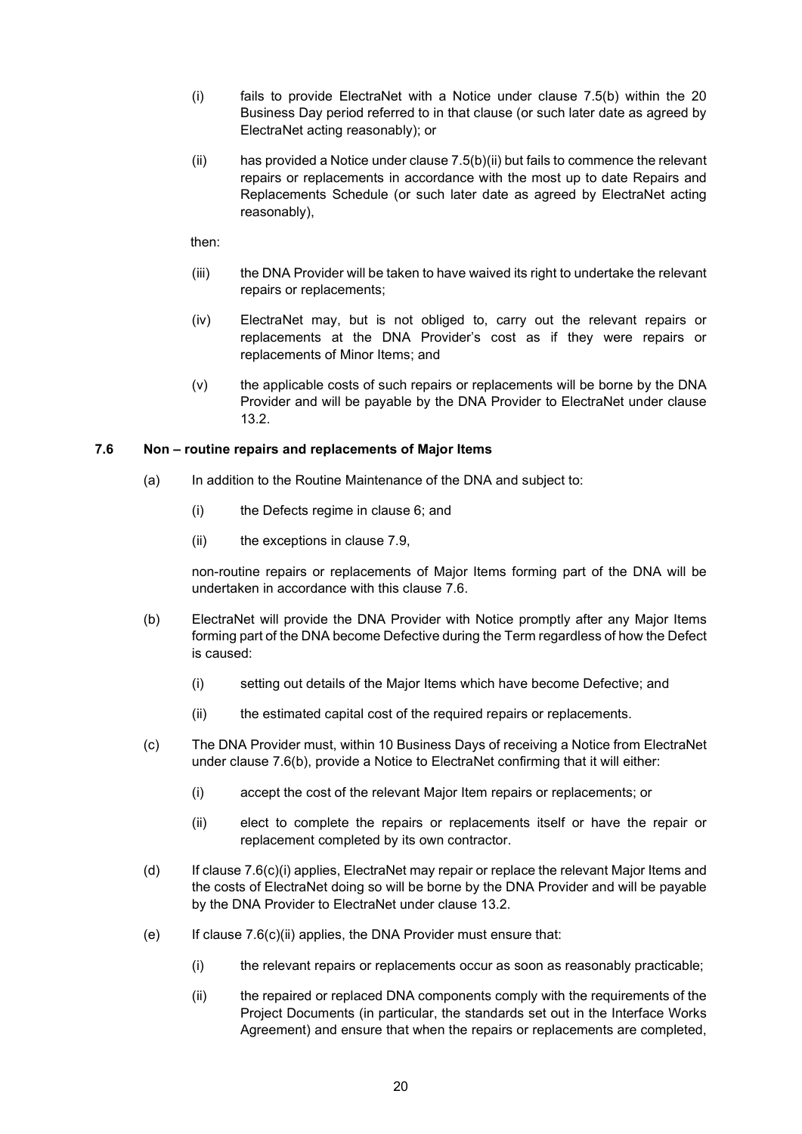- (i) fails to provide ElectraNet with a Notice under clause 7.5(b) within the 20 Business Day period referred to in that clause (or such later date as agreed by ElectraNet acting reasonably); or
- $(i)$  has provided a Notice under clause  $7.5(b)(ii)$  but fails to commence the relevant repairs or replacements in accordance with the most up to date Repairs and Replacements Schedule (or such later date as agreed by ElectraNet acting reasonably),

then:

- (iii) the DNA Provider will be taken to have waived its right to undertake the relevant repairs or replacements;
- (iv) ElectraNet may, but is not obliged to, carry out the relevant repairs or replacements at the DNA Provider's cost as if they were repairs or replacements of Minor Items; and
- (v) the applicable costs of such repairs or replacements will be borne by the DNA Provider and will be payable by the DNA Provider to ElectraNet under clause 13.2.

#### 7.6 Non – routine repairs and replacements of Major Items

- (a) In addition to the Routine Maintenance of the DNA and subject to:
	- (i) the Defects regime in clause 6; and
	- (ii) the exceptions in clause 7.9,

non-routine repairs or replacements of Major Items forming part of the DNA will be undertaken in accordance with this clause 7.6.

- (b) ElectraNet will provide the DNA Provider with Notice promptly after any Major Items forming part of the DNA become Defective during the Term regardless of how the Defect is caused:
	- (i) setting out details of the Major Items which have become Defective; and
	- (ii) the estimated capital cost of the required repairs or replacements.
- (c) The DNA Provider must, within 10 Business Days of receiving a Notice from ElectraNet under clause 7.6(b), provide a Notice to ElectraNet confirming that it will either:
	- (i) accept the cost of the relevant Major Item repairs or replacements; or
	- (ii) elect to complete the repairs or replacements itself or have the repair or replacement completed by its own contractor.
- (d) If clause 7.6(c)(i) applies, ElectraNet may repair or replace the relevant Major Items and the costs of ElectraNet doing so will be borne by the DNA Provider and will be payable by the DNA Provider to ElectraNet under clause 13.2.
- (e) If clause  $7.6(c)$ (ii) applies, the DNA Provider must ensure that:
	- (i) the relevant repairs or replacements occur as soon as reasonably practicable;
	- (ii) the repaired or replaced DNA components comply with the requirements of the Project Documents (in particular, the standards set out in the Interface Works Agreement) and ensure that when the repairs or replacements are completed,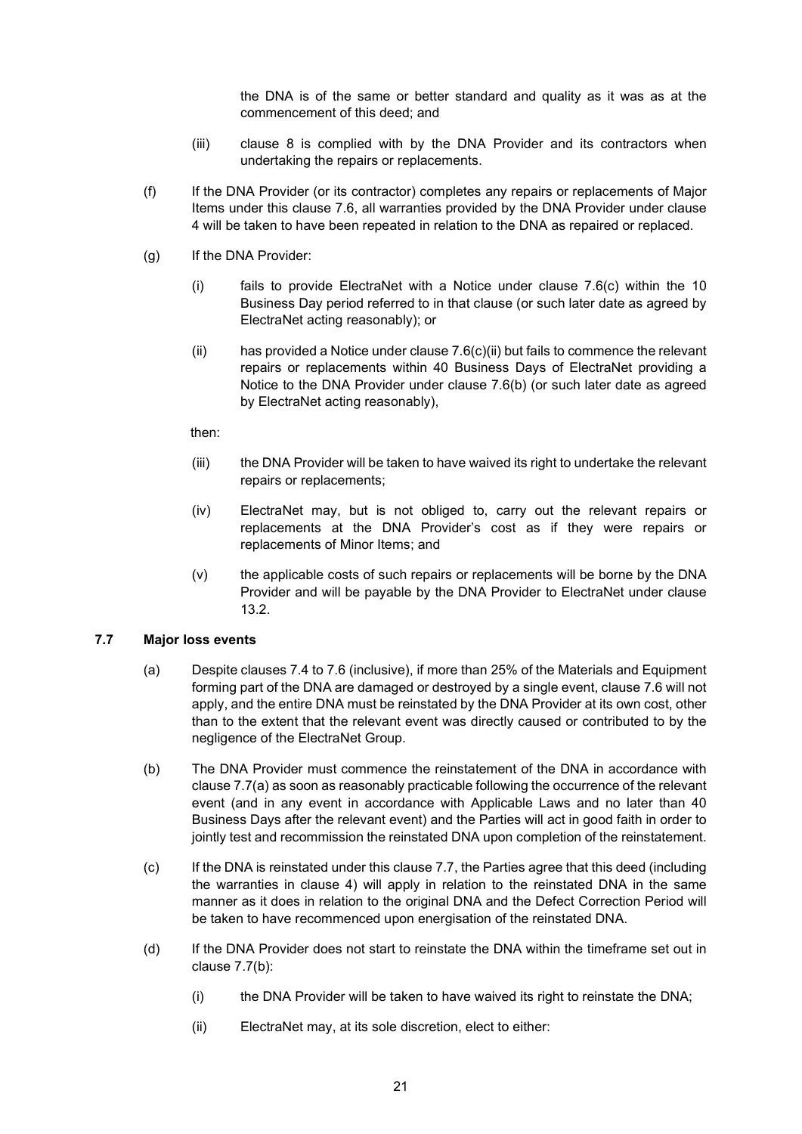the DNA is of the same or better standard and quality as it was as at the commencement of this deed; and

- (iii) clause 8 is complied with by the DNA Provider and its contractors when undertaking the repairs or replacements.
- (f) If the DNA Provider (or its contractor) completes any repairs or replacements of Major Items under this clause 7.6, all warranties provided by the DNA Provider under clause 4 will be taken to have been repeated in relation to the DNA as repaired or replaced.
- (g) If the DNA Provider:
	- (i) fails to provide ElectraNet with a Notice under clause 7.6(c) within the 10 Business Day period referred to in that clause (or such later date as agreed by ElectraNet acting reasonably); or
	- (ii) has provided a Notice under clause  $7.6(c)$  (ii) but fails to commence the relevant repairs or replacements within 40 Business Days of ElectraNet providing a Notice to the DNA Provider under clause 7.6(b) (or such later date as agreed by ElectraNet acting reasonably),

then:

- (iii) the DNA Provider will be taken to have waived its right to undertake the relevant repairs or replacements;
- (iv) ElectraNet may, but is not obliged to, carry out the relevant repairs or replacements at the DNA Provider's cost as if they were repairs or replacements of Minor Items; and
- (v) the applicable costs of such repairs or replacements will be borne by the DNA Provider and will be payable by the DNA Provider to ElectraNet under clause 13.2.

#### 7.7 Major loss events

- (a) Despite clauses 7.4 to 7.6 (inclusive), if more than 25% of the Materials and Equipment forming part of the DNA are damaged or destroyed by a single event, clause 7.6 will not apply, and the entire DNA must be reinstated by the DNA Provider at its own cost, other than to the extent that the relevant event was directly caused or contributed to by the negligence of the ElectraNet Group.
- (b) The DNA Provider must commence the reinstatement of the DNA in accordance with clause 7.7(a) as soon as reasonably practicable following the occurrence of the relevant event (and in any event in accordance with Applicable Laws and no later than 40 Business Days after the relevant event) and the Parties will act in good faith in order to jointly test and recommission the reinstated DNA upon completion of the reinstatement.
- (c) If the DNA is reinstated under this clause 7.7, the Parties agree that this deed (including the warranties in clause 4) will apply in relation to the reinstated DNA in the same manner as it does in relation to the original DNA and the Defect Correction Period will be taken to have recommenced upon energisation of the reinstated DNA.
- (d) If the DNA Provider does not start to reinstate the DNA within the timeframe set out in clause 7.7(b):
	- (i) the DNA Provider will be taken to have waived its right to reinstate the DNA;
	- (ii) ElectraNet may, at its sole discretion, elect to either: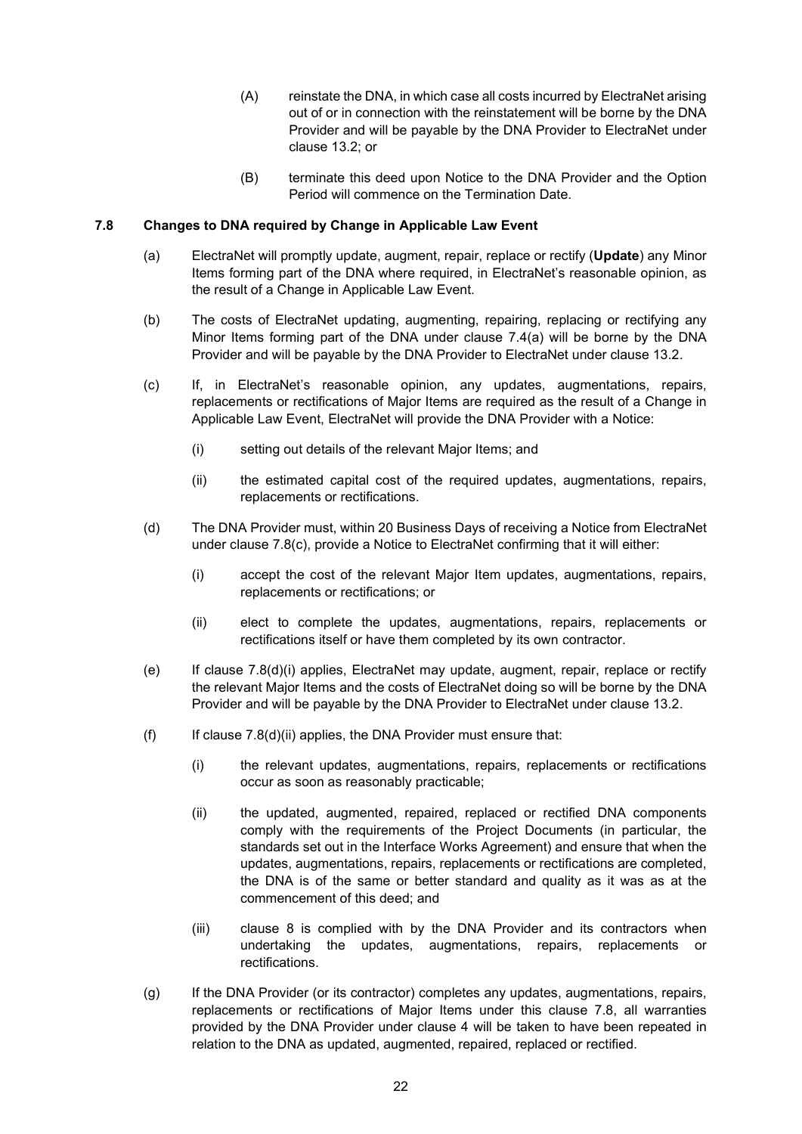- (A) reinstate the DNA, in which case all costs incurred by ElectraNet arising out of or in connection with the reinstatement will be borne by the DNA Provider and will be payable by the DNA Provider to ElectraNet under clause 13.2; or
- (B) terminate this deed upon Notice to the DNA Provider and the Option Period will commence on the Termination Date.

#### 7.8 Changes to DNA required by Change in Applicable Law Event

- (a) ElectraNet will promptly update, augment, repair, replace or rectify (Update) any Minor Items forming part of the DNA where required, in ElectraNet's reasonable opinion, as the result of a Change in Applicable Law Event.
- (b) The costs of ElectraNet updating, augmenting, repairing, replacing or rectifying any Minor Items forming part of the DNA under clause 7.4(a) will be borne by the DNA Provider and will be payable by the DNA Provider to ElectraNet under clause 13.2.
- (c) If, in ElectraNet's reasonable opinion, any updates, augmentations, repairs, replacements or rectifications of Major Items are required as the result of a Change in Applicable Law Event, ElectraNet will provide the DNA Provider with a Notice:
	- (i) setting out details of the relevant Major Items; and
	- (ii) the estimated capital cost of the required updates, augmentations, repairs, replacements or rectifications.
- (d) The DNA Provider must, within 20 Business Days of receiving a Notice from ElectraNet under clause 7.8(c), provide a Notice to ElectraNet confirming that it will either:
	- (i) accept the cost of the relevant Major Item updates, augmentations, repairs, replacements or rectifications; or
	- (ii) elect to complete the updates, augmentations, repairs, replacements or rectifications itself or have them completed by its own contractor.
- (e) If clause 7.8(d)(i) applies, ElectraNet may update, augment, repair, replace or rectify the relevant Major Items and the costs of ElectraNet doing so will be borne by the DNA Provider and will be payable by the DNA Provider to ElectraNet under clause 13.2.
- $(f)$  If clause 7.8(d)(ii) applies, the DNA Provider must ensure that:
	- (i) the relevant updates, augmentations, repairs, replacements or rectifications occur as soon as reasonably practicable;
	- (ii) the updated, augmented, repaired, replaced or rectified DNA components comply with the requirements of the Project Documents (in particular, the standards set out in the Interface Works Agreement) and ensure that when the updates, augmentations, repairs, replacements or rectifications are completed, the DNA is of the same or better standard and quality as it was as at the commencement of this deed; and
	- (iii) clause 8 is complied with by the DNA Provider and its contractors when undertaking the updates, augmentations, repairs, replacements or rectifications.
- (g) If the DNA Provider (or its contractor) completes any updates, augmentations, repairs, replacements or rectifications of Major Items under this clause 7.8, all warranties provided by the DNA Provider under clause 4 will be taken to have been repeated in relation to the DNA as updated, augmented, repaired, replaced or rectified.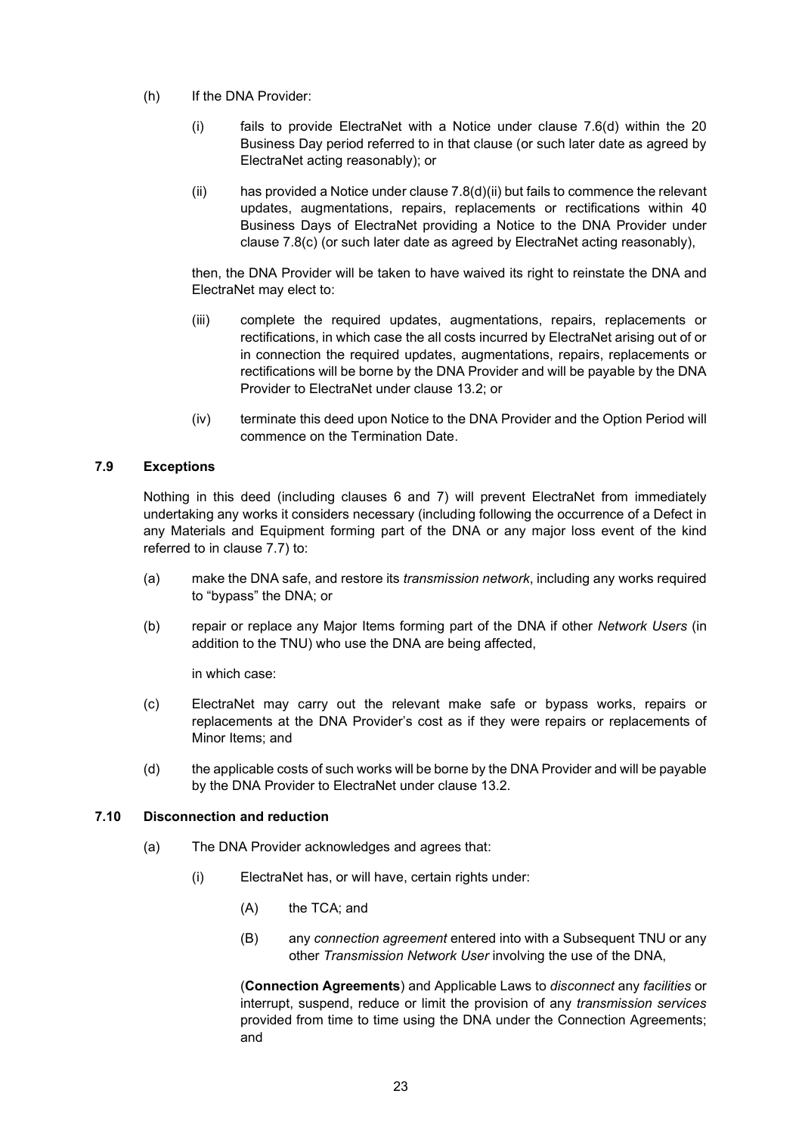- (h) If the DNA Provider:
	- (i) fails to provide ElectraNet with a Notice under clause 7.6(d) within the 20 Business Day period referred to in that clause (or such later date as agreed by ElectraNet acting reasonably); or
	- (ii) has provided a Notice under clause  $7.8(d)(ii)$  but fails to commence the relevant updates, augmentations, repairs, replacements or rectifications within 40 Business Days of ElectraNet providing a Notice to the DNA Provider under clause 7.8(c) (or such later date as agreed by ElectraNet acting reasonably),

then, the DNA Provider will be taken to have waived its right to reinstate the DNA and ElectraNet may elect to:

- (iii) complete the required updates, augmentations, repairs, replacements or rectifications, in which case the all costs incurred by ElectraNet arising out of or in connection the required updates, augmentations, repairs, replacements or rectifications will be borne by the DNA Provider and will be payable by the DNA Provider to ElectraNet under clause 13.2; or
- (iv) terminate this deed upon Notice to the DNA Provider and the Option Period will commence on the Termination Date.

## 7.9 Exceptions

Nothing in this deed (including clauses 6 and 7) will prevent ElectraNet from immediately undertaking any works it considers necessary (including following the occurrence of a Defect in any Materials and Equipment forming part of the DNA or any major loss event of the kind referred to in clause 7.7) to:

- (a) make the DNA safe, and restore its transmission network, including any works required to "bypass" the DNA; or
- (b) repair or replace any Major Items forming part of the DNA if other Network Users (in addition to the TNU) who use the DNA are being affected,

in which case:

- (c) ElectraNet may carry out the relevant make safe or bypass works, repairs or replacements at the DNA Provider's cost as if they were repairs or replacements of Minor Items; and
- (d) the applicable costs of such works will be borne by the DNA Provider and will be payable by the DNA Provider to ElectraNet under clause 13.2.

#### 7.10 Disconnection and reduction

- (a) The DNA Provider acknowledges and agrees that:
	- (i) ElectraNet has, or will have, certain rights under:
		- (A) the TCA; and
		- (B) any connection agreement entered into with a Subsequent TNU or any other Transmission Network User involving the use of the DNA,

(Connection Agreements) and Applicable Laws to disconnect any facilities or interrupt, suspend, reduce or limit the provision of any transmission services provided from time to time using the DNA under the Connection Agreements; and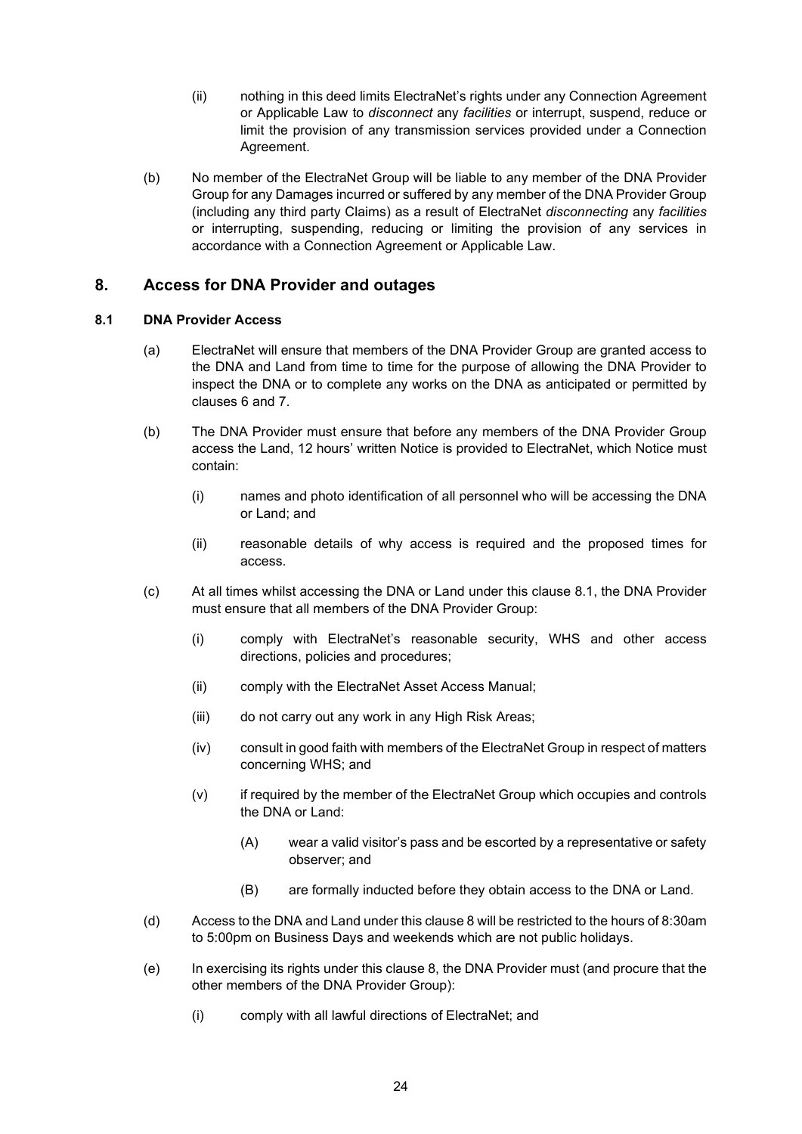- (ii) nothing in this deed limits ElectraNet's rights under any Connection Agreement or Applicable Law to *disconnect* any facilities or interrupt, suspend, reduce or limit the provision of any transmission services provided under a Connection Agreement.
- (b) No member of the ElectraNet Group will be liable to any member of the DNA Provider Group for any Damages incurred or suffered by any member of the DNA Provider Group (including any third party Claims) as a result of ElectraNet disconnecting any facilities or interrupting, suspending, reducing or limiting the provision of any services in accordance with a Connection Agreement or Applicable Law.

## 8. Access for DNA Provider and outages

## 8.1 DNA Provider Access

- (a) ElectraNet will ensure that members of the DNA Provider Group are granted access to the DNA and Land from time to time for the purpose of allowing the DNA Provider to inspect the DNA or to complete any works on the DNA as anticipated or permitted by clauses 6 and 7.
- (b) The DNA Provider must ensure that before any members of the DNA Provider Group access the Land, 12 hours' written Notice is provided to ElectraNet, which Notice must contain:
	- (i) names and photo identification of all personnel who will be accessing the DNA or Land; and
	- (ii) reasonable details of why access is required and the proposed times for access.
- (c) At all times whilst accessing the DNA or Land under this clause 8.1, the DNA Provider must ensure that all members of the DNA Provider Group:
	- (i) comply with ElectraNet's reasonable security, WHS and other access directions, policies and procedures;
	- (ii) comply with the ElectraNet Asset Access Manual;
	- (iii) do not carry out any work in any High Risk Areas;
	- (iv) consult in good faith with members of the ElectraNet Group in respect of matters concerning WHS; and
	- (v) if required by the member of the ElectraNet Group which occupies and controls the DNA or Land:
		- (A) wear a valid visitor's pass and be escorted by a representative or safety observer; and
		- (B) are formally inducted before they obtain access to the DNA or Land.
- (d) Access to the DNA and Land under this clause 8 will be restricted to the hours of 8:30am to 5:00pm on Business Days and weekends which are not public holidays.
- (e) In exercising its rights under this clause 8, the DNA Provider must (and procure that the other members of the DNA Provider Group):
	- (i) comply with all lawful directions of ElectraNet; and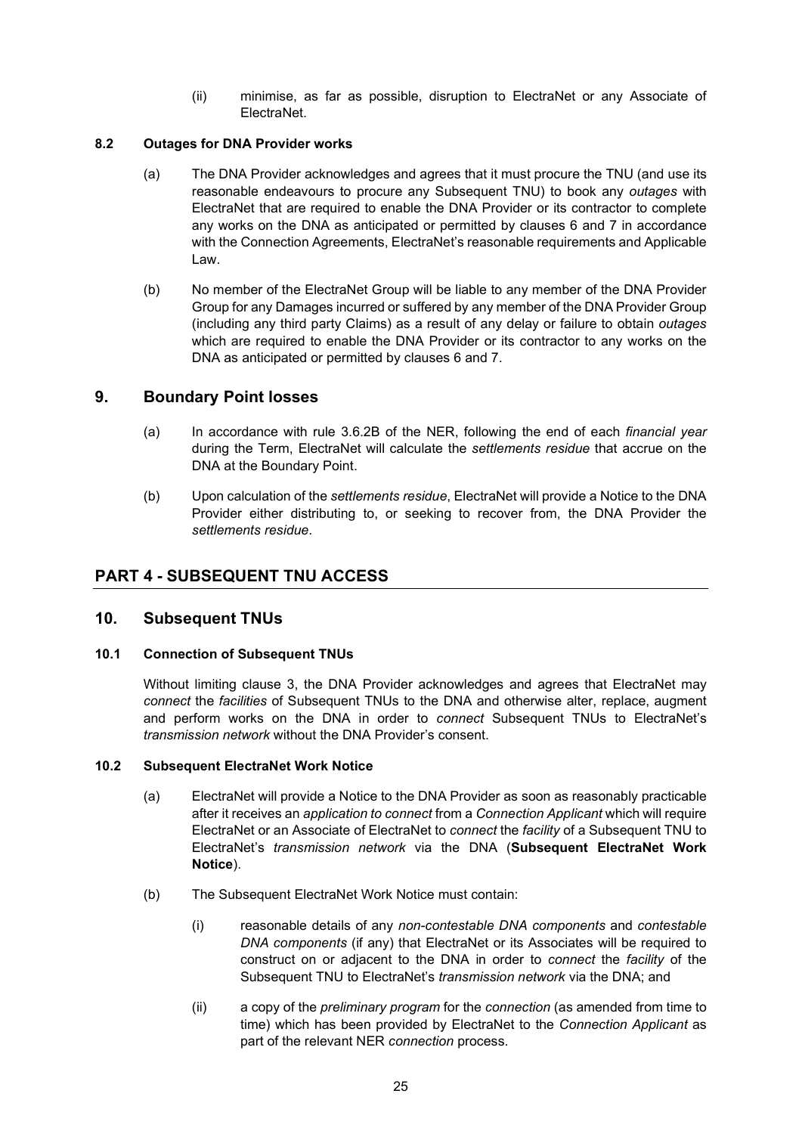(ii) minimise, as far as possible, disruption to ElectraNet or any Associate of ElectraNet.

#### 8.2 Outages for DNA Provider works

- (a) The DNA Provider acknowledges and agrees that it must procure the TNU (and use its reasonable endeavours to procure any Subsequent TNU) to book any outages with ElectraNet that are required to enable the DNA Provider or its contractor to complete any works on the DNA as anticipated or permitted by clauses 6 and 7 in accordance with the Connection Agreements, ElectraNet's reasonable requirements and Applicable Law.
- (b) No member of the ElectraNet Group will be liable to any member of the DNA Provider Group for any Damages incurred or suffered by any member of the DNA Provider Group (including any third party Claims) as a result of any delay or failure to obtain outages which are required to enable the DNA Provider or its contractor to any works on the DNA as anticipated or permitted by clauses 6 and 7.

## 9. Boundary Point losses

- (a) In accordance with rule 3.6.2B of the NER, following the end of each *financial year* during the Term, ElectraNet will calculate the settlements residue that accrue on the DNA at the Boundary Point.
- (b) Upon calculation of the settlements residue, ElectraNet will provide a Notice to the DNA Provider either distributing to, or seeking to recover from, the DNA Provider the settlements residue.

## PART 4 - SUBSEQUENT TNU ACCESS

#### 10. Subsequent TNUs

#### 10.1 Connection of Subsequent TNUs

Without limiting clause 3, the DNA Provider acknowledges and agrees that ElectraNet may connect the facilities of Subsequent TNUs to the DNA and otherwise alter, replace, augment and perform works on the DNA in order to *connect* Subsequent TNUs to ElectraNet's transmission network without the DNA Provider's consent.

#### 10.2 Subsequent ElectraNet Work Notice

- (a) ElectraNet will provide a Notice to the DNA Provider as soon as reasonably practicable after it receives an application to connect from a Connection Applicant which will require ElectraNet or an Associate of ElectraNet to connect the facility of a Subsequent TNU to ElectraNet's transmission network via the DNA (Subsequent ElectraNet Work Notice).
- (b) The Subsequent ElectraNet Work Notice must contain:
	- (i) reasonable details of any non-contestable DNA components and contestable DNA components (if any) that ElectraNet or its Associates will be required to construct on or adjacent to the DNA in order to connect the facility of the Subsequent TNU to ElectraNet's transmission network via the DNA; and
	- (ii) a copy of the *preliminary program* for the *connection* (as amended from time to time) which has been provided by ElectraNet to the Connection Applicant as part of the relevant NER connection process.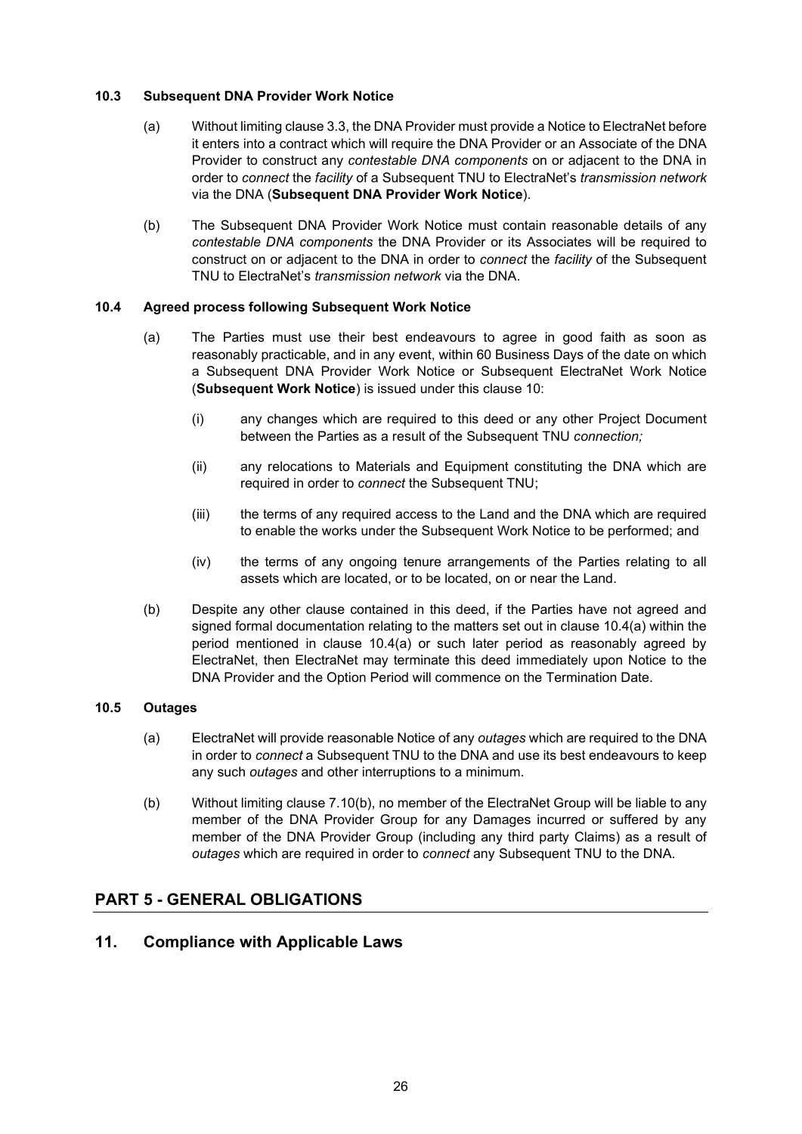#### 10.3 Subsequent DNA Provider Work Notice

- (a) Without limiting clause 3.3, the DNA Provider must provide a Notice to ElectraNet before it enters into a contract which will require the DNA Provider or an Associate of the DNA Provider to construct any contestable DNA components on or adjacent to the DNA in order to connect the facility of a Subsequent TNU to ElectraNet's transmission network via the DNA (Subsequent DNA Provider Work Notice).
- (b) The Subsequent DNA Provider Work Notice must contain reasonable details of any contestable DNA components the DNA Provider or its Associates will be required to construct on or adjacent to the DNA in order to *connect* the *facility* of the Subsequent TNU to ElectraNet's transmission network via the DNA.

#### 10.4 Agreed process following Subsequent Work Notice

- (a) The Parties must use their best endeavours to agree in good faith as soon as reasonably practicable, and in any event, within 60 Business Days of the date on which a Subsequent DNA Provider Work Notice or Subsequent ElectraNet Work Notice (Subsequent Work Notice) is issued under this clause 10:
	- (i) any changes which are required to this deed or any other Project Document between the Parties as a result of the Subsequent TNU connection:
	- (ii) any relocations to Materials and Equipment constituting the DNA which are required in order to connect the Subsequent TNU;
	- (iii) the terms of any required access to the Land and the DNA which are required to enable the works under the Subsequent Work Notice to be performed; and
	- (iv) the terms of any ongoing tenure arrangements of the Parties relating to all assets which are located, or to be located, on or near the Land.
- (b) Despite any other clause contained in this deed, if the Parties have not agreed and signed formal documentation relating to the matters set out in clause 10.4(a) within the period mentioned in clause 10.4(a) or such later period as reasonably agreed by ElectraNet, then ElectraNet may terminate this deed immediately upon Notice to the DNA Provider and the Option Period will commence on the Termination Date.

#### 10.5 Outages

- (a) ElectraNet will provide reasonable Notice of any outages which are required to the DNA in order to connect a Subsequent TNU to the DNA and use its best endeavours to keep any such outages and other interruptions to a minimum.
- (b) Without limiting clause 7.10(b), no member of the ElectraNet Group will be liable to any member of the DNA Provider Group for any Damages incurred or suffered by any member of the DNA Provider Group (including any third party Claims) as a result of outages which are required in order to connect any Subsequent TNU to the DNA.

## PART 5 - GENERAL OBLIGATIONS

## 11. Compliance with Applicable Laws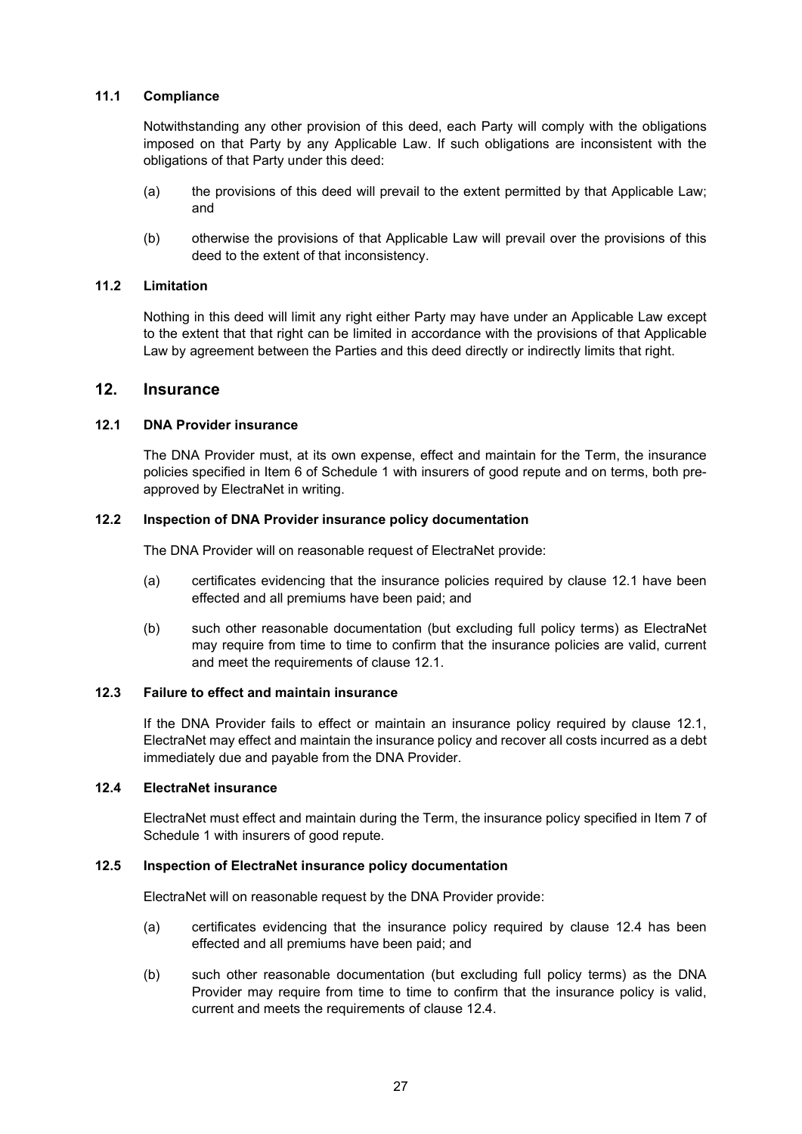#### 11.1 Compliance

Notwithstanding any other provision of this deed, each Party will comply with the obligations imposed on that Party by any Applicable Law. If such obligations are inconsistent with the obligations of that Party under this deed:

- (a) the provisions of this deed will prevail to the extent permitted by that Applicable Law; and
- (b) otherwise the provisions of that Applicable Law will prevail over the provisions of this deed to the extent of that inconsistency.

#### 11.2 Limitation

Nothing in this deed will limit any right either Party may have under an Applicable Law except to the extent that that right can be limited in accordance with the provisions of that Applicable Law by agreement between the Parties and this deed directly or indirectly limits that right.

#### 12. Insurance

## 12.1 DNA Provider insurance

The DNA Provider must, at its own expense, effect and maintain for the Term, the insurance policies specified in Item 6 of Schedule 1 with insurers of good repute and on terms, both preapproved by ElectraNet in writing.

#### 12.2 Inspection of DNA Provider insurance policy documentation

The DNA Provider will on reasonable request of ElectraNet provide:

- (a) certificates evidencing that the insurance policies required by clause 12.1 have been effected and all premiums have been paid; and
- (b) such other reasonable documentation (but excluding full policy terms) as ElectraNet may require from time to time to confirm that the insurance policies are valid, current and meet the requirements of clause 12.1.

#### 12.3 Failure to effect and maintain insurance

If the DNA Provider fails to effect or maintain an insurance policy required by clause 12.1, ElectraNet may effect and maintain the insurance policy and recover all costs incurred as a debt immediately due and payable from the DNA Provider.

## 12.4 ElectraNet insurance

ElectraNet must effect and maintain during the Term, the insurance policy specified in Item 7 of Schedule 1 with insurers of good repute.

#### 12.5 Inspection of ElectraNet insurance policy documentation

ElectraNet will on reasonable request by the DNA Provider provide:

- (a) certificates evidencing that the insurance policy required by clause 12.4 has been effected and all premiums have been paid; and
- (b) such other reasonable documentation (but excluding full policy terms) as the DNA Provider may require from time to time to confirm that the insurance policy is valid, current and meets the requirements of clause 12.4.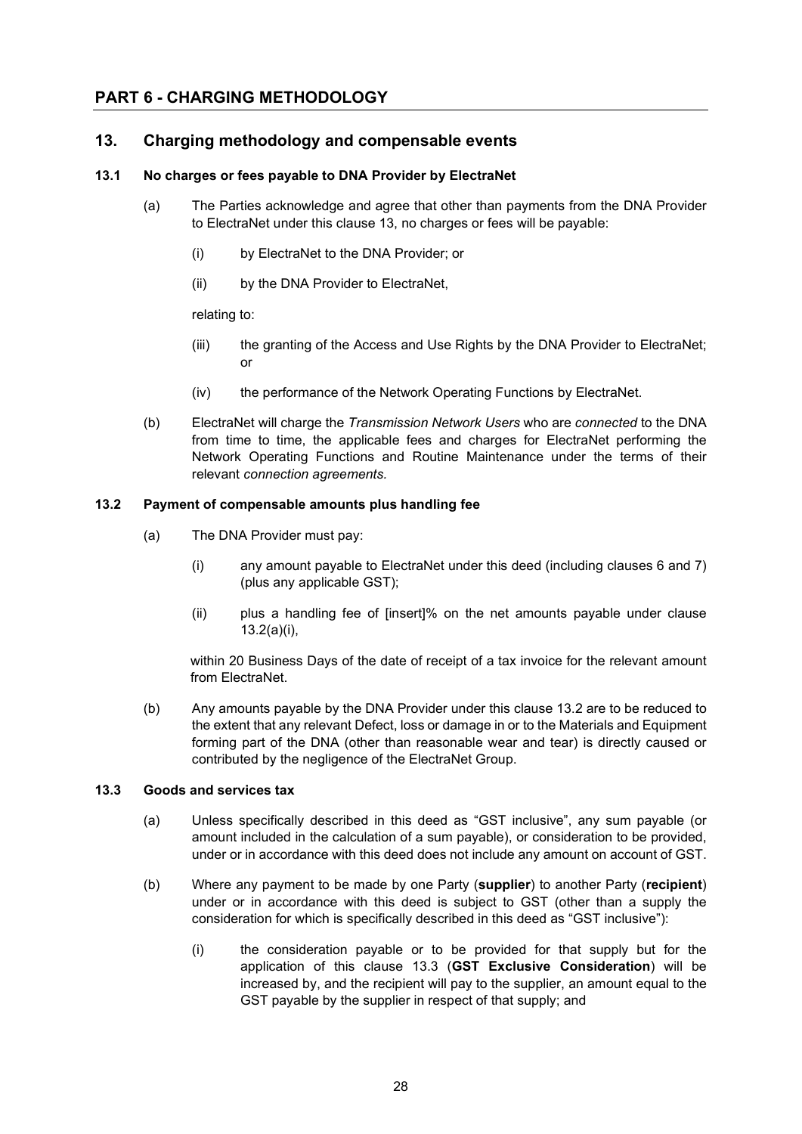## PART 6 - CHARGING METHODOLOGY

## 13. Charging methodology and compensable events

#### 13.1 No charges or fees payable to DNA Provider by ElectraNet

- (a) The Parties acknowledge and agree that other than payments from the DNA Provider to ElectraNet under this clause 13, no charges or fees will be payable:
	- (i) by ElectraNet to the DNA Provider; or
	- (ii) by the DNA Provider to ElectraNet,

relating to:

- (iii) the granting of the Access and Use Rights by the DNA Provider to ElectraNet; or
- (iv) the performance of the Network Operating Functions by ElectraNet.
- (b) ElectraNet will charge the Transmission Network Users who are connected to the DNA from time to time, the applicable fees and charges for ElectraNet performing the Network Operating Functions and Routine Maintenance under the terms of their relevant connection agreements.

#### 13.2 Payment of compensable amounts plus handling fee

- (a) The DNA Provider must pay:
	- (i) any amount payable to ElectraNet under this deed (including clauses 6 and 7) (plus any applicable GST);
	- (ii) plus a handling fee of [insert]% on the net amounts payable under clause 13.2(a)(i),

within 20 Business Days of the date of receipt of a tax invoice for the relevant amount from ElectraNet.

(b) Any amounts payable by the DNA Provider under this clause 13.2 are to be reduced to the extent that any relevant Defect, loss or damage in or to the Materials and Equipment forming part of the DNA (other than reasonable wear and tear) is directly caused or contributed by the negligence of the ElectraNet Group.

#### 13.3 Goods and services tax

- (a) Unless specifically described in this deed as "GST inclusive", any sum payable (or amount included in the calculation of a sum payable), or consideration to be provided, under or in accordance with this deed does not include any amount on account of GST.
- (b) Where any payment to be made by one Party (supplier) to another Party (recipient) under or in accordance with this deed is subject to GST (other than a supply the consideration for which is specifically described in this deed as "GST inclusive"):
	- (i) the consideration payable or to be provided for that supply but for the application of this clause 13.3 (GST Exclusive Consideration) will be increased by, and the recipient will pay to the supplier, an amount equal to the GST payable by the supplier in respect of that supply; and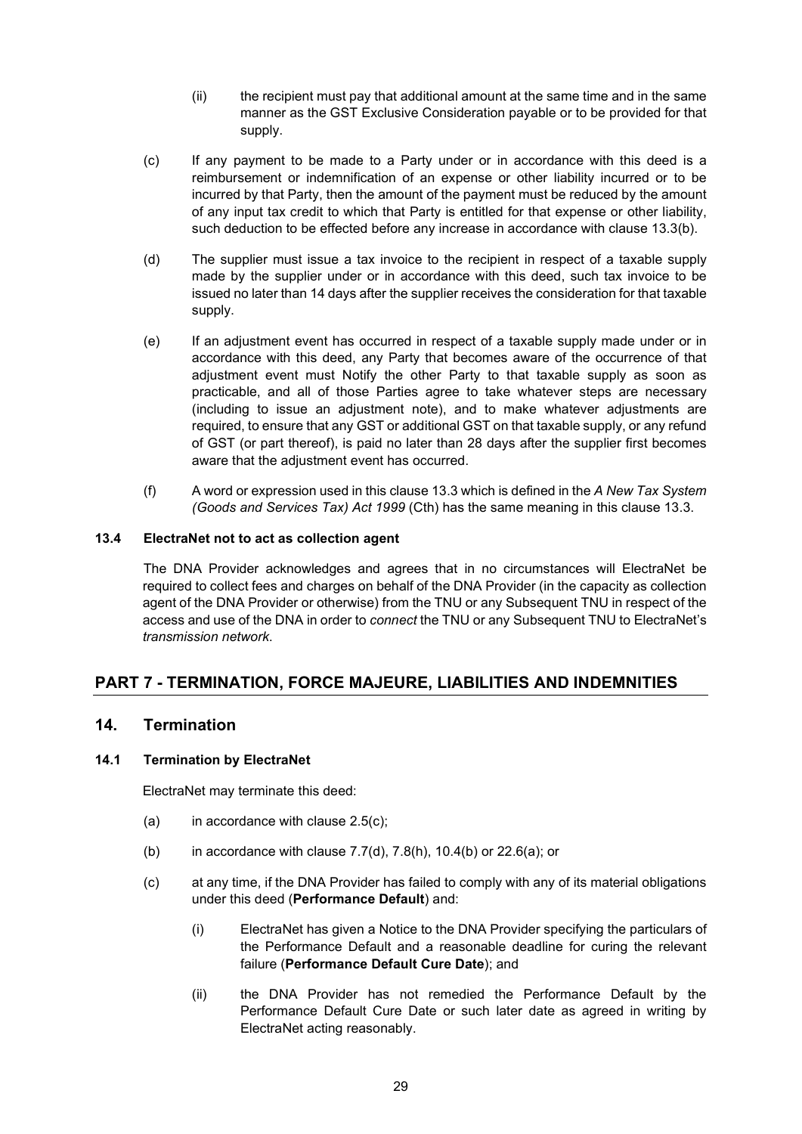- (ii) the recipient must pay that additional amount at the same time and in the same manner as the GST Exclusive Consideration payable or to be provided for that supply.
- (c) If any payment to be made to a Party under or in accordance with this deed is a reimbursement or indemnification of an expense or other liability incurred or to be incurred by that Party, then the amount of the payment must be reduced by the amount of any input tax credit to which that Party is entitled for that expense or other liability, such deduction to be effected before any increase in accordance with clause 13.3(b).
- (d) The supplier must issue a tax invoice to the recipient in respect of a taxable supply made by the supplier under or in accordance with this deed, such tax invoice to be issued no later than 14 days after the supplier receives the consideration for that taxable supply.
- (e) If an adjustment event has occurred in respect of a taxable supply made under or in accordance with this deed, any Party that becomes aware of the occurrence of that adjustment event must Notify the other Party to that taxable supply as soon as practicable, and all of those Parties agree to take whatever steps are necessary (including to issue an adjustment note), and to make whatever adjustments are required, to ensure that any GST or additional GST on that taxable supply, or any refund of GST (or part thereof), is paid no later than 28 days after the supplier first becomes aware that the adjustment event has occurred.
- (f) A word or expression used in this clause 13.3 which is defined in the  $A$  New Tax System (Goods and Services Tax) Act 1999 (Cth) has the same meaning in this clause 13.3.

## 13.4 ElectraNet not to act as collection agent

The DNA Provider acknowledges and agrees that in no circumstances will ElectraNet be required to collect fees and charges on behalf of the DNA Provider (in the capacity as collection agent of the DNA Provider or otherwise) from the TNU or any Subsequent TNU in respect of the access and use of the DNA in order to connect the TNU or any Subsequent TNU to ElectraNet's transmission network.

## PART 7 - TERMINATION, FORCE MAJEURE, LIABILITIES AND INDEMNITIES

## 14. Termination

#### 14.1 Termination by ElectraNet

ElectraNet may terminate this deed:

- (a) in accordance with clause  $2.5(c)$ ;
- (b) in accordance with clause  $7.7$ (d),  $7.8$ (h),  $10.4$ (b) or  $22.6$ (a); or
- (c) at any time, if the DNA Provider has failed to comply with any of its material obligations under this deed (Performance Default) and:
	- (i) ElectraNet has given a Notice to the DNA Provider specifying the particulars of the Performance Default and a reasonable deadline for curing the relevant failure (Performance Default Cure Date); and
	- (ii) the DNA Provider has not remedied the Performance Default by the Performance Default Cure Date or such later date as agreed in writing by ElectraNet acting reasonably.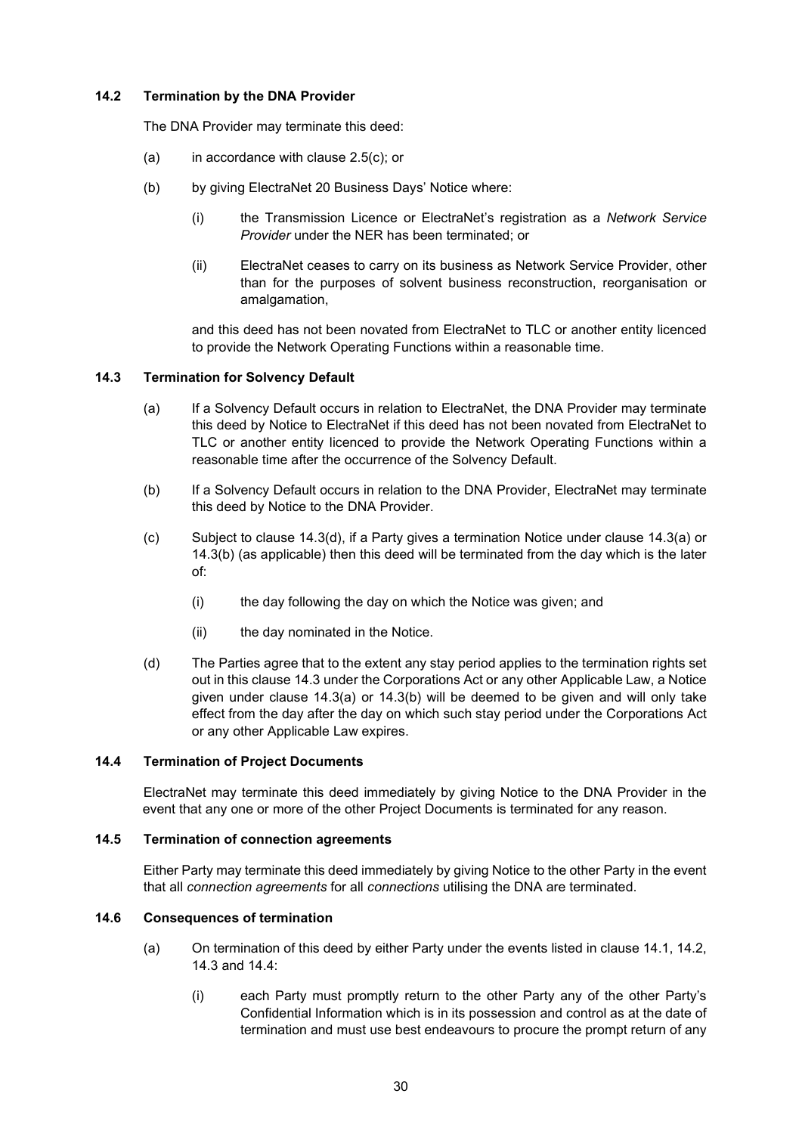### 14.2 Termination by the DNA Provider

The DNA Provider may terminate this deed:

- (a) in accordance with clause  $2.5(c)$ ; or
- (b) by giving ElectraNet 20 Business Days' Notice where:
	- (i) the Transmission Licence or ElectraNet's registration as a Network Service Provider under the NER has been terminated; or
	- (ii) ElectraNet ceases to carry on its business as Network Service Provider, other than for the purposes of solvent business reconstruction, reorganisation or amalgamation,

and this deed has not been novated from ElectraNet to TLC or another entity licenced to provide the Network Operating Functions within a reasonable time.

#### 14.3 Termination for Solvency Default

- (a) If a Solvency Default occurs in relation to ElectraNet, the DNA Provider may terminate this deed by Notice to ElectraNet if this deed has not been novated from ElectraNet to TLC or another entity licenced to provide the Network Operating Functions within a reasonable time after the occurrence of the Solvency Default.
- (b) If a Solvency Default occurs in relation to the DNA Provider, ElectraNet may terminate this deed by Notice to the DNA Provider.
- (c) Subject to clause 14.3(d), if a Party gives a termination Notice under clause 14.3(a) or 14.3(b) (as applicable) then this deed will be terminated from the day which is the later of:
	- (i) the day following the day on which the Notice was given; and
	- (ii) the day nominated in the Notice.
- (d) The Parties agree that to the extent any stay period applies to the termination rights set out in this clause 14.3 under the Corporations Act or any other Applicable Law, a Notice given under clause 14.3(a) or 14.3(b) will be deemed to be given and will only take effect from the day after the day on which such stay period under the Corporations Act or any other Applicable Law expires.

#### 14.4 Termination of Project Documents

ElectraNet may terminate this deed immediately by giving Notice to the DNA Provider in the event that any one or more of the other Project Documents is terminated for any reason.

#### 14.5 Termination of connection agreements

Either Party may terminate this deed immediately by giving Notice to the other Party in the event that all connection agreements for all connections utilising the DNA are terminated.

#### 14.6 Consequences of termination

- (a) On termination of this deed by either Party under the events listed in clause 14.1, 14.2, 14.3 and 14.4:
	- (i) each Party must promptly return to the other Party any of the other Party's Confidential Information which is in its possession and control as at the date of termination and must use best endeavours to procure the prompt return of any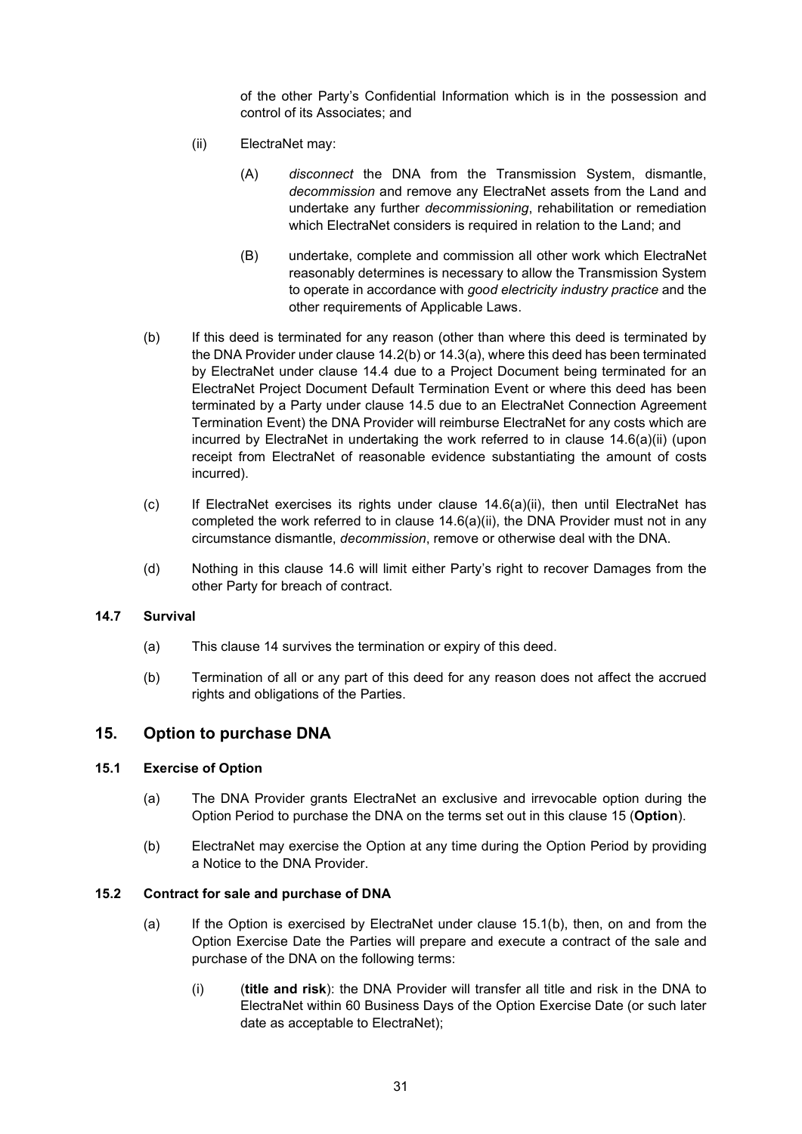of the other Party's Confidential Information which is in the possession and control of its Associates; and

- (ii) ElectraNet may:
	- (A) disconnect the DNA from the Transmission System, dismantle, decommission and remove any ElectraNet assets from the Land and undertake any further decommissioning, rehabilitation or remediation which ElectraNet considers is required in relation to the Land; and
	- (B) undertake, complete and commission all other work which ElectraNet reasonably determines is necessary to allow the Transmission System to operate in accordance with good electricity industry practice and the other requirements of Applicable Laws.
- (b) If this deed is terminated for any reason (other than where this deed is terminated by the DNA Provider under clause 14.2(b) or 14.3(a), where this deed has been terminated by ElectraNet under clause 14.4 due to a Project Document being terminated for an ElectraNet Project Document Default Termination Event or where this deed has been terminated by a Party under clause 14.5 due to an ElectraNet Connection Agreement Termination Event) the DNA Provider will reimburse ElectraNet for any costs which are incurred by ElectraNet in undertaking the work referred to in clause 14.6(a)(ii) (upon receipt from ElectraNet of reasonable evidence substantiating the amount of costs incurred).
- (c) If ElectraNet exercises its rights under clause 14.6(a)(ii), then until ElectraNet has completed the work referred to in clause  $14.6(a)(ii)$ , the DNA Provider must not in any circumstance dismantle, decommission, remove or otherwise deal with the DNA.
- (d) Nothing in this clause 14.6 will limit either Party's right to recover Damages from the other Party for breach of contract.

#### 14.7 Survival

- (a) This clause 14 survives the termination or expiry of this deed.
- (b) Termination of all or any part of this deed for any reason does not affect the accrued rights and obligations of the Parties.

## 15. Option to purchase DNA

#### 15.1 Exercise of Option

- (a) The DNA Provider grants ElectraNet an exclusive and irrevocable option during the Option Period to purchase the DNA on the terms set out in this clause 15 (Option).
- (b) ElectraNet may exercise the Option at any time during the Option Period by providing a Notice to the DNA Provider.

#### 15.2 Contract for sale and purchase of DNA

- (a) If the Option is exercised by ElectraNet under clause 15.1(b), then, on and from the Option Exercise Date the Parties will prepare and execute a contract of the sale and purchase of the DNA on the following terms:
	- $(i)$  (title and risk): the DNA Provider will transfer all title and risk in the DNA to ElectraNet within 60 Business Days of the Option Exercise Date (or such later date as acceptable to ElectraNet);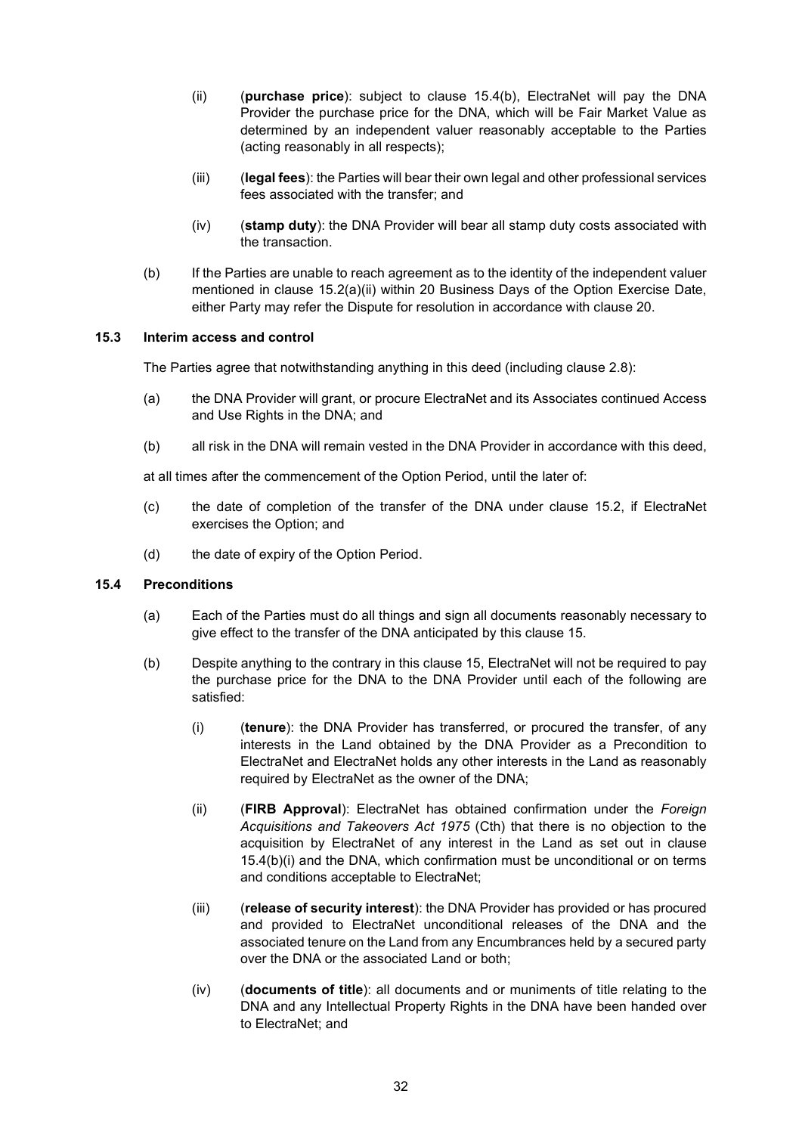- (ii) (purchase price): subject to clause  $15.4(b)$ , ElectraNet will pay the DNA Provider the purchase price for the DNA, which will be Fair Market Value as determined by an independent valuer reasonably acceptable to the Parties (acting reasonably in all respects);
- (iii) (legal fees): the Parties will bear their own legal and other professional services fees associated with the transfer; and
- $(iv)$  (stamp duty): the DNA Provider will bear all stamp duty costs associated with the transaction.
- (b) If the Parties are unable to reach agreement as to the identity of the independent valuer mentioned in clause 15.2(a)(ii) within 20 Business Days of the Option Exercise Date, either Party may refer the Dispute for resolution in accordance with clause 20.

#### 15.3 Interim access and control

The Parties agree that notwithstanding anything in this deed (including clause 2.8):

- (a) the DNA Provider will grant, or procure ElectraNet and its Associates continued Access and Use Rights in the DNA; and
- (b) all risk in the DNA will remain vested in the DNA Provider in accordance with this deed,

at all times after the commencement of the Option Period, until the later of:

- (c) the date of completion of the transfer of the DNA under clause 15.2, if ElectraNet exercises the Option; and
- (d) the date of expiry of the Option Period.

#### 15.4 Preconditions

- (a) Each of the Parties must do all things and sign all documents reasonably necessary to give effect to the transfer of the DNA anticipated by this clause 15.
- (b) Despite anything to the contrary in this clause 15, ElectraNet will not be required to pay the purchase price for the DNA to the DNA Provider until each of the following are satisfied:
	- (i) (tenure): the DNA Provider has transferred, or procured the transfer, of any interests in the Land obtained by the DNA Provider as a Precondition to ElectraNet and ElectraNet holds any other interests in the Land as reasonably required by ElectraNet as the owner of the DNA;
	- (ii) (FIRB Approval): ElectraNet has obtained confirmation under the Foreign Acquisitions and Takeovers Act 1975 (Cth) that there is no objection to the acquisition by ElectraNet of any interest in the Land as set out in clause 15.4(b)(i) and the DNA, which confirmation must be unconditional or on terms and conditions acceptable to ElectraNet;
	- (iii) (release of security interest): the DNA Provider has provided or has procured and provided to ElectraNet unconditional releases of the DNA and the associated tenure on the Land from any Encumbrances held by a secured party over the DNA or the associated Land or both;
	- $(iv)$  (documents of title): all documents and or muniments of title relating to the DNA and any Intellectual Property Rights in the DNA have been handed over to ElectraNet; and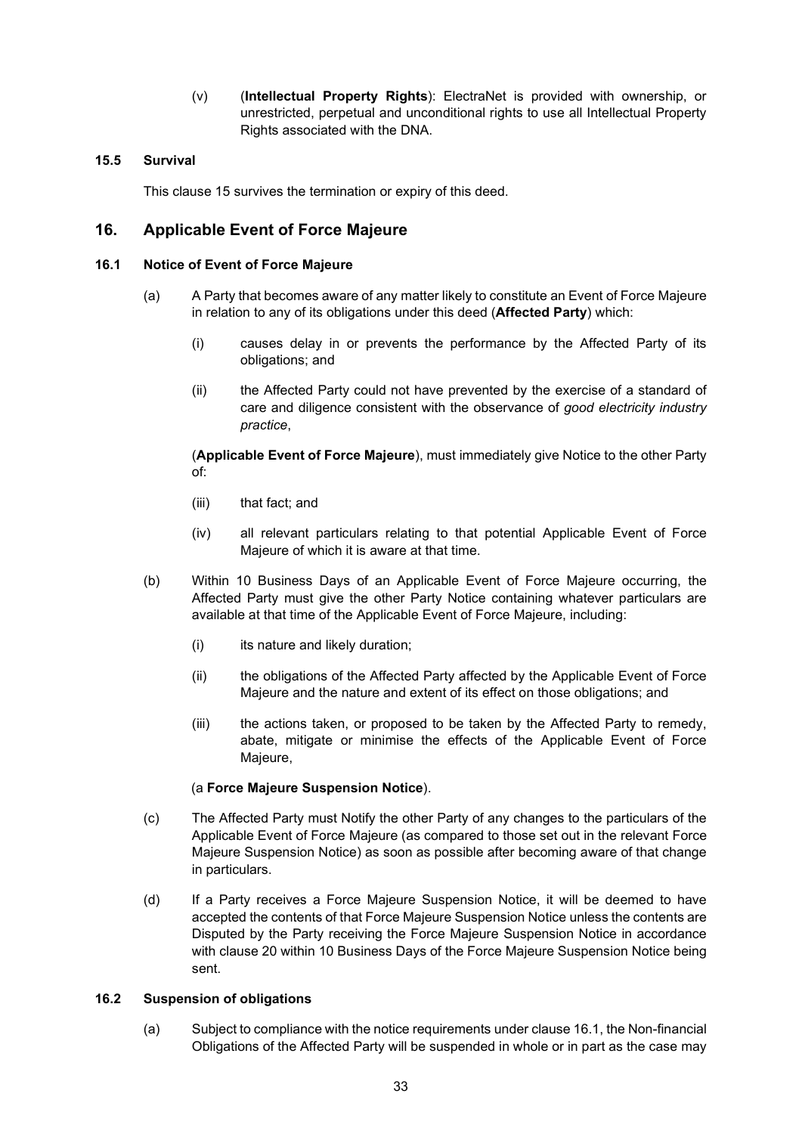(v) (Intellectual Property Rights): ElectraNet is provided with ownership, or unrestricted, perpetual and unconditional rights to use all Intellectual Property Rights associated with the DNA.

## 15.5 Survival

This clause 15 survives the termination or expiry of this deed.

## 16. Applicable Event of Force Majeure

### 16.1 Notice of Event of Force Majeure

- (a) A Party that becomes aware of any matter likely to constitute an Event of Force Majeure in relation to any of its obligations under this deed (Affected Party) which:
	- (i) causes delay in or prevents the performance by the Affected Party of its obligations; and
	- (ii) the Affected Party could not have prevented by the exercise of a standard of care and diligence consistent with the observance of good electricity industry practice,

(Applicable Event of Force Majeure), must immediately give Notice to the other Party of:

- (iii) that fact; and
- (iv) all relevant particulars relating to that potential Applicable Event of Force Majeure of which it is aware at that time.
- (b) Within 10 Business Days of an Applicable Event of Force Majeure occurring, the Affected Party must give the other Party Notice containing whatever particulars are available at that time of the Applicable Event of Force Majeure, including:
	- (i) its nature and likely duration;
	- (ii) the obligations of the Affected Party affected by the Applicable Event of Force Majeure and the nature and extent of its effect on those obligations; and
	- (iii) the actions taken, or proposed to be taken by the Affected Party to remedy, abate, mitigate or minimise the effects of the Applicable Event of Force Majeure,

## (a Force Majeure Suspension Notice).

- (c) The Affected Party must Notify the other Party of any changes to the particulars of the Applicable Event of Force Majeure (as compared to those set out in the relevant Force Majeure Suspension Notice) as soon as possible after becoming aware of that change in particulars.
- (d) If a Party receives a Force Majeure Suspension Notice, it will be deemed to have accepted the contents of that Force Majeure Suspension Notice unless the contents are Disputed by the Party receiving the Force Majeure Suspension Notice in accordance with clause 20 within 10 Business Days of the Force Majeure Suspension Notice being sent.

#### 16.2 Suspension of obligations

(a) Subject to compliance with the notice requirements under clause 16.1, the Non-financial Obligations of the Affected Party will be suspended in whole or in part as the case may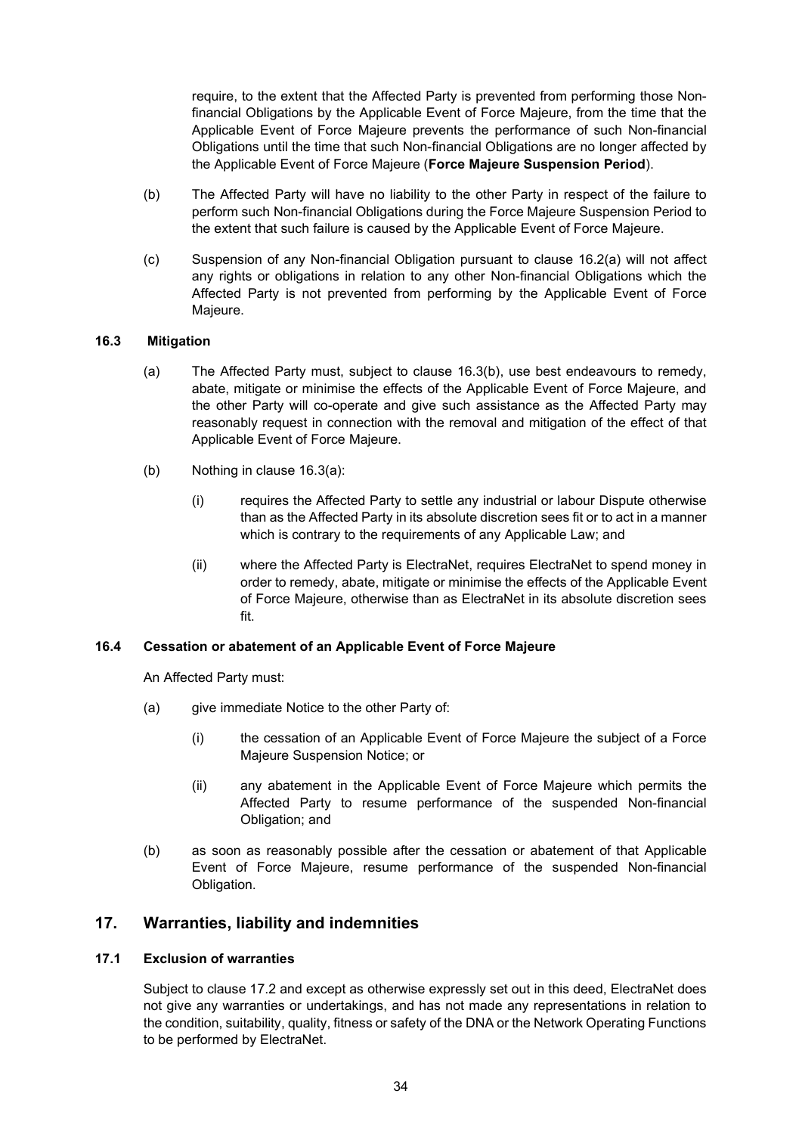require, to the extent that the Affected Party is prevented from performing those Nonfinancial Obligations by the Applicable Event of Force Majeure, from the time that the Applicable Event of Force Majeure prevents the performance of such Non-financial Obligations until the time that such Non-financial Obligations are no longer affected by the Applicable Event of Force Majeure (Force Majeure Suspension Period).

- (b) The Affected Party will have no liability to the other Party in respect of the failure to perform such Non-financial Obligations during the Force Majeure Suspension Period to the extent that such failure is caused by the Applicable Event of Force Majeure.
- (c) Suspension of any Non-financial Obligation pursuant to clause 16.2(a) will not affect any rights or obligations in relation to any other Non-financial Obligations which the Affected Party is not prevented from performing by the Applicable Event of Force Majeure.

#### 16.3 Mitigation

- (a) The Affected Party must, subject to clause 16.3(b), use best endeavours to remedy, abate, mitigate or minimise the effects of the Applicable Event of Force Majeure, and the other Party will co-operate and give such assistance as the Affected Party may reasonably request in connection with the removal and mitigation of the effect of that Applicable Event of Force Majeure.
- (b) Nothing in clause 16.3(a):
	- (i) requires the Affected Party to settle any industrial or labour Dispute otherwise than as the Affected Party in its absolute discretion sees fit or to act in a manner which is contrary to the requirements of any Applicable Law; and
	- (ii) where the Affected Party is ElectraNet, requires ElectraNet to spend money in order to remedy, abate, mitigate or minimise the effects of the Applicable Event of Force Majeure, otherwise than as ElectraNet in its absolute discretion sees fit.

#### 16.4 Cessation or abatement of an Applicable Event of Force Majeure

An Affected Party must:

- (a) give immediate Notice to the other Party of:
	- (i) the cessation of an Applicable Event of Force Majeure the subject of a Force Majeure Suspension Notice; or
	- (ii) any abatement in the Applicable Event of Force Majeure which permits the Affected Party to resume performance of the suspended Non-financial Obligation; and
- (b) as soon as reasonably possible after the cessation or abatement of that Applicable Event of Force Majeure, resume performance of the suspended Non-financial Obligation.

## 17. Warranties, liability and indemnities

#### 17.1 Exclusion of warranties

Subject to clause 17.2 and except as otherwise expressly set out in this deed, ElectraNet does not give any warranties or undertakings, and has not made any representations in relation to the condition, suitability, quality, fitness or safety of the DNA or the Network Operating Functions to be performed by ElectraNet.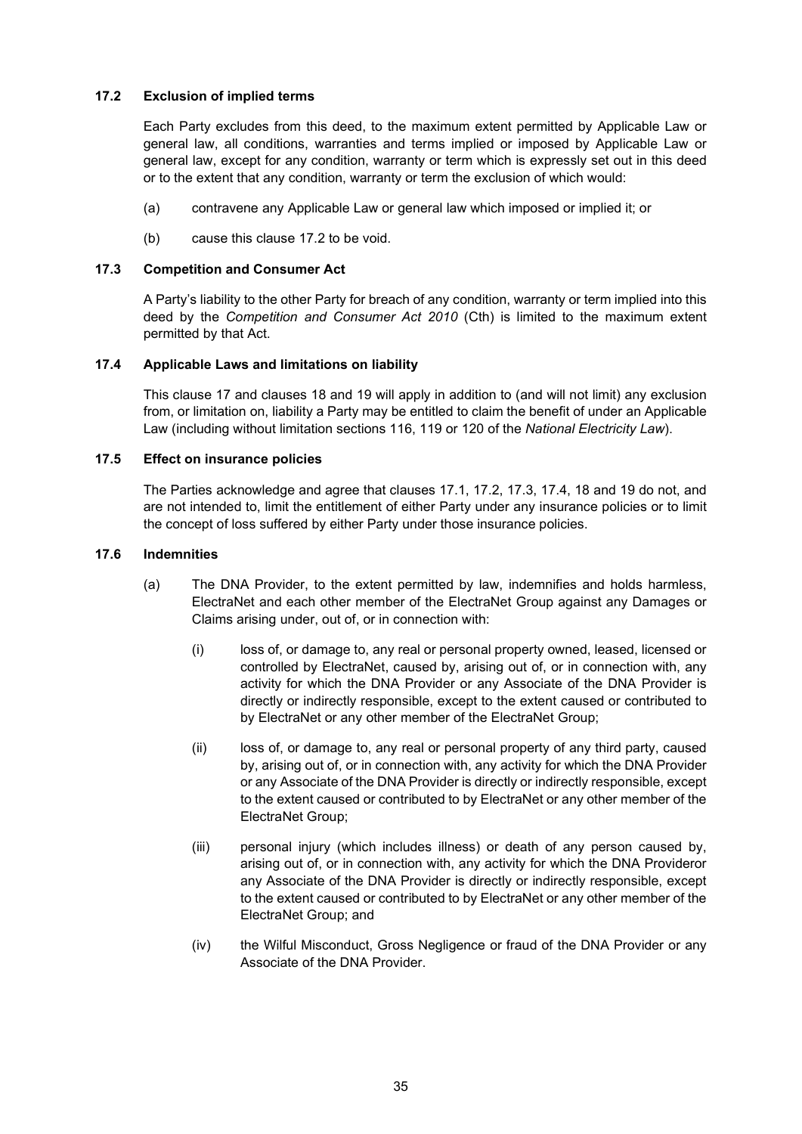## 17.2 Exclusion of implied terms

Each Party excludes from this deed, to the maximum extent permitted by Applicable Law or general law, all conditions, warranties and terms implied or imposed by Applicable Law or general law, except for any condition, warranty or term which is expressly set out in this deed or to the extent that any condition, warranty or term the exclusion of which would:

- (a) contravene any Applicable Law or general law which imposed or implied it; or
- (b) cause this clause 17.2 to be void.

### 17.3 Competition and Consumer Act

A Party's liability to the other Party for breach of any condition, warranty or term implied into this deed by the Competition and Consumer Act 2010 (Cth) is limited to the maximum extent permitted by that Act.

## 17.4 Applicable Laws and limitations on liability

This clause 17 and clauses 18 and 19 will apply in addition to (and will not limit) any exclusion from, or limitation on, liability a Party may be entitled to claim the benefit of under an Applicable Law (including without limitation sections 116, 119 or 120 of the National Electricity Law).

## 17.5 Effect on insurance policies

The Parties acknowledge and agree that clauses 17.1, 17.2, 17.3, 17.4, 18 and 19 do not, and are not intended to, limit the entitlement of either Party under any insurance policies or to limit the concept of loss suffered by either Party under those insurance policies.

#### 17.6 Indemnities

- (a) The DNA Provider, to the extent permitted by law, indemnifies and holds harmless, ElectraNet and each other member of the ElectraNet Group against any Damages or Claims arising under, out of, or in connection with:
	- (i) loss of, or damage to, any real or personal property owned, leased, licensed or controlled by ElectraNet, caused by, arising out of, or in connection with, any activity for which the DNA Provider or any Associate of the DNA Provider is directly or indirectly responsible, except to the extent caused or contributed to by ElectraNet or any other member of the ElectraNet Group;
	- (ii) loss of, or damage to, any real or personal property of any third party, caused by, arising out of, or in connection with, any activity for which the DNA Provider or any Associate of the DNA Provider is directly or indirectly responsible, except to the extent caused or contributed to by ElectraNet or any other member of the ElectraNet Group;
	- (iii) personal injury (which includes illness) or death of any person caused by, arising out of, or in connection with, any activity for which the DNA Provideror any Associate of the DNA Provider is directly or indirectly responsible, except to the extent caused or contributed to by ElectraNet or any other member of the ElectraNet Group; and
	- (iv) the Wilful Misconduct, Gross Negligence or fraud of the DNA Provider or any Associate of the DNA Provider.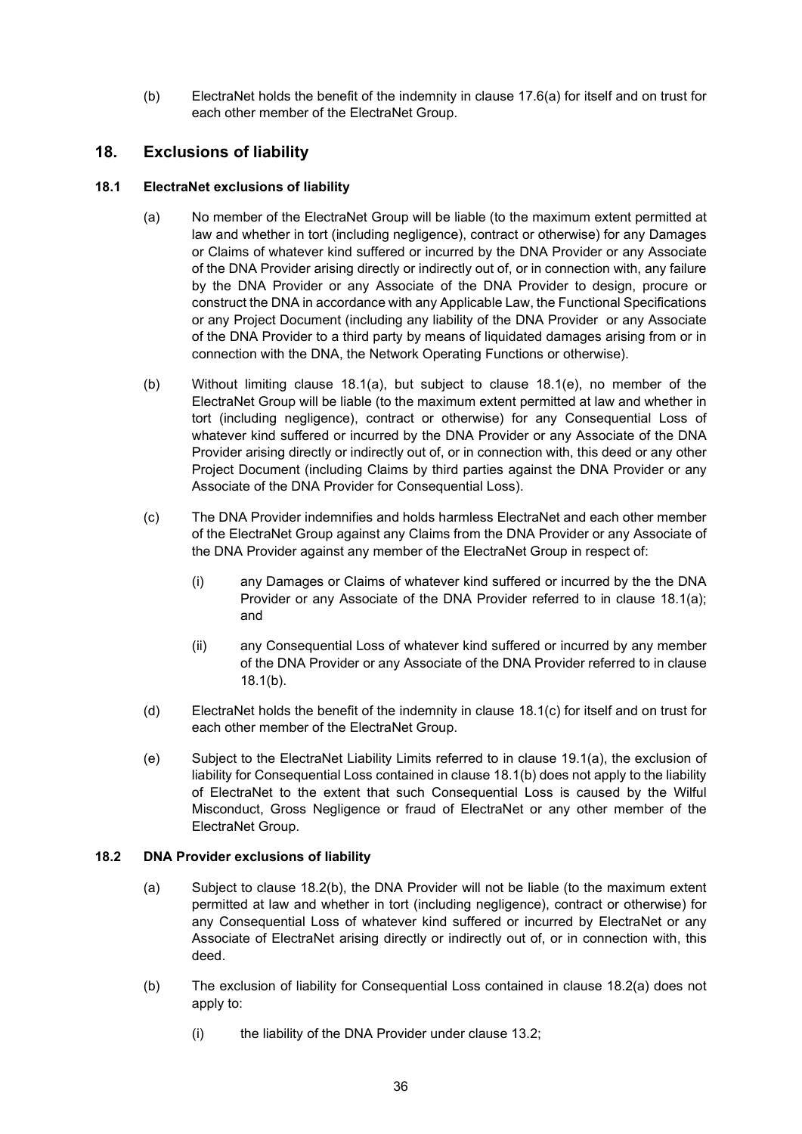(b) ElectraNet holds the benefit of the indemnity in clause 17.6(a) for itself and on trust for each other member of the ElectraNet Group.

## 18. Exclusions of liability

#### 18.1 ElectraNet exclusions of liability

- (a) No member of the ElectraNet Group will be liable (to the maximum extent permitted at law and whether in tort (including negligence), contract or otherwise) for any Damages or Claims of whatever kind suffered or incurred by the DNA Provider or any Associate of the DNA Provider arising directly or indirectly out of, or in connection with, any failure by the DNA Provider or any Associate of the DNA Provider to design, procure or construct the DNA in accordance with any Applicable Law, the Functional Specifications or any Project Document (including any liability of the DNA Provider or any Associate of the DNA Provider to a third party by means of liquidated damages arising from or in connection with the DNA, the Network Operating Functions or otherwise).
- (b) Without limiting clause 18.1(a), but subject to clause 18.1(e), no member of the ElectraNet Group will be liable (to the maximum extent permitted at law and whether in tort (including negligence), contract or otherwise) for any Consequential Loss of whatever kind suffered or incurred by the DNA Provider or any Associate of the DNA Provider arising directly or indirectly out of, or in connection with, this deed or any other Project Document (including Claims by third parties against the DNA Provider or any Associate of the DNA Provider for Consequential Loss).
- (c) The DNA Provider indemnifies and holds harmless ElectraNet and each other member of the ElectraNet Group against any Claims from the DNA Provider or any Associate of the DNA Provider against any member of the ElectraNet Group in respect of:
	- (i) any Damages or Claims of whatever kind suffered or incurred by the the DNA Provider or any Associate of the DNA Provider referred to in clause 18.1(a); and
	- (ii) any Consequential Loss of whatever kind suffered or incurred by any member of the DNA Provider or any Associate of the DNA Provider referred to in clause 18.1(b).
- (d) ElectraNet holds the benefit of the indemnity in clause 18.1(c) for itself and on trust for each other member of the ElectraNet Group.
- (e) Subject to the ElectraNet Liability Limits referred to in clause 19.1(a), the exclusion of liability for Consequential Loss contained in clause 18.1(b) does not apply to the liability of ElectraNet to the extent that such Consequential Loss is caused by the Wilful Misconduct, Gross Negligence or fraud of ElectraNet or any other member of the ElectraNet Group.

#### 18.2 DNA Provider exclusions of liability

- (a) Subject to clause 18.2(b), the DNA Provider will not be liable (to the maximum extent permitted at law and whether in tort (including negligence), contract or otherwise) for any Consequential Loss of whatever kind suffered or incurred by ElectraNet or any Associate of ElectraNet arising directly or indirectly out of, or in connection with, this deed.
- (b) The exclusion of liability for Consequential Loss contained in clause 18.2(a) does not apply to:
	- (i) the liability of the DNA Provider under clause 13.2;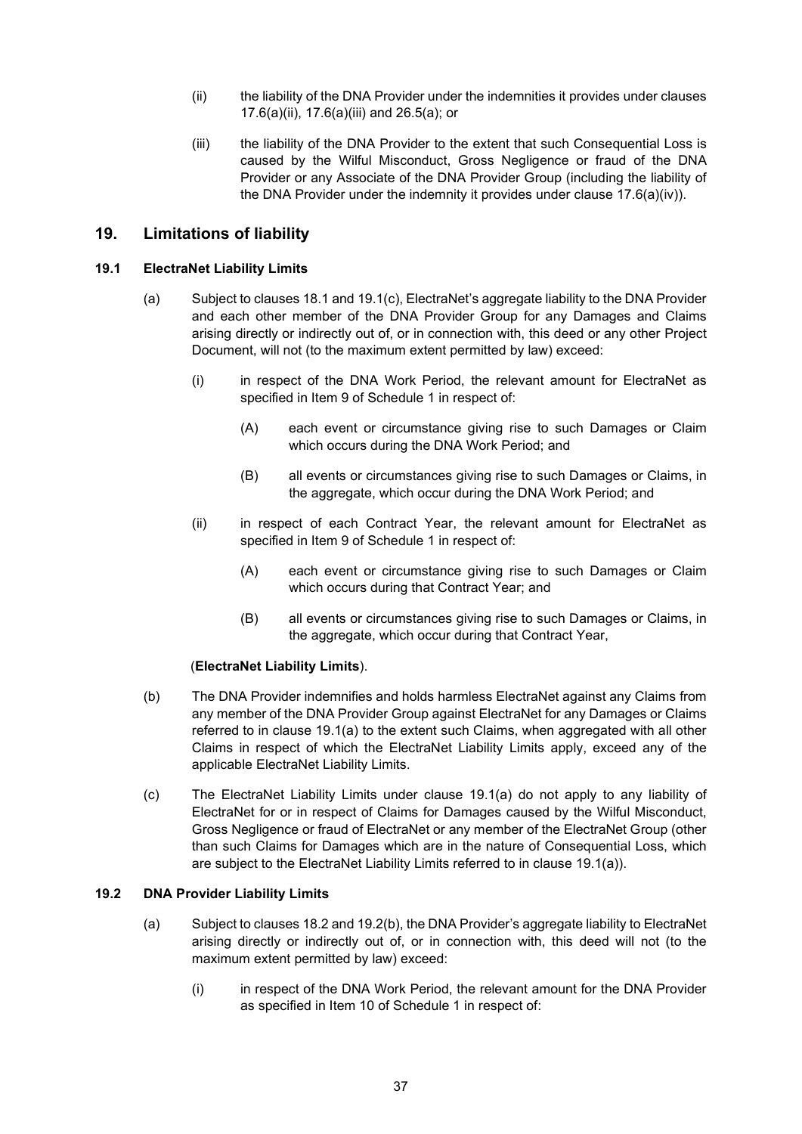- (ii) the liability of the DNA Provider under the indemnities it provides under clauses 17.6(a)(ii), 17.6(a)(iii) and 26.5(a); or
- (iii) the liability of the DNA Provider to the extent that such Consequential Loss is caused by the Wilful Misconduct, Gross Negligence or fraud of the DNA Provider or any Associate of the DNA Provider Group (including the liability of the DNA Provider under the indemnity it provides under clause 17.6(a)(iv)).

## 19. Limitations of liability

## 19.1 ElectraNet Liability Limits

- (a) Subject to clauses 18.1 and 19.1(c), ElectraNet's aggregate liability to the DNA Provider and each other member of the DNA Provider Group for any Damages and Claims arising directly or indirectly out of, or in connection with, this deed or any other Project Document, will not (to the maximum extent permitted by law) exceed:
	- (i) in respect of the DNA Work Period, the relevant amount for ElectraNet as specified in Item 9 of Schedule 1 in respect of:
		- (A) each event or circumstance giving rise to such Damages or Claim which occurs during the DNA Work Period; and
		- (B) all events or circumstances giving rise to such Damages or Claims, in the aggregate, which occur during the DNA Work Period; and
	- (ii) in respect of each Contract Year, the relevant amount for ElectraNet as specified in Item 9 of Schedule 1 in respect of:
		- (A) each event or circumstance giving rise to such Damages or Claim which occurs during that Contract Year; and
		- (B) all events or circumstances giving rise to such Damages or Claims, in the aggregate, which occur during that Contract Year,

#### (ElectraNet Liability Limits).

- (b) The DNA Provider indemnifies and holds harmless ElectraNet against any Claims from any member of the DNA Provider Group against ElectraNet for any Damages or Claims referred to in clause 19.1(a) to the extent such Claims, when aggregated with all other Claims in respect of which the ElectraNet Liability Limits apply, exceed any of the applicable ElectraNet Liability Limits.
- (c) The ElectraNet Liability Limits under clause 19.1(a) do not apply to any liability of ElectraNet for or in respect of Claims for Damages caused by the Wilful Misconduct, Gross Negligence or fraud of ElectraNet or any member of the ElectraNet Group (other than such Claims for Damages which are in the nature of Consequential Loss, which are subject to the ElectraNet Liability Limits referred to in clause 19.1(a)).

### 19.2 DNA Provider Liability Limits

- (a) Subject to clauses 18.2 and 19.2(b), the DNA Provider's aggregate liability to ElectraNet arising directly or indirectly out of, or in connection with, this deed will not (to the maximum extent permitted by law) exceed:
	- (i) in respect of the DNA Work Period, the relevant amount for the DNA Provider as specified in Item 10 of Schedule 1 in respect of: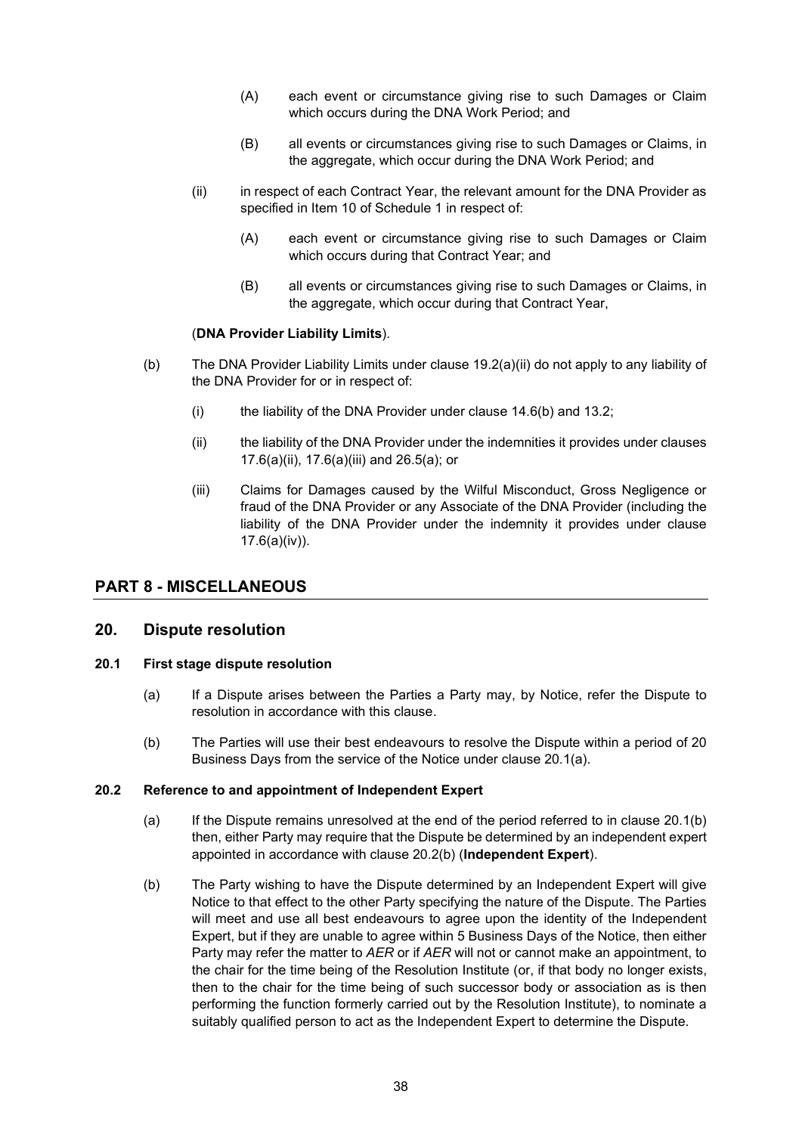- (A) each event or circumstance giving rise to such Damages or Claim which occurs during the DNA Work Period; and
- (B) all events or circumstances giving rise to such Damages or Claims, in the aggregate, which occur during the DNA Work Period; and
- (ii) in respect of each Contract Year, the relevant amount for the DNA Provider as specified in Item 10 of Schedule 1 in respect of:
	- (A) each event or circumstance giving rise to such Damages or Claim which occurs during that Contract Year; and
	- (B) all events or circumstances giving rise to such Damages or Claims, in the aggregate, which occur during that Contract Year,

#### (DNA Provider Liability Limits).

- (b) The DNA Provider Liability Limits under clause 19.2(a)(ii) do not apply to any liability of the DNA Provider for or in respect of:
	- (i) the liability of the DNA Provider under clause  $14.6(b)$  and  $13.2$ ;
	- (ii) the liability of the DNA Provider under the indemnities it provides under clauses 17.6(a)(ii), 17.6(a)(iii) and 26.5(a); or
	- (iii) Claims for Damages caused by the Wilful Misconduct, Gross Negligence or fraud of the DNA Provider or any Associate of the DNA Provider (including the liability of the DNA Provider under the indemnity it provides under clause 17.6(a)(iv)).

## PART 8 - MISCELLANEOUS

#### 20. Dispute resolution

#### 20.1 First stage dispute resolution

- (a) If a Dispute arises between the Parties a Party may, by Notice, refer the Dispute to resolution in accordance with this clause.
- (b) The Parties will use their best endeavours to resolve the Dispute within a period of 20 Business Days from the service of the Notice under clause 20.1(a).

#### 20.2 Reference to and appointment of Independent Expert

- (a) If the Dispute remains unresolved at the end of the period referred to in clause 20.1(b) then, either Party may require that the Dispute be determined by an independent expert appointed in accordance with clause 20.2(b) (Independent Expert).
- (b) The Party wishing to have the Dispute determined by an Independent Expert will give Notice to that effect to the other Party specifying the nature of the Dispute. The Parties will meet and use all best endeavours to agree upon the identity of the Independent Expert, but if they are unable to agree within 5 Business Days of the Notice, then either Party may refer the matter to AER or if AER will not or cannot make an appointment, to the chair for the time being of the Resolution Institute (or, if that body no longer exists, then to the chair for the time being of such successor body or association as is then performing the function formerly carried out by the Resolution Institute), to nominate a suitably qualified person to act as the Independent Expert to determine the Dispute.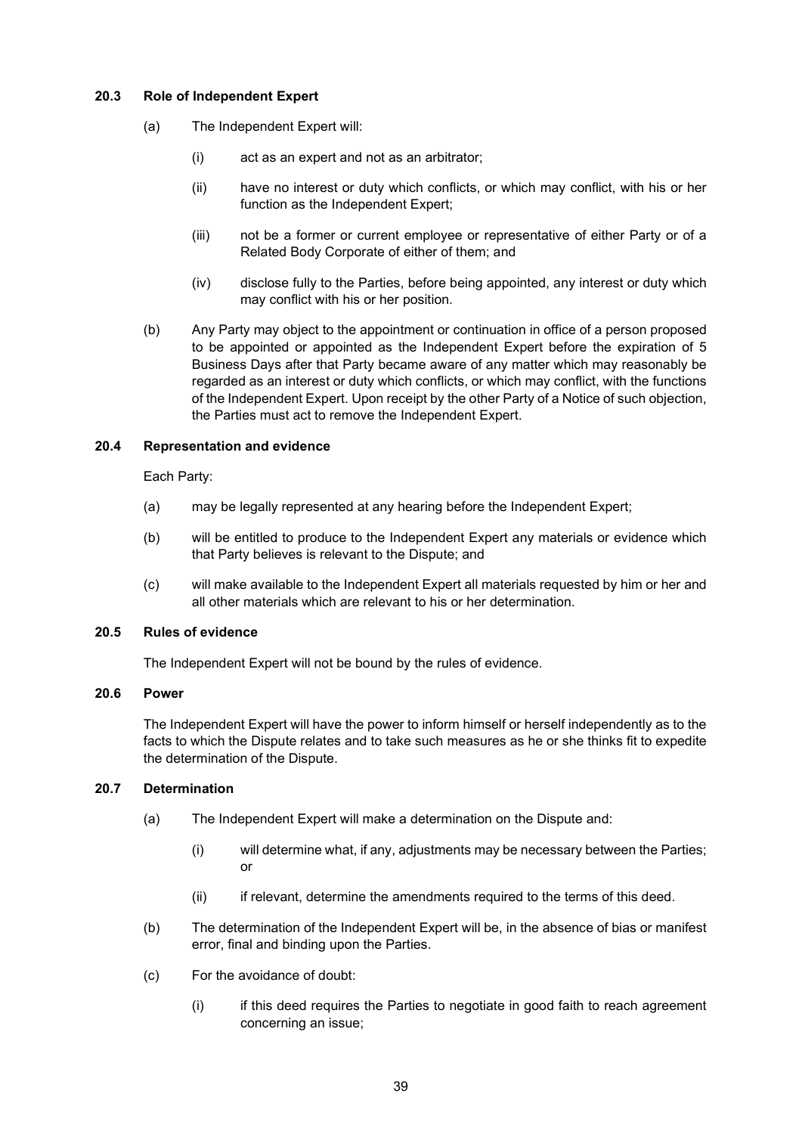#### 20.3 Role of Independent Expert

- (a) The Independent Expert will:
	- (i) act as an expert and not as an arbitrator;
	- (ii) have no interest or duty which conflicts, or which may conflict, with his or her function as the Independent Expert:
	- (iii) not be a former or current employee or representative of either Party or of a Related Body Corporate of either of them; and
	- (iv) disclose fully to the Parties, before being appointed, any interest or duty which may conflict with his or her position.
- (b) Any Party may object to the appointment or continuation in office of a person proposed to be appointed or appointed as the Independent Expert before the expiration of 5 Business Days after that Party became aware of any matter which may reasonably be regarded as an interest or duty which conflicts, or which may conflict, with the functions of the Independent Expert. Upon receipt by the other Party of a Notice of such objection, the Parties must act to remove the Independent Expert.

#### 20.4 Representation and evidence

Each Party:

- (a) may be legally represented at any hearing before the Independent Expert;
- (b) will be entitled to produce to the Independent Expert any materials or evidence which that Party believes is relevant to the Dispute; and
- (c) will make available to the Independent Expert all materials requested by him or her and all other materials which are relevant to his or her determination.

#### 20.5 Rules of evidence

The Independent Expert will not be bound by the rules of evidence.

### 20.6 Power

The Independent Expert will have the power to inform himself or herself independently as to the facts to which the Dispute relates and to take such measures as he or she thinks fit to expedite the determination of the Dispute.

#### 20.7 Determination

- (a) The Independent Expert will make a determination on the Dispute and:
	- (i) will determine what, if any, adjustments may be necessary between the Parties; or
	- (ii) if relevant, determine the amendments required to the terms of this deed.
- (b) The determination of the Independent Expert will be, in the absence of bias or manifest error, final and binding upon the Parties.
- (c) For the avoidance of doubt:
	- (i) if this deed requires the Parties to negotiate in good faith to reach agreement concerning an issue;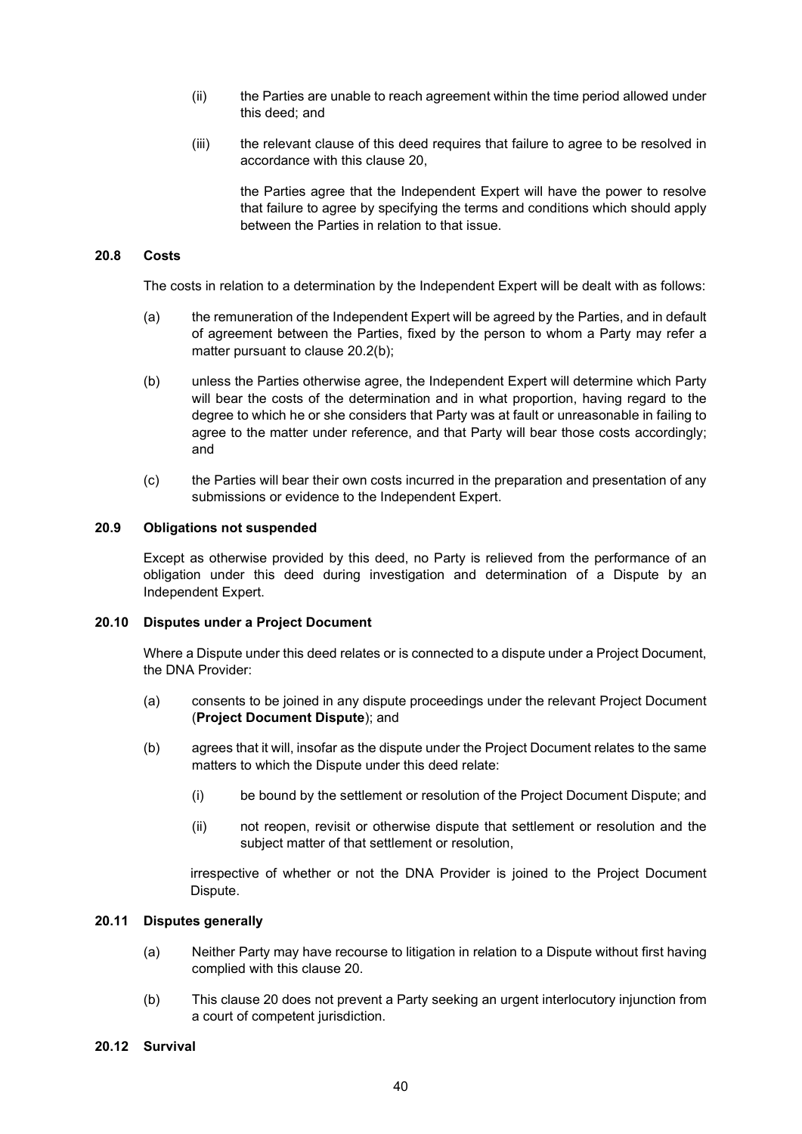- (ii) the Parties are unable to reach agreement within the time period allowed under this deed; and
- (iii) the relevant clause of this deed requires that failure to agree to be resolved in accordance with this clause 20,

the Parties agree that the Independent Expert will have the power to resolve that failure to agree by specifying the terms and conditions which should apply between the Parties in relation to that issue.

#### 20.8 Costs

The costs in relation to a determination by the Independent Expert will be dealt with as follows:

- (a) the remuneration of the Independent Expert will be agreed by the Parties, and in default of agreement between the Parties, fixed by the person to whom a Party may refer a matter pursuant to clause 20.2(b);
- (b) unless the Parties otherwise agree, the Independent Expert will determine which Party will bear the costs of the determination and in what proportion, having regard to the degree to which he or she considers that Party was at fault or unreasonable in failing to agree to the matter under reference, and that Party will bear those costs accordingly; and
- (c) the Parties will bear their own costs incurred in the preparation and presentation of any submissions or evidence to the Independent Expert.

#### 20.9 Obligations not suspended

Except as otherwise provided by this deed, no Party is relieved from the performance of an obligation under this deed during investigation and determination of a Dispute by an Independent Expert.

#### 20.10 Disputes under a Project Document

Where a Dispute under this deed relates or is connected to a dispute under a Project Document, the DNA Provider:

- (a) consents to be joined in any dispute proceedings under the relevant Project Document (Project Document Dispute); and
- (b) agrees that it will, insofar as the dispute under the Project Document relates to the same matters to which the Dispute under this deed relate:
	- (i) be bound by the settlement or resolution of the Project Document Dispute; and
	- (ii) not reopen, revisit or otherwise dispute that settlement or resolution and the subject matter of that settlement or resolution,

irrespective of whether or not the DNA Provider is joined to the Project Document Dispute.

#### 20.11 Disputes generally

- (a) Neither Party may have recourse to litigation in relation to a Dispute without first having complied with this clause 20.
- (b) This clause 20 does not prevent a Party seeking an urgent interlocutory injunction from a court of competent jurisdiction.

#### 20.12 Survival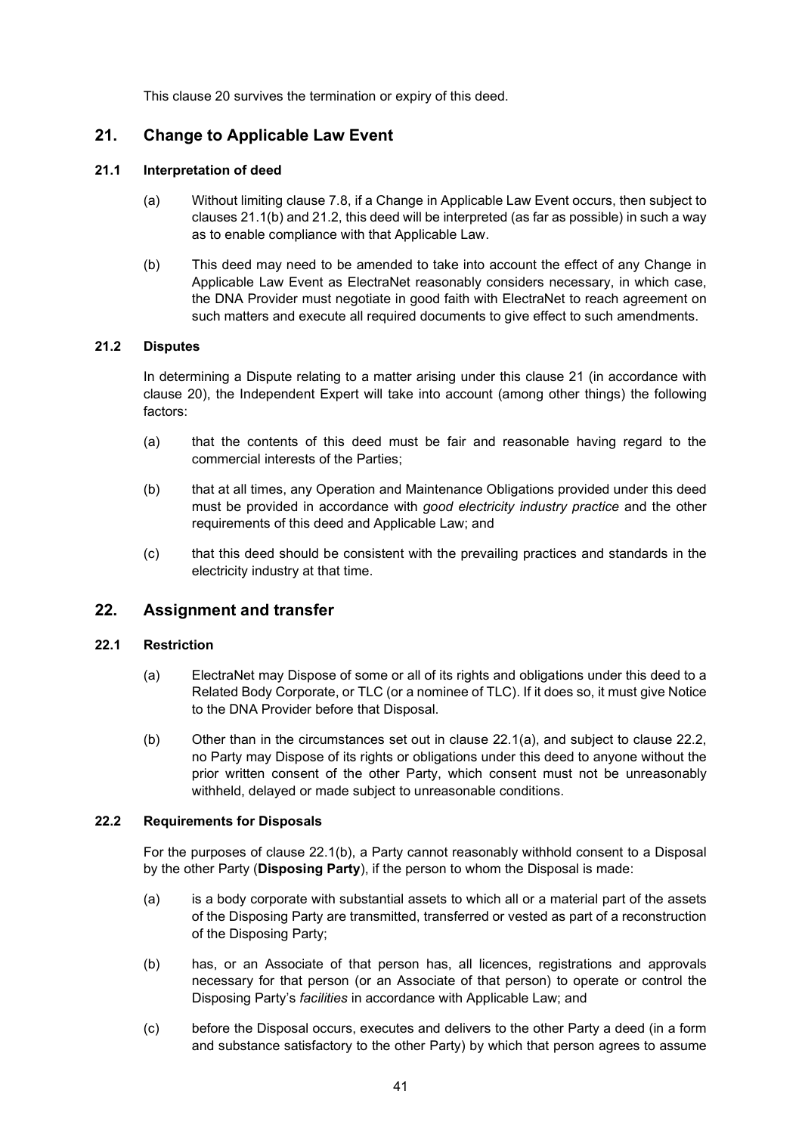This clause 20 survives the termination or expiry of this deed.

## 21. Change to Applicable Law Event

#### 21.1 Interpretation of deed

- (a) Without limiting clause 7.8, if a Change in Applicable Law Event occurs, then subject to clauses 21.1(b) and 21.2, this deed will be interpreted (as far as possible) in such a way as to enable compliance with that Applicable Law.
- (b) This deed may need to be amended to take into account the effect of any Change in Applicable Law Event as ElectraNet reasonably considers necessary, in which case, the DNA Provider must negotiate in good faith with ElectraNet to reach agreement on such matters and execute all required documents to give effect to such amendments.

## 21.2 Disputes

In determining a Dispute relating to a matter arising under this clause 21 (in accordance with clause 20), the Independent Expert will take into account (among other things) the following factors:

- (a) that the contents of this deed must be fair and reasonable having regard to the commercial interests of the Parties;
- (b) that at all times, any Operation and Maintenance Obligations provided under this deed must be provided in accordance with good electricity industry practice and the other requirements of this deed and Applicable Law; and
- (c) that this deed should be consistent with the prevailing practices and standards in the electricity industry at that time.

## 22. Assignment and transfer

#### 22.1 Restriction

- (a) ElectraNet may Dispose of some or all of its rights and obligations under this deed to a Related Body Corporate, or TLC (or a nominee of TLC). If it does so, it must give Notice to the DNA Provider before that Disposal.
- (b) Other than in the circumstances set out in clause 22.1(a), and subject to clause 22.2, no Party may Dispose of its rights or obligations under this deed to anyone without the prior written consent of the other Party, which consent must not be unreasonably withheld, delayed or made subject to unreasonable conditions.

#### 22.2 Requirements for Disposals

For the purposes of clause 22.1(b), a Party cannot reasonably withhold consent to a Disposal by the other Party (**Disposing Party**), if the person to whom the Disposal is made:

- (a) is a body corporate with substantial assets to which all or a material part of the assets of the Disposing Party are transmitted, transferred or vested as part of a reconstruction of the Disposing Party;
- (b) has, or an Associate of that person has, all licences, registrations and approvals necessary for that person (or an Associate of that person) to operate or control the Disposing Party's facilities in accordance with Applicable Law; and
- (c) before the Disposal occurs, executes and delivers to the other Party a deed (in a form and substance satisfactory to the other Party) by which that person agrees to assume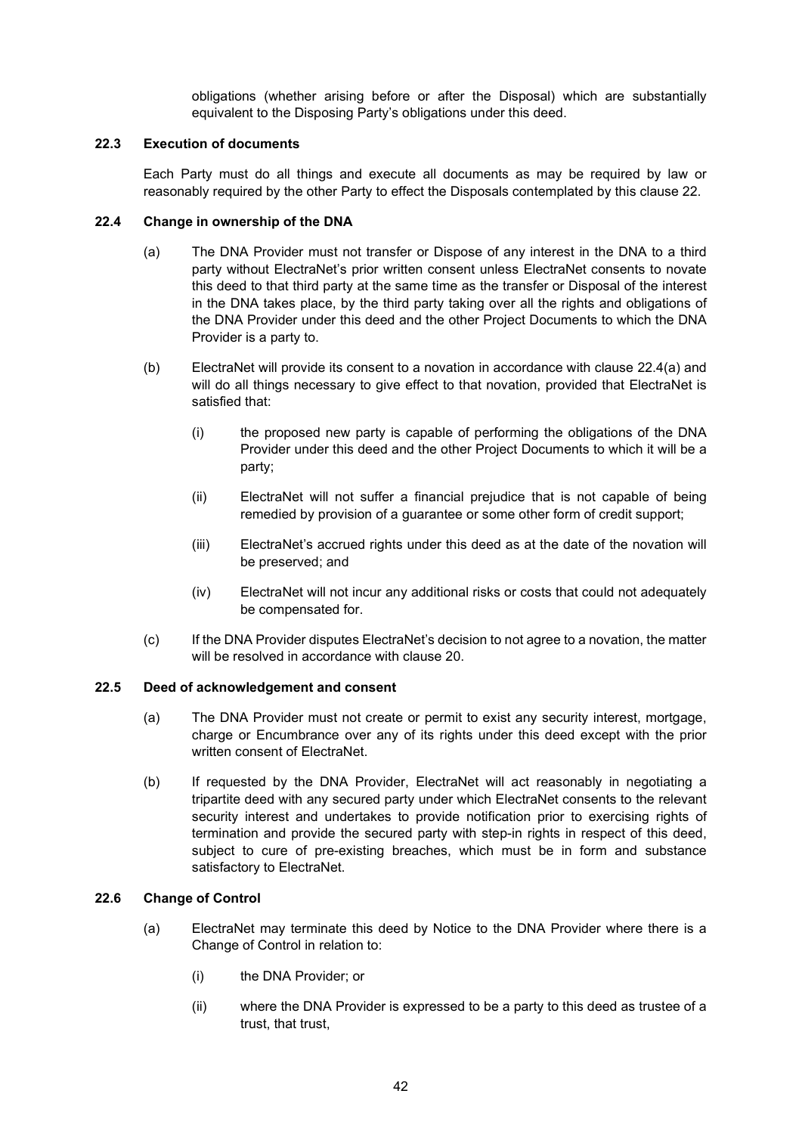obligations (whether arising before or after the Disposal) which are substantially equivalent to the Disposing Party's obligations under this deed.

#### 22.3 Execution of documents

Each Party must do all things and execute all documents as may be required by law or reasonably required by the other Party to effect the Disposals contemplated by this clause 22.

#### 22.4 Change in ownership of the DNA

- (a) The DNA Provider must not transfer or Dispose of any interest in the DNA to a third party without ElectraNet's prior written consent unless ElectraNet consents to novate this deed to that third party at the same time as the transfer or Disposal of the interest in the DNA takes place, by the third party taking over all the rights and obligations of the DNA Provider under this deed and the other Project Documents to which the DNA Provider is a party to.
- (b) ElectraNet will provide its consent to a novation in accordance with clause 22.4(a) and will do all things necessary to give effect to that novation, provided that ElectraNet is satisfied that:
	- (i) the proposed new party is capable of performing the obligations of the DNA Provider under this deed and the other Project Documents to which it will be a party;
	- (ii) ElectraNet will not suffer a financial prejudice that is not capable of being remedied by provision of a guarantee or some other form of credit support;
	- (iii) ElectraNet's accrued rights under this deed as at the date of the novation will be preserved; and
	- (iv) ElectraNet will not incur any additional risks or costs that could not adequately be compensated for.
- (c) If the DNA Provider disputes ElectraNet's decision to not agree to a novation, the matter will be resolved in accordance with clause 20.

## 22.5 Deed of acknowledgement and consent

- (a) The DNA Provider must not create or permit to exist any security interest, mortgage, charge or Encumbrance over any of its rights under this deed except with the prior written consent of ElectraNet.
- (b) If requested by the DNA Provider, ElectraNet will act reasonably in negotiating a tripartite deed with any secured party under which ElectraNet consents to the relevant security interest and undertakes to provide notification prior to exercising rights of termination and provide the secured party with step-in rights in respect of this deed, subject to cure of pre-existing breaches, which must be in form and substance satisfactory to ElectraNet.

#### 22.6 Change of Control

- (a) ElectraNet may terminate this deed by Notice to the DNA Provider where there is a Change of Control in relation to:
	- (i) the DNA Provider; or
	- (ii) where the DNA Provider is expressed to be a party to this deed as trustee of a trust, that trust,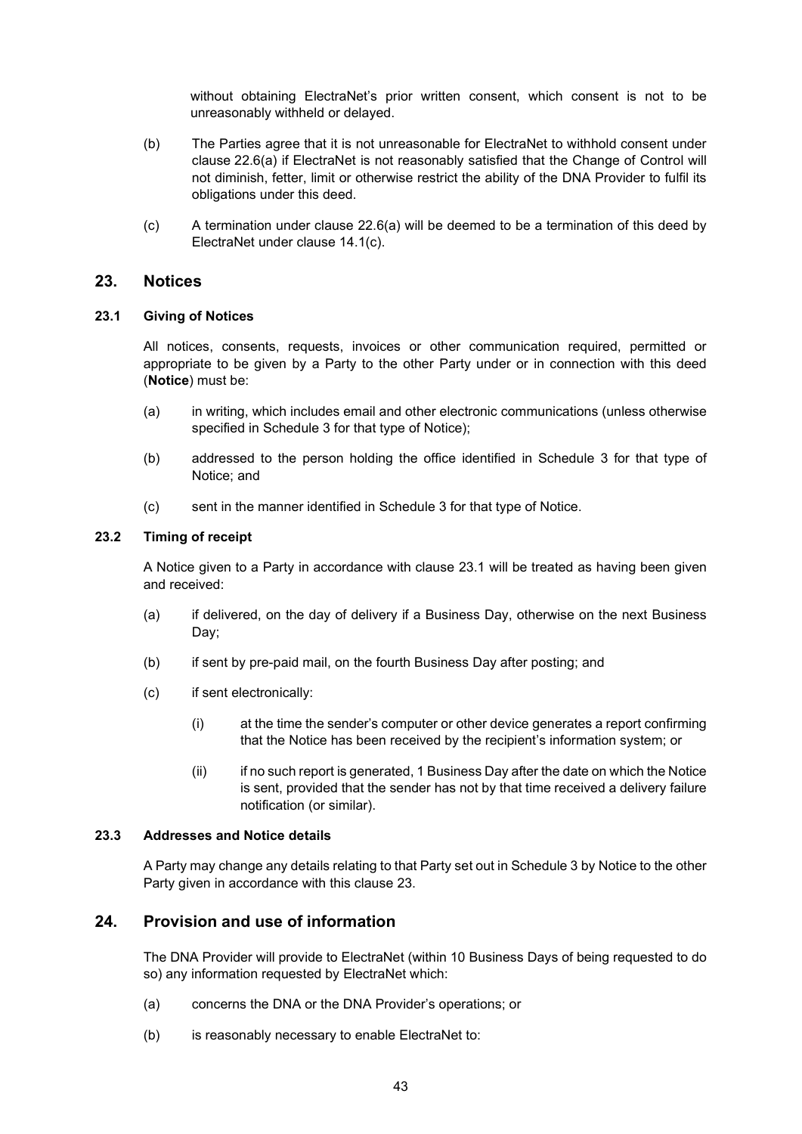without obtaining ElectraNet's prior written consent, which consent is not to be unreasonably withheld or delayed.

- (b) The Parties agree that it is not unreasonable for ElectraNet to withhold consent under clause 22.6(a) if ElectraNet is not reasonably satisfied that the Change of Control will not diminish, fetter, limit or otherwise restrict the ability of the DNA Provider to fulfil its obligations under this deed.
- (c) A termination under clause 22.6(a) will be deemed to be a termination of this deed by ElectraNet under clause 14.1(c).

#### 23. Notices

#### 23.1 Giving of Notices

All notices, consents, requests, invoices or other communication required, permitted or appropriate to be given by a Party to the other Party under or in connection with this deed (Notice) must be:

- (a) in writing, which includes email and other electronic communications (unless otherwise specified in Schedule 3 for that type of Notice);
- (b) addressed to the person holding the office identified in Schedule 3 for that type of Notice; and
- (c) sent in the manner identified in Schedule 3 for that type of Notice.

#### 23.2 Timing of receipt

A Notice given to a Party in accordance with clause 23.1 will be treated as having been given and received:

- (a) if delivered, on the day of delivery if a Business Day, otherwise on the next Business Day;
- (b) if sent by pre-paid mail, on the fourth Business Day after posting; and
- (c) if sent electronically:
	- (i) at the time the sender's computer or other device generates a report confirming that the Notice has been received by the recipient's information system; or
	- (ii) if no such report is generated, 1 Business Day after the date on which the Notice is sent, provided that the sender has not by that time received a delivery failure notification (or similar).

#### 23.3 Addresses and Notice details

A Party may change any details relating to that Party set out in Schedule 3 by Notice to the other Party given in accordance with this clause 23.

### 24. Provision and use of information

The DNA Provider will provide to ElectraNet (within 10 Business Days of being requested to do so) any information requested by ElectraNet which:

- (a) concerns the DNA or the DNA Provider's operations; or
- (b) is reasonably necessary to enable ElectraNet to: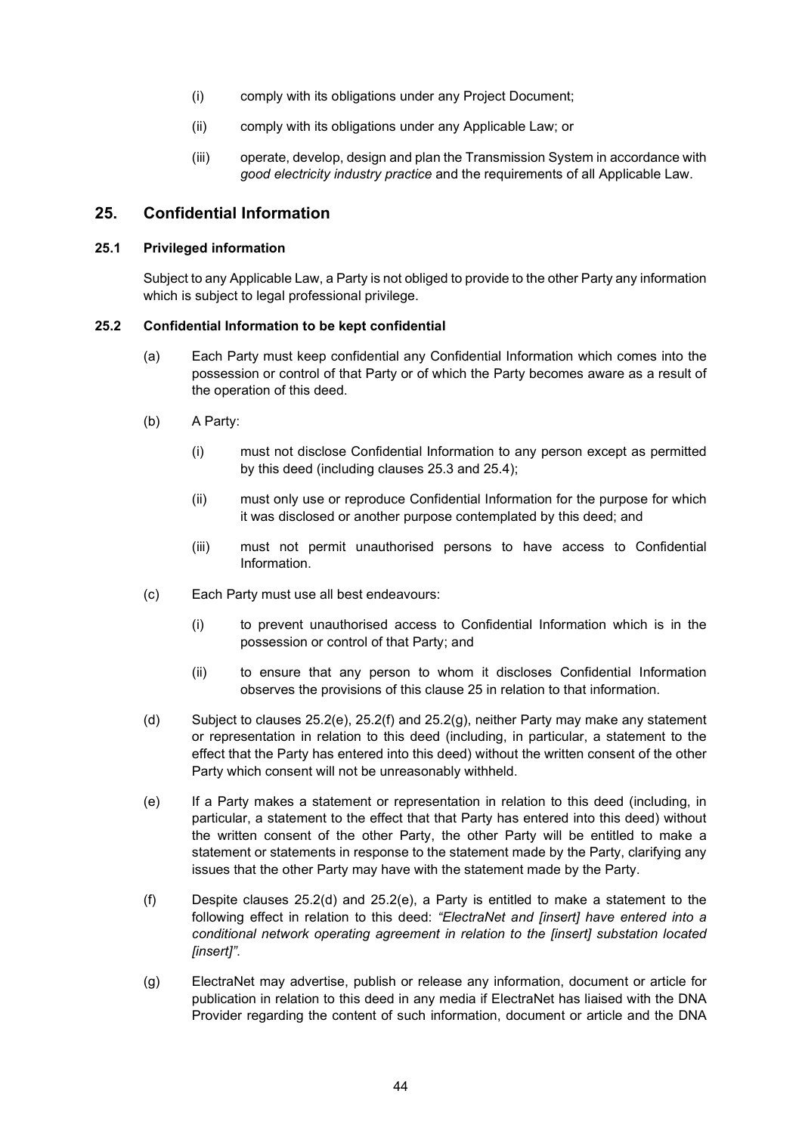- (i) comply with its obligations under any Project Document;
- (ii) comply with its obligations under any Applicable Law; or
- (iii) operate, develop, design and plan the Transmission System in accordance with good electricity industry practice and the requirements of all Applicable Law.

## 25. Confidential Information

#### 25.1 Privileged information

Subject to any Applicable Law, a Party is not obliged to provide to the other Party any information which is subject to legal professional privilege.

#### 25.2 Confidential Information to be kept confidential

- (a) Each Party must keep confidential any Confidential Information which comes into the possession or control of that Party or of which the Party becomes aware as a result of the operation of this deed.
- (b) A Party:
	- (i) must not disclose Confidential Information to any person except as permitted by this deed (including clauses 25.3 and 25.4);
	- (ii) must only use or reproduce Confidential Information for the purpose for which it was disclosed or another purpose contemplated by this deed; and
	- (iii) must not permit unauthorised persons to have access to Confidential Information.
- (c) Each Party must use all best endeavours:
	- (i) to prevent unauthorised access to Confidential Information which is in the possession or control of that Party; and
	- (ii) to ensure that any person to whom it discloses Confidential Information observes the provisions of this clause 25 in relation to that information.
- (d) Subject to clauses 25.2(e), 25.2(f) and 25.2(g), neither Party may make any statement or representation in relation to this deed (including, in particular, a statement to the effect that the Party has entered into this deed) without the written consent of the other Party which consent will not be unreasonably withheld.
- (e) If a Party makes a statement or representation in relation to this deed (including, in particular, a statement to the effect that that Party has entered into this deed) without the written consent of the other Party, the other Party will be entitled to make a statement or statements in response to the statement made by the Party, clarifying any issues that the other Party may have with the statement made by the Party.
- (f) Despite clauses 25.2(d) and 25.2(e), a Party is entitled to make a statement to the following effect in relation to this deed: "ElectraNet and [insert] have entered into a conditional network operating agreement in relation to the [insert] substation located [insert]".
- (g) ElectraNet may advertise, publish or release any information, document or article for publication in relation to this deed in any media if ElectraNet has liaised with the DNA Provider regarding the content of such information, document or article and the DNA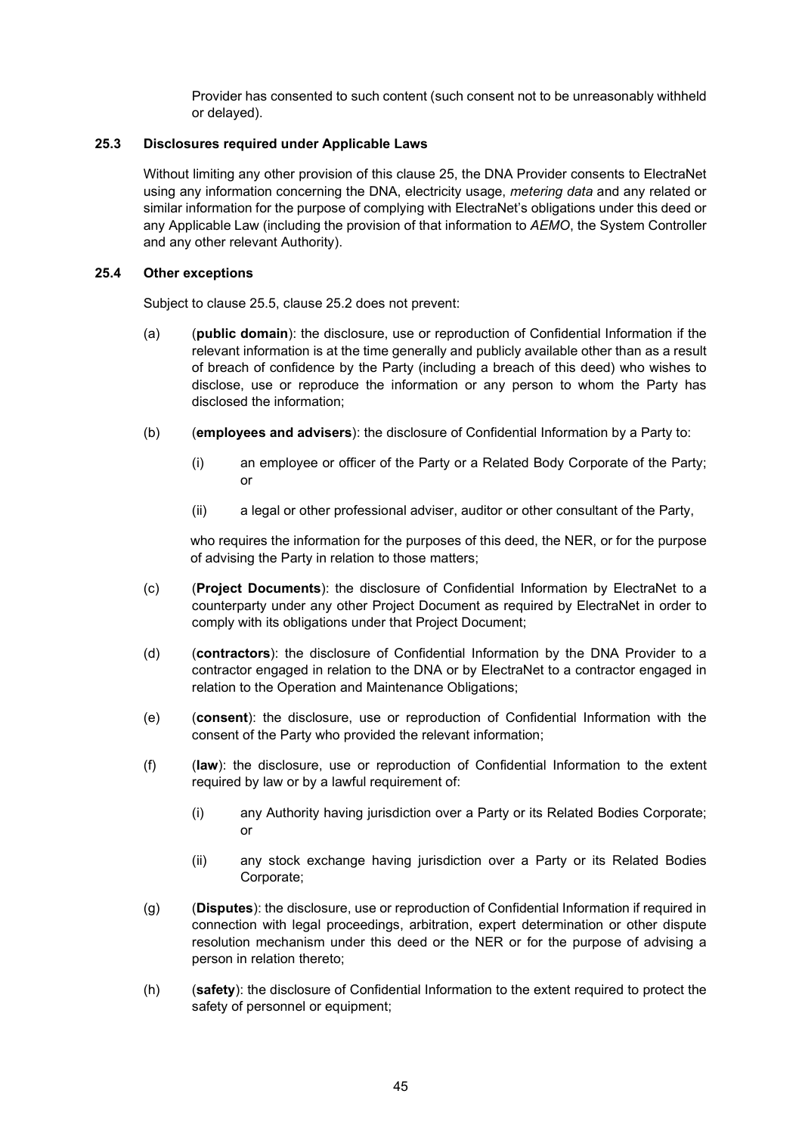Provider has consented to such content (such consent not to be unreasonably withheld or delayed).

#### 25.3 Disclosures required under Applicable Laws

Without limiting any other provision of this clause 25, the DNA Provider consents to ElectraNet using any information concerning the DNA, electricity usage, metering data and any related or similar information for the purpose of complying with ElectraNet's obligations under this deed or any Applicable Law (including the provision of that information to AEMO, the System Controller and any other relevant Authority).

#### 25.4 Other exceptions

Subject to clause 25.5, clause 25.2 does not prevent:

- (a) (public domain): the disclosure, use or reproduction of Confidential Information if the relevant information is at the time generally and publicly available other than as a result of breach of confidence by the Party (including a breach of this deed) who wishes to disclose, use or reproduce the information or any person to whom the Party has disclosed the information;
- (b) (employees and advisers): the disclosure of Confidential Information by a Party to:
	- (i) an employee or officer of the Party or a Related Body Corporate of the Party; or
	- (ii) a legal or other professional adviser, auditor or other consultant of the Party,

who requires the information for the purposes of this deed, the NER, or for the purpose of advising the Party in relation to those matters;

- (c) (Project Documents): the disclosure of Confidential Information by ElectraNet to a counterparty under any other Project Document as required by ElectraNet in order to comply with its obligations under that Project Document;
- (d) (contractors): the disclosure of Confidential Information by the DNA Provider to a contractor engaged in relation to the DNA or by ElectraNet to a contractor engaged in relation to the Operation and Maintenance Obligations;
- (e) (consent): the disclosure, use or reproduction of Confidential Information with the consent of the Party who provided the relevant information;
- (f) (law): the disclosure, use or reproduction of Confidential Information to the extent required by law or by a lawful requirement of:
	- (i) any Authority having jurisdiction over a Party or its Related Bodies Corporate; or
	- (ii) any stock exchange having jurisdiction over a Party or its Related Bodies Corporate;
- (g) (Disputes): the disclosure, use or reproduction of Confidential Information if required in connection with legal proceedings, arbitration, expert determination or other dispute resolution mechanism under this deed or the NER or for the purpose of advising a person in relation thereto;
- (h) (safety): the disclosure of Confidential Information to the extent required to protect the safety of personnel or equipment;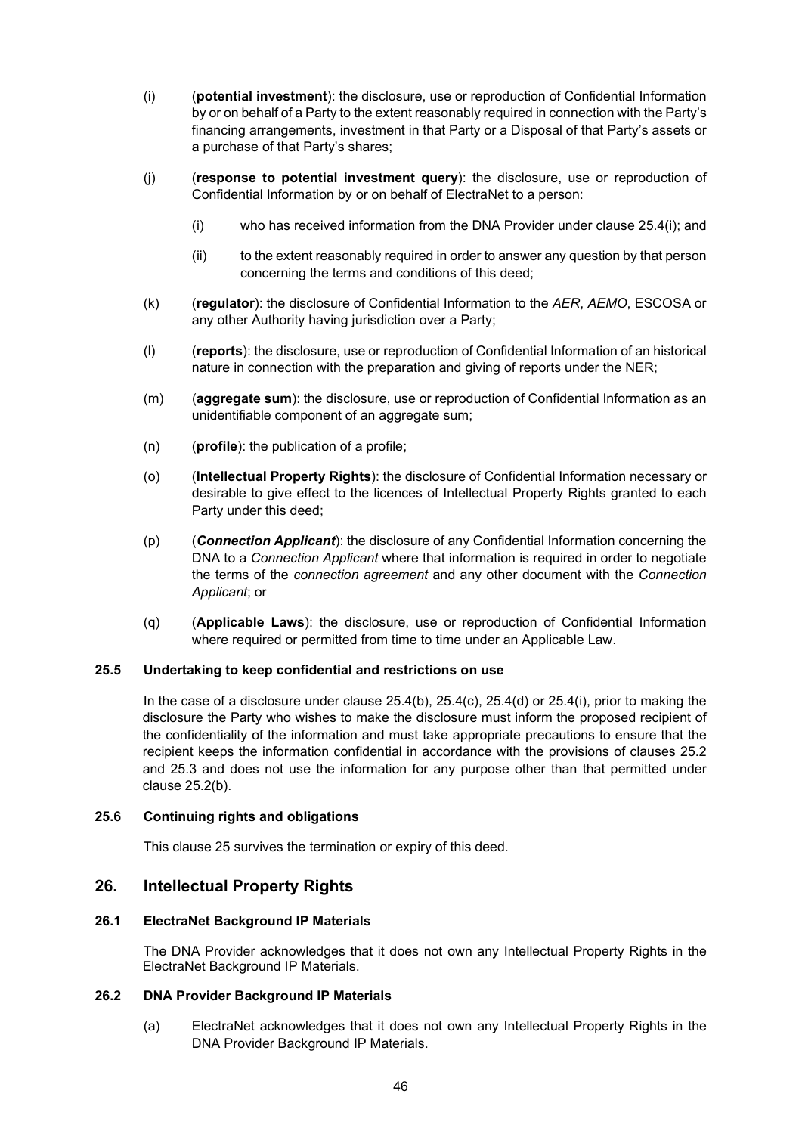- (i) (potential investment): the disclosure, use or reproduction of Confidential Information by or on behalf of a Party to the extent reasonably required in connection with the Party's financing arrangements, investment in that Party or a Disposal of that Party's assets or a purchase of that Party's shares;
- (j) (response to potential investment query): the disclosure, use or reproduction of Confidential Information by or on behalf of ElectraNet to a person:
	- (i) who has received information from the DNA Provider under clause 25.4(i); and
	- (ii) to the extent reasonably required in order to answer any question by that person concerning the terms and conditions of this deed;
- (k) (requiator): the disclosure of Confidential Information to the AER, AEMO, ESCOSA or any other Authority having jurisdiction over a Party;
- (l) (reports): the disclosure, use or reproduction of Confidential Information of an historical nature in connection with the preparation and giving of reports under the NER;
- (m) (aggregate sum): the disclosure, use or reproduction of Confidential Information as an unidentifiable component of an aggregate sum;
- $(n)$  (**profile**): the publication of a profile;
- (o) (Intellectual Property Rights): the disclosure of Confidential Information necessary or desirable to give effect to the licences of Intellectual Property Rights granted to each Party under this deed;
- (p) (Connection Applicant): the disclosure of any Confidential Information concerning the DNA to a *Connection Applicant* where that information is required in order to negotiate the terms of the connection agreement and any other document with the Connection Applicant; or
- (q) (Applicable Laws): the disclosure, use or reproduction of Confidential Information where required or permitted from time to time under an Applicable Law.

#### 25.5 Undertaking to keep confidential and restrictions on use

In the case of a disclosure under clause  $25.4(b)$ ,  $25.4(c)$ ,  $25.4(d)$  or  $25.4(i)$ , prior to making the disclosure the Party who wishes to make the disclosure must inform the proposed recipient of the confidentiality of the information and must take appropriate precautions to ensure that the recipient keeps the information confidential in accordance with the provisions of clauses 25.2 and 25.3 and does not use the information for any purpose other than that permitted under clause 25.2(b).

#### 25.6 Continuing rights and obligations

This clause 25 survives the termination or expiry of this deed.

## 26. Intellectual Property Rights

## 26.1 ElectraNet Background IP Materials

The DNA Provider acknowledges that it does not own any Intellectual Property Rights in the ElectraNet Background IP Materials.

#### 26.2 DNA Provider Background IP Materials

(a) ElectraNet acknowledges that it does not own any Intellectual Property Rights in the DNA Provider Background IP Materials.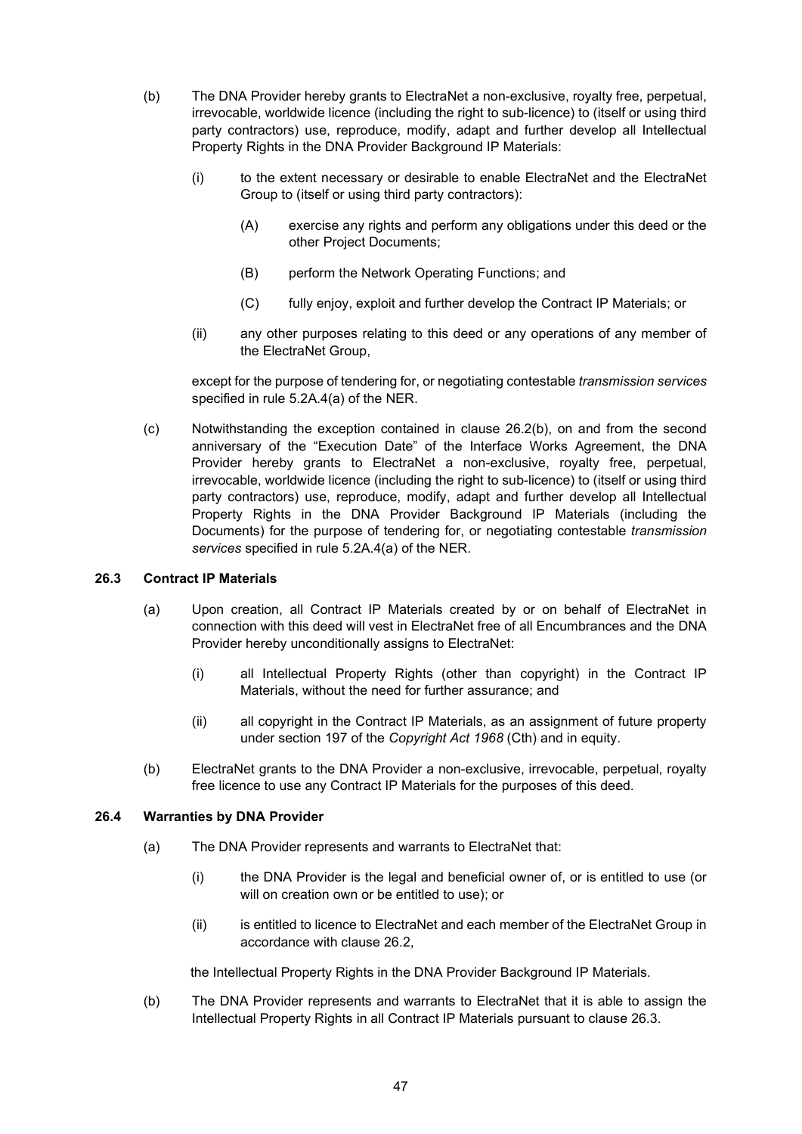- (b) The DNA Provider hereby grants to ElectraNet a non-exclusive, royalty free, perpetual, irrevocable, worldwide licence (including the right to sub-licence) to (itself or using third party contractors) use, reproduce, modify, adapt and further develop all Intellectual Property Rights in the DNA Provider Background IP Materials:
	- (i) to the extent necessary or desirable to enable ElectraNet and the ElectraNet Group to (itself or using third party contractors):
		- (A) exercise any rights and perform any obligations under this deed or the other Project Documents;
		- (B) perform the Network Operating Functions; and
		- (C) fully enjoy, exploit and further develop the Contract IP Materials; or
	- (ii) any other purposes relating to this deed or any operations of any member of the ElectraNet Group,

except for the purpose of tendering for, or negotiating contestable transmission services specified in rule 5.2A.4(a) of the NER.

(c) Notwithstanding the exception contained in clause 26.2(b), on and from the second anniversary of the "Execution Date" of the Interface Works Agreement, the DNA Provider hereby grants to ElectraNet a non-exclusive, royalty free, perpetual, irrevocable, worldwide licence (including the right to sub-licence) to (itself or using third party contractors) use, reproduce, modify, adapt and further develop all Intellectual Property Rights in the DNA Provider Background IP Materials (including the Documents) for the purpose of tendering for, or negotiating contestable *transmission* services specified in rule 5.2A.4(a) of the NER.

#### 26.3 Contract IP Materials

- (a) Upon creation, all Contract IP Materials created by or on behalf of ElectraNet in connection with this deed will vest in ElectraNet free of all Encumbrances and the DNA Provider hereby unconditionally assigns to ElectraNet:
	- (i) all Intellectual Property Rights (other than copyright) in the Contract IP Materials, without the need for further assurance; and
	- (ii) all copyright in the Contract IP Materials, as an assignment of future property under section 197 of the Copyright Act 1968 (Cth) and in equity.
- (b) ElectraNet grants to the DNA Provider a non-exclusive, irrevocable, perpetual, royalty free licence to use any Contract IP Materials for the purposes of this deed.

#### 26.4 Warranties by DNA Provider

- (a) The DNA Provider represents and warrants to ElectraNet that:
	- (i) the DNA Provider is the legal and beneficial owner of, or is entitled to use (or will on creation own or be entitled to use); or
	- (ii) is entitled to licence to ElectraNet and each member of the ElectraNet Group in accordance with clause 26.2,

the Intellectual Property Rights in the DNA Provider Background IP Materials.

(b) The DNA Provider represents and warrants to ElectraNet that it is able to assign the Intellectual Property Rights in all Contract IP Materials pursuant to clause 26.3.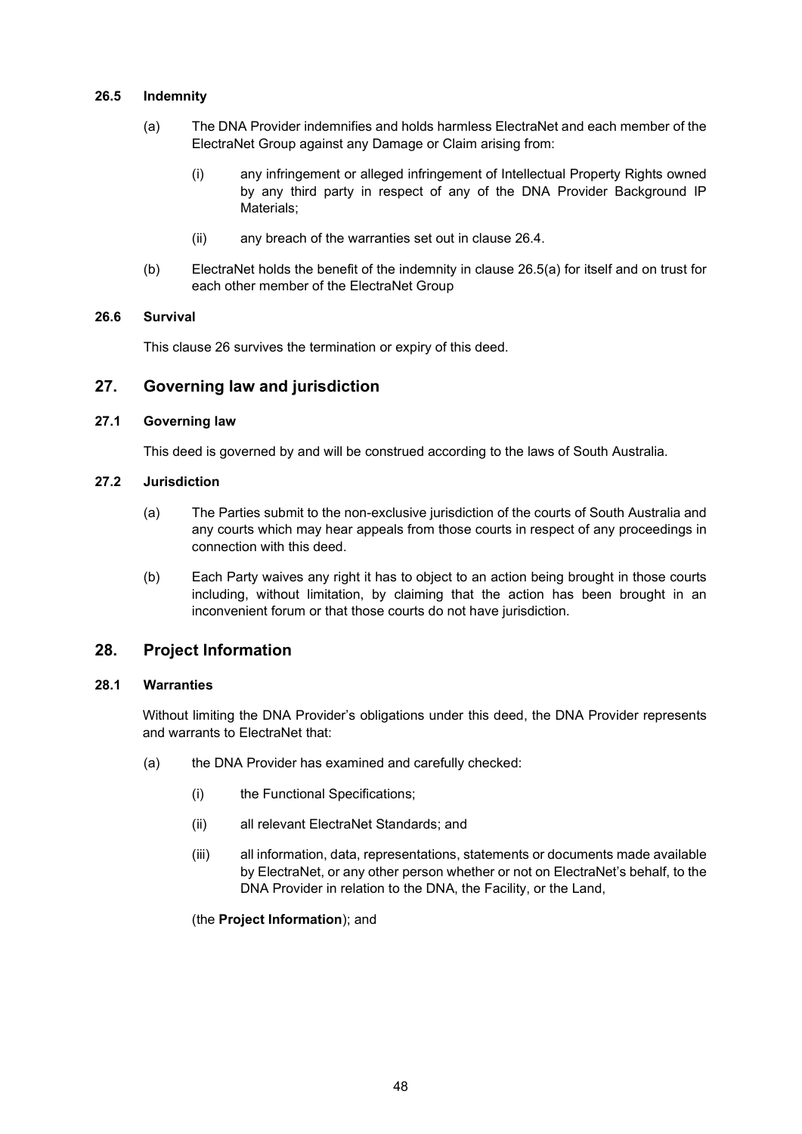#### 26.5 Indemnity

- (a) The DNA Provider indemnifies and holds harmless ElectraNet and each member of the ElectraNet Group against any Damage or Claim arising from:
	- (i) any infringement or alleged infringement of Intellectual Property Rights owned by any third party in respect of any of the DNA Provider Background IP Materials;
	- (ii) any breach of the warranties set out in clause 26.4.
- (b) ElectraNet holds the benefit of the indemnity in clause 26.5(a) for itself and on trust for each other member of the ElectraNet Group

#### 26.6 Survival

This clause 26 survives the termination or expiry of this deed.

## 27. Governing law and jurisdiction

## 27.1 Governing law

This deed is governed by and will be construed according to the laws of South Australia.

#### 27.2 Jurisdiction

- (a) The Parties submit to the non-exclusive jurisdiction of the courts of South Australia and any courts which may hear appeals from those courts in respect of any proceedings in connection with this deed.
- (b) Each Party waives any right it has to object to an action being brought in those courts including, without limitation, by claiming that the action has been brought in an inconvenient forum or that those courts do not have jurisdiction.

## 28. Project Information

#### 28.1 Warranties

Without limiting the DNA Provider's obligations under this deed, the DNA Provider represents and warrants to ElectraNet that:

- (a) the DNA Provider has examined and carefully checked:
	- (i) the Functional Specifications;
	- (ii) all relevant ElectraNet Standards; and
	- (iii) all information, data, representations, statements or documents made available by ElectraNet, or any other person whether or not on ElectraNet's behalf, to the DNA Provider in relation to the DNA, the Facility, or the Land,

(the Project Information); and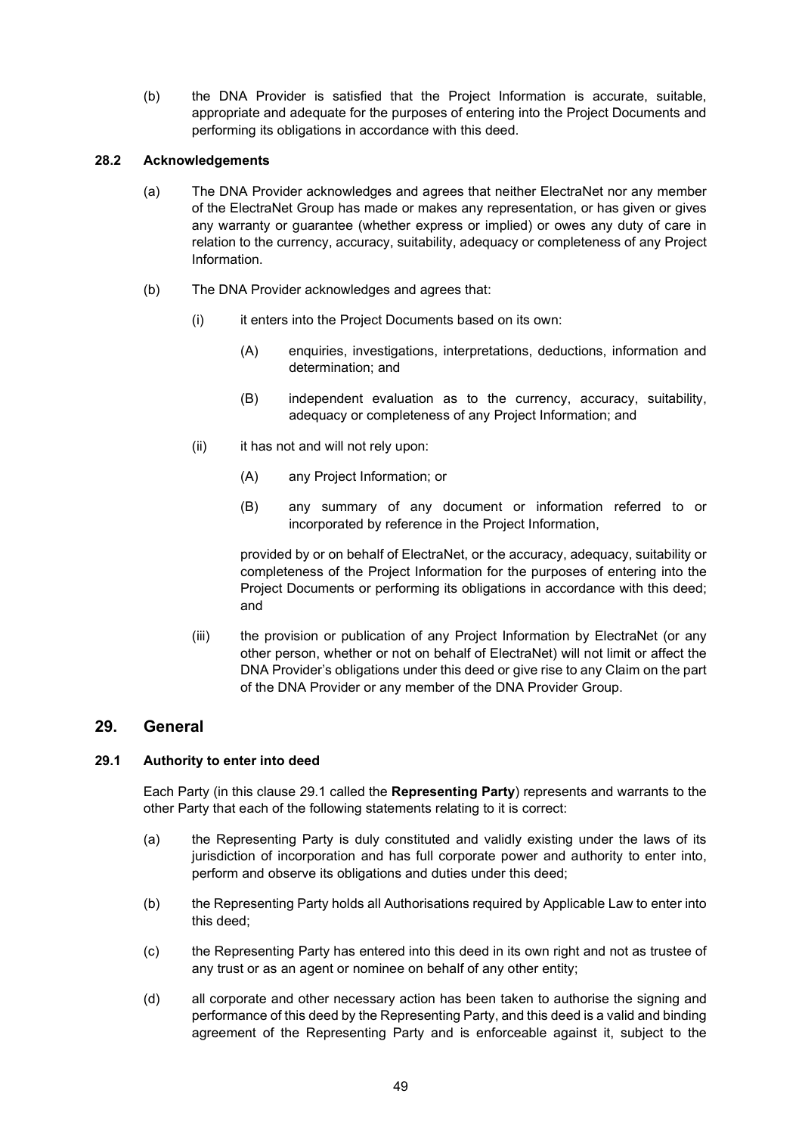(b) the DNA Provider is satisfied that the Project Information is accurate, suitable, appropriate and adequate for the purposes of entering into the Project Documents and performing its obligations in accordance with this deed.

#### 28.2 Acknowledgements

- (a) The DNA Provider acknowledges and agrees that neither ElectraNet nor any member of the ElectraNet Group has made or makes any representation, or has given or gives any warranty or guarantee (whether express or implied) or owes any duty of care in relation to the currency, accuracy, suitability, adequacy or completeness of any Project Information.
- (b) The DNA Provider acknowledges and agrees that:
	- (i) it enters into the Project Documents based on its own:
		- (A) enquiries, investigations, interpretations, deductions, information and determination; and
		- (B) independent evaluation as to the currency, accuracy, suitability, adequacy or completeness of any Project Information; and
	- (ii) it has not and will not rely upon:
		- (A) any Project Information; or
		- (B) any summary of any document or information referred to or incorporated by reference in the Project Information,

provided by or on behalf of ElectraNet, or the accuracy, adequacy, suitability or completeness of the Project Information for the purposes of entering into the Project Documents or performing its obligations in accordance with this deed; and

(iii) the provision or publication of any Project Information by ElectraNet (or any other person, whether or not on behalf of ElectraNet) will not limit or affect the DNA Provider's obligations under this deed or give rise to any Claim on the part of the DNA Provider or any member of the DNA Provider Group.

#### 29. General

#### 29.1 Authority to enter into deed

Each Party (in this clause 29.1 called the Representing Party) represents and warrants to the other Party that each of the following statements relating to it is correct:

- (a) the Representing Party is duly constituted and validly existing under the laws of its jurisdiction of incorporation and has full corporate power and authority to enter into, perform and observe its obligations and duties under this deed;
- (b) the Representing Party holds all Authorisations required by Applicable Law to enter into this deed;
- (c) the Representing Party has entered into this deed in its own right and not as trustee of any trust or as an agent or nominee on behalf of any other entity;
- (d) all corporate and other necessary action has been taken to authorise the signing and performance of this deed by the Representing Party, and this deed is a valid and binding agreement of the Representing Party and is enforceable against it, subject to the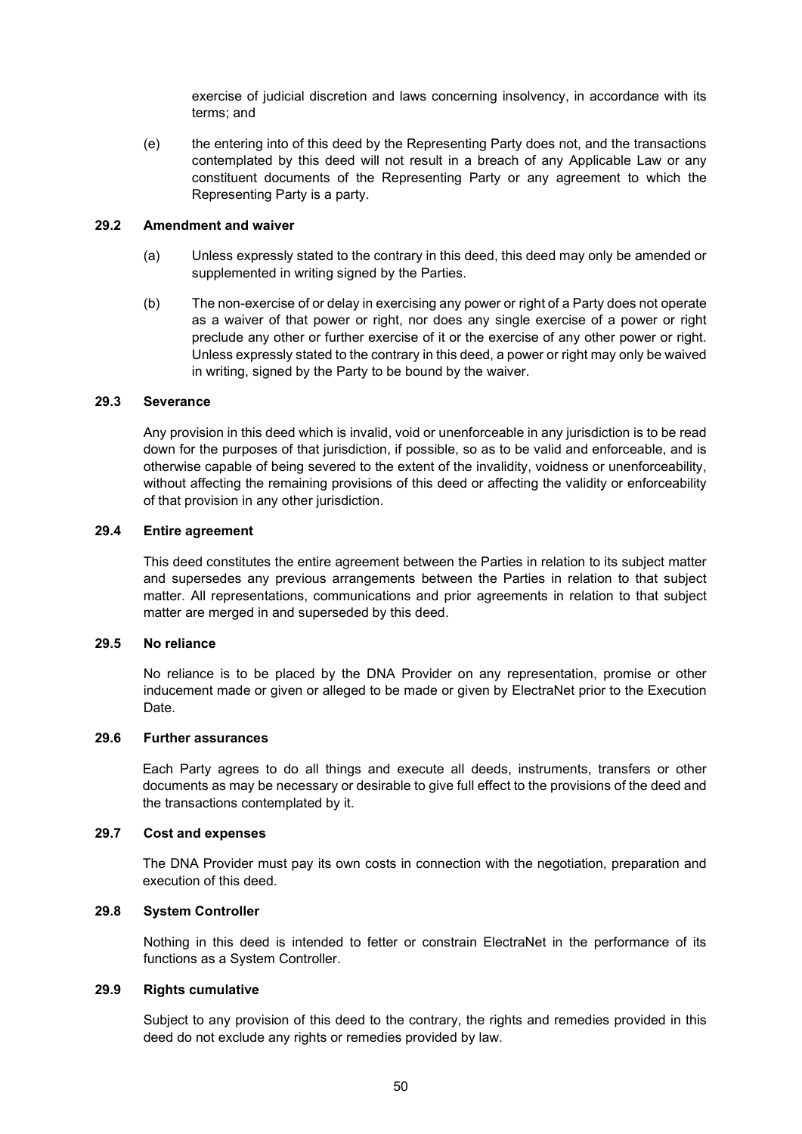exercise of judicial discretion and laws concerning insolvency, in accordance with its terms; and

(e) the entering into of this deed by the Representing Party does not, and the transactions contemplated by this deed will not result in a breach of any Applicable Law or any constituent documents of the Representing Party or any agreement to which the Representing Party is a party.

#### 29.2 Amendment and waiver

- (a) Unless expressly stated to the contrary in this deed, this deed may only be amended or supplemented in writing signed by the Parties.
- (b) The non-exercise of or delay in exercising any power or right of a Party does not operate as a waiver of that power or right, nor does any single exercise of a power or right preclude any other or further exercise of it or the exercise of any other power or right. Unless expressly stated to the contrary in this deed, a power or right may only be waived in writing, signed by the Party to be bound by the waiver.

#### 29.3 Severance

Any provision in this deed which is invalid, void or unenforceable in any jurisdiction is to be read down for the purposes of that jurisdiction, if possible, so as to be valid and enforceable, and is otherwise capable of being severed to the extent of the invalidity, voidness or unenforceability, without affecting the remaining provisions of this deed or affecting the validity or enforceability of that provision in any other jurisdiction.

#### 29.4 Entire agreement

This deed constitutes the entire agreement between the Parties in relation to its subject matter and supersedes any previous arrangements between the Parties in relation to that subject matter. All representations, communications and prior agreements in relation to that subject matter are merged in and superseded by this deed.

#### 29.5 No reliance

No reliance is to be placed by the DNA Provider on any representation, promise or other inducement made or given or alleged to be made or given by ElectraNet prior to the Execution Date.

#### 29.6 Further assurances

Each Party agrees to do all things and execute all deeds, instruments, transfers or other documents as may be necessary or desirable to give full effect to the provisions of the deed and the transactions contemplated by it.

#### 29.7 Cost and expenses

The DNA Provider must pay its own costs in connection with the negotiation, preparation and execution of this deed.

#### 29.8 System Controller

Nothing in this deed is intended to fetter or constrain ElectraNet in the performance of its functions as a System Controller.

#### 29.9 Rights cumulative

Subject to any provision of this deed to the contrary, the rights and remedies provided in this deed do not exclude any rights or remedies provided by law.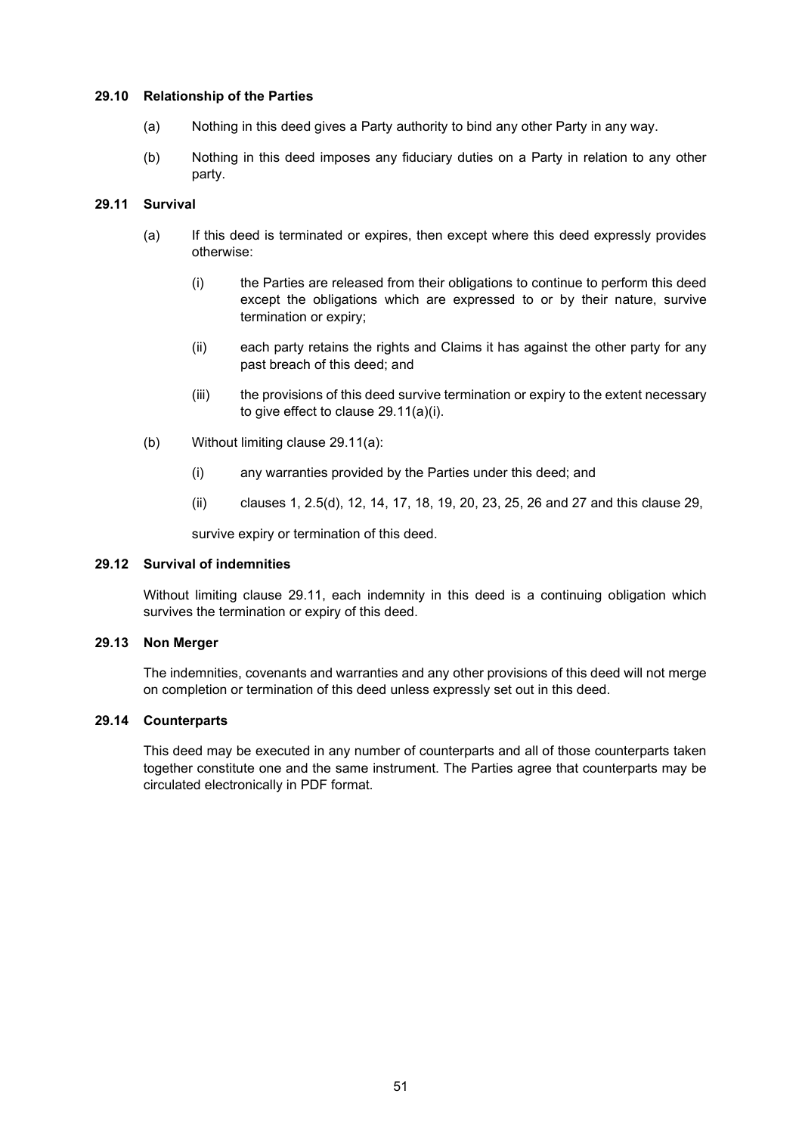#### 29.10 Relationship of the Parties

- (a) Nothing in this deed gives a Party authority to bind any other Party in any way.
- (b) Nothing in this deed imposes any fiduciary duties on a Party in relation to any other party.

#### 29.11 Survival

- (a) If this deed is terminated or expires, then except where this deed expressly provides otherwise:
	- (i) the Parties are released from their obligations to continue to perform this deed except the obligations which are expressed to or by their nature, survive termination or expiry;
	- (ii) each party retains the rights and Claims it has against the other party for any past breach of this deed; and
	- (iii) the provisions of this deed survive termination or expiry to the extent necessary to give effect to clause 29.11(a)(i).
- (b) Without limiting clause 29.11(a):
	- (i) any warranties provided by the Parties under this deed; and
	- (ii) clauses 1, 2.5(d), 12, 14, 17, 18, 19, 20, 23, 25, 26 and 27 and this clause 29,

survive expiry or termination of this deed.

#### 29.12 Survival of indemnities

Without limiting clause 29.11, each indemnity in this deed is a continuing obligation which survives the termination or expiry of this deed.

#### 29.13 Non Merger

The indemnities, covenants and warranties and any other provisions of this deed will not merge on completion or termination of this deed unless expressly set out in this deed.

#### 29.14 Counterparts

This deed may be executed in any number of counterparts and all of those counterparts taken together constitute one and the same instrument. The Parties agree that counterparts may be circulated electronically in PDF format.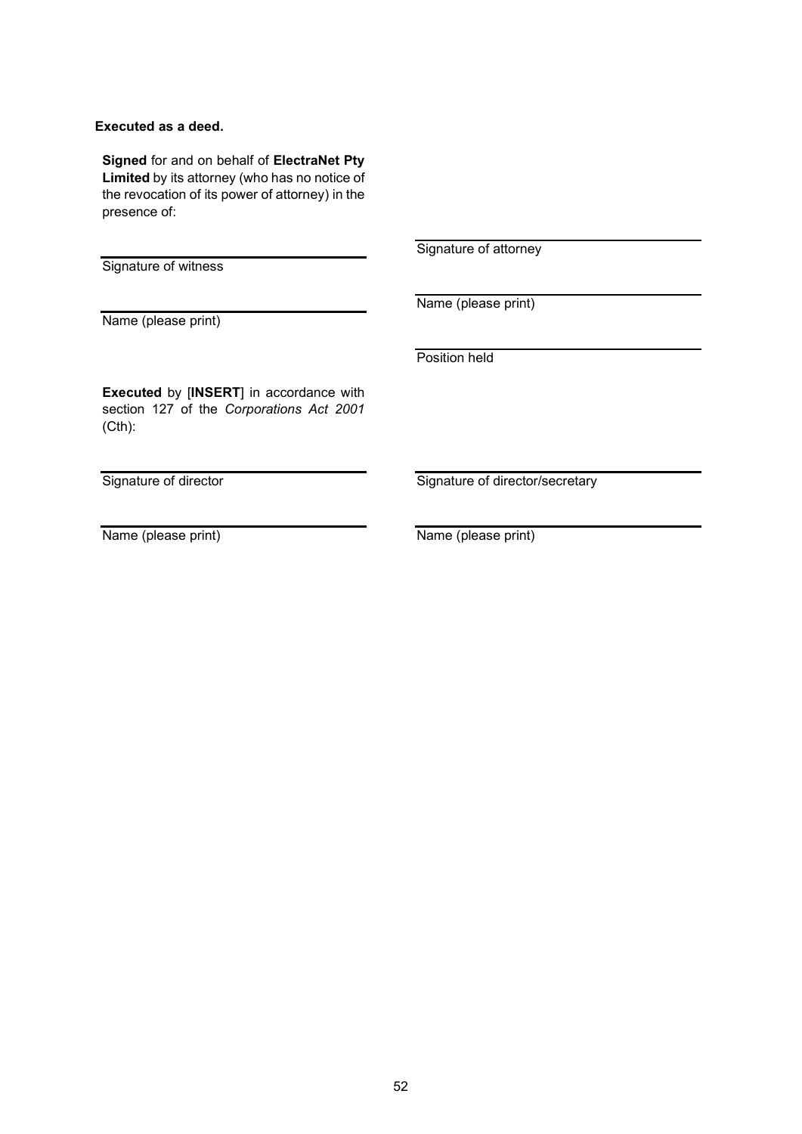## Executed as a deed.

Signed for and on behalf of ElectraNet Pty Limited by its attorney (who has no notice of the revocation of its power of attorney) in the presence of:

Signature of witness

Signature of attorney

Name (please print)

Name (please print)

Position held

Executed by [INSERT] in accordance with section 127 of the Corporations Act 2001 (Cth):

Signature of director

Name (please print)

Signature of director/secretary

Name (please print)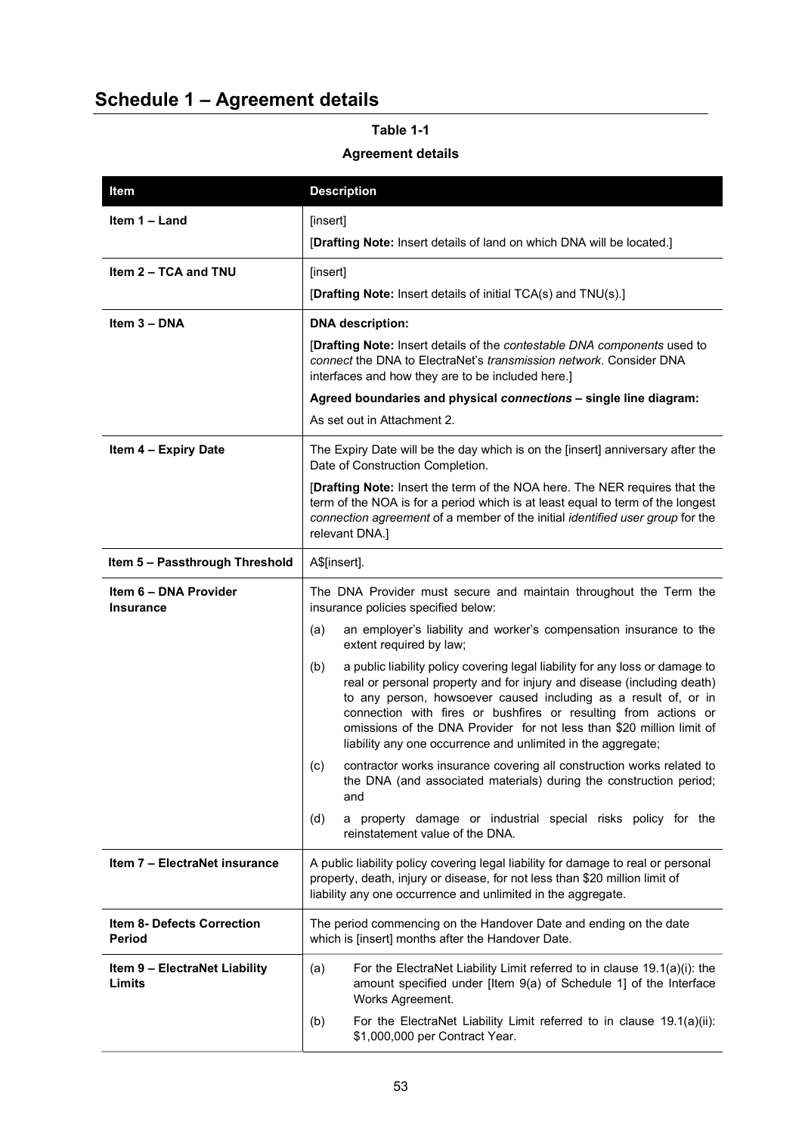## Schedule 1 – Agreement details

## Item Description **Item 1 – Land**  $\left| \right|$  [insert] [Drafting Note: Insert details of land on which DNA will be located.]  $Item 2 - TCA$  and  $TNU$  [insert] [Drafting Note: Insert details of initial TCA(s) and TNU(s).] Item 3 – DNA DNA DNA description: [Drafting Note: Insert details of the contestable DNA components used to connect the DNA to ElectraNet's transmission network. Consider DNA interfaces and how they are to be included here.] Agreed boundaries and physical connections – single line diagram: As set out in Attachment 2. Item 4 – Expiry Date The Expiry Date will be the day which is on the [insert] anniversary after the Date of Construction Completion. [Drafting Note: Insert the term of the NOA here. The NER requires that the term of the NOA is for a period which is at least equal to term of the longest connection agreement of a member of the initial identified user group for the relevant DNA.] Item  $5$  – Passthrough Threshold | A\$[insert]. Item 6 – DNA Provider Insurance The DNA Provider must secure and maintain throughout the Term the insurance policies specified below: (a) an employer's liability and worker's compensation insurance to the extent required by law; (b) a public liability policy covering legal liability for any loss or damage to real or personal property and for injury and disease (including death) to any person, howsoever caused including as a result of, or in connection with fires or bushfires or resulting from actions or omissions of the DNA Provider for not less than \$20 million limit of liability any one occurrence and unlimited in the aggregate; (c) contractor works insurance covering all construction works related to the DNA (and associated materials) during the construction period; and (d) a property damage or industrial special risks policy for the reinstatement value of the DNA. **Item 7 – ElectraNet insurance**  $\begin{bmatrix} A \text{ public liability policy covering legal liability for damage to real or personal \end{bmatrix}$ property, death, injury or disease, for not less than \$20 million limit of liability any one occurrence and unlimited in the aggregate. Item 8- Defects Correction Period The period commencing on the Handover Date and ending on the date which is [insert] months after the Handover Date. Item 9 – ElectraNet Liability Limits (a) For the ElectraNet Liability Limit referred to in clause 19.1(a)(i): the amount specified under [Item 9(a) of Schedule 1] of the Interface Works Agreement. (b) For the ElectraNet Liability Limit referred to in clause 19.1(a)(ii): \$1,000,000 per Contract Year.

## Table 1-1 Agreement details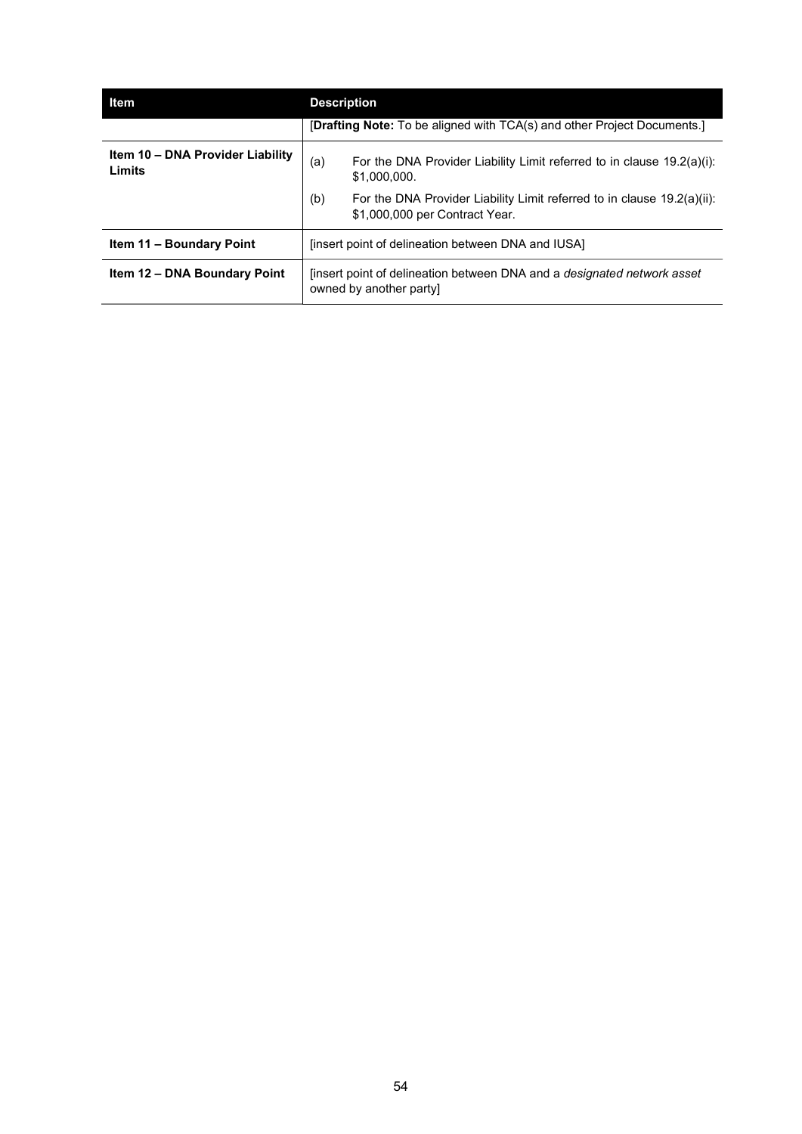| Item                                       | <b>Description</b>                                                                                               |  |  |
|--------------------------------------------|------------------------------------------------------------------------------------------------------------------|--|--|
|                                            | [Drafting Note: To be aligned with TCA(s) and other Project Documents.]                                          |  |  |
| Item 10 - DNA Provider Liability<br>Limits | For the DNA Provider Liability Limit referred to in clause 19.2(a)(i):<br>(a)<br>\$1.000.000.                    |  |  |
|                                            | For the DNA Provider Liability Limit referred to in clause 19.2(a)(ii):<br>(b)<br>\$1,000,000 per Contract Year. |  |  |
| Item 11 - Boundary Point                   | linsert point of delineation between DNA and IUSA.                                                               |  |  |
| Item 12 - DNA Boundary Point               | linsert point of delineation between DNA and a <i>designated network asset</i><br>owned by another partyl        |  |  |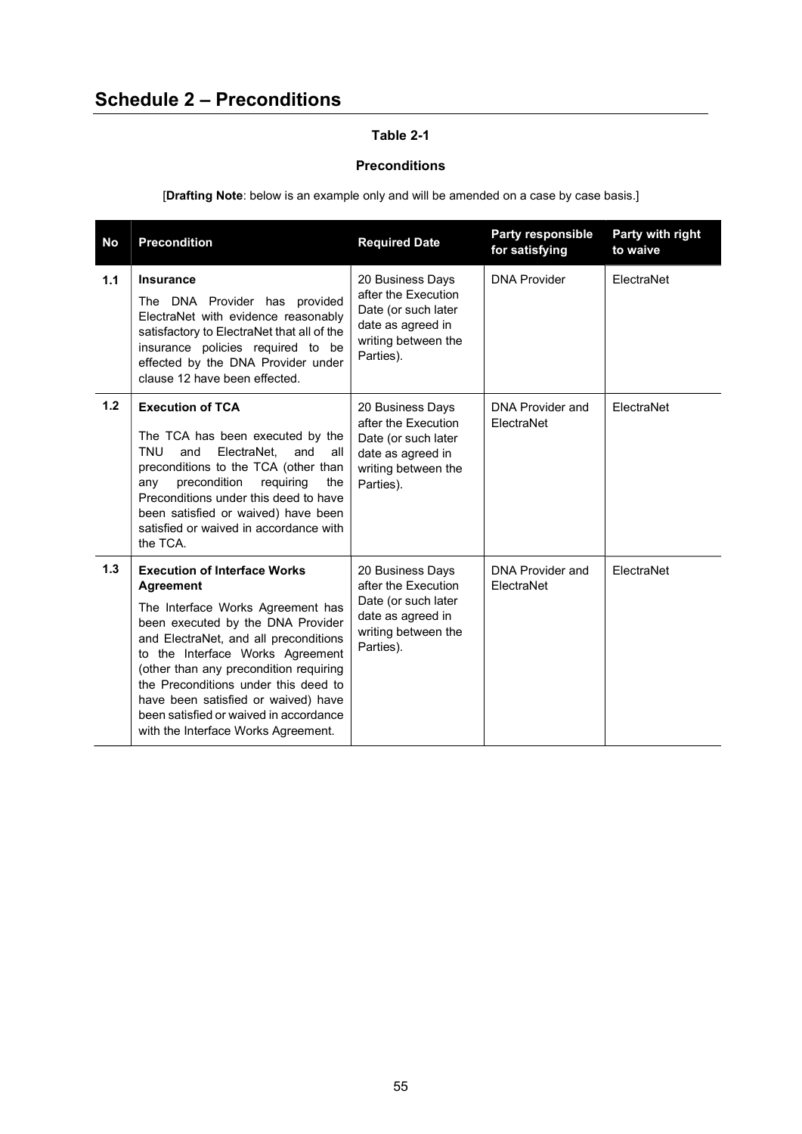## Table 2-1

## Preconditions

[Drafting Note: below is an example only and will be amended on a case by case basis.]

| <b>No</b> | <b>Precondition</b>                                                                                                                                                                                                                                                                                                                                                                                                      | <b>Required Date</b>                                                                                                    | <b>Party responsible</b><br>for satisfying | Party with right<br>to waive |
|-----------|--------------------------------------------------------------------------------------------------------------------------------------------------------------------------------------------------------------------------------------------------------------------------------------------------------------------------------------------------------------------------------------------------------------------------|-------------------------------------------------------------------------------------------------------------------------|--------------------------------------------|------------------------------|
| 1.1       | <b>Insurance</b><br>The DNA Provider has provided<br>ElectraNet with evidence reasonably<br>satisfactory to ElectraNet that all of the<br>insurance policies required to be<br>effected by the DNA Provider under<br>clause 12 have been effected.                                                                                                                                                                       | 20 Business Days<br>after the Execution<br>Date (or such later<br>date as agreed in<br>writing between the<br>Parties). | <b>DNA Provider</b>                        | ElectraNet                   |
| 1.2       | <b>Execution of TCA</b><br>The TCA has been executed by the<br>TNU<br>and<br>ElectraNet.<br>and<br>all<br>preconditions to the TCA (other than<br>precondition<br>requiring<br>the<br>any<br>Preconditions under this deed to have<br>been satisfied or waived) have been<br>satisfied or waived in accordance with<br>the TCA.                                                                                          | 20 Business Days<br>after the Execution<br>Date (or such later<br>date as agreed in<br>writing between the<br>Parties). | <b>DNA Provider and</b><br>ElectraNet      | ElectraNet                   |
| 1.3       | <b>Execution of Interface Works</b><br><b>Agreement</b><br>The Interface Works Agreement has<br>been executed by the DNA Provider<br>and ElectraNet, and all preconditions<br>to the Interface Works Agreement<br>(other than any precondition requiring<br>the Preconditions under this deed to<br>have been satisfied or waived) have<br>been satisfied or waived in accordance<br>with the Interface Works Agreement. | 20 Business Days<br>after the Execution<br>Date (or such later<br>date as agreed in<br>writing between the<br>Parties). | <b>DNA Provider and</b><br>ElectraNet      | ElectraNet                   |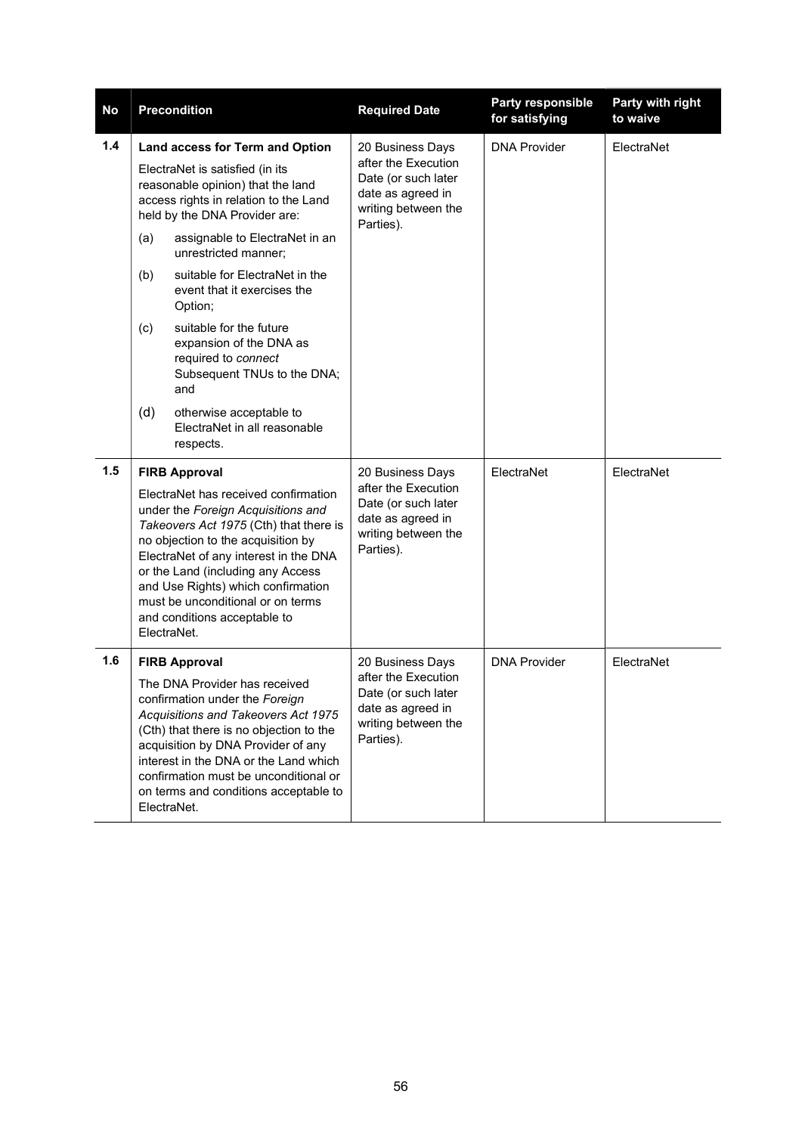| No  |                                                                                                                                                                                                                                                                                                                                                                    | <b>Precondition</b>                                                                                                                                                                                                                                                                                                               | <b>Required Date</b>                                                                                       | <b>Party responsible</b><br>for satisfying | Party with right<br>to waive |
|-----|--------------------------------------------------------------------------------------------------------------------------------------------------------------------------------------------------------------------------------------------------------------------------------------------------------------------------------------------------------------------|-----------------------------------------------------------------------------------------------------------------------------------------------------------------------------------------------------------------------------------------------------------------------------------------------------------------------------------|------------------------------------------------------------------------------------------------------------|--------------------------------------------|------------------------------|
| 1.4 | Land access for Term and Option<br>ElectraNet is satisfied (in its<br>reasonable opinion) that the land<br>access rights in relation to the Land<br>held by the DNA Provider are:                                                                                                                                                                                  |                                                                                                                                                                                                                                                                                                                                   | 20 Business Days<br>after the Execution<br>Date (or such later<br>date as agreed in<br>writing between the | <b>DNA Provider</b>                        | ElectraNet                   |
|     | (a)                                                                                                                                                                                                                                                                                                                                                                | assignable to ElectraNet in an<br>unrestricted manner;                                                                                                                                                                                                                                                                            | Parties).                                                                                                  |                                            |                              |
|     | (b)                                                                                                                                                                                                                                                                                                                                                                | suitable for ElectraNet in the<br>event that it exercises the<br>Option;                                                                                                                                                                                                                                                          |                                                                                                            |                                            |                              |
|     | (c)                                                                                                                                                                                                                                                                                                                                                                | suitable for the future<br>expansion of the DNA as<br>required to connect<br>Subsequent TNUs to the DNA;<br>and                                                                                                                                                                                                                   |                                                                                                            |                                            |                              |
|     | (d)                                                                                                                                                                                                                                                                                                                                                                | otherwise acceptable to<br>FlectraNet in all reasonable<br>respects.                                                                                                                                                                                                                                                              |                                                                                                            |                                            |                              |
| 1.5 | <b>FIRB Approval</b>                                                                                                                                                                                                                                                                                                                                               |                                                                                                                                                                                                                                                                                                                                   | 20 Business Days                                                                                           | ElectraNet                                 | ElectraNet                   |
|     | ElectraNet has received confirmation<br>under the Foreign Acquisitions and<br>Takeovers Act 1975 (Cth) that there is<br>no objection to the acquisition by<br>ElectraNet of any interest in the DNA<br>or the Land (including any Access<br>and Use Rights) which confirmation<br>must be unconditional or on terms<br>and conditions acceptable to<br>ElectraNet. |                                                                                                                                                                                                                                                                                                                                   | after the Execution<br>Date (or such later<br>date as agreed in<br>writing between the<br>Parties).        |                                            |                              |
| 1.6 |                                                                                                                                                                                                                                                                                                                                                                    | <b>FIRB Approval</b>                                                                                                                                                                                                                                                                                                              | 20 Business Days                                                                                           | <b>DNA Provider</b>                        | ElectraNet                   |
|     |                                                                                                                                                                                                                                                                                                                                                                    | The DNA Provider has received<br>confirmation under the Foreign<br>Acquisitions and Takeovers Act 1975<br>(Cth) that there is no objection to the<br>acquisition by DNA Provider of any<br>interest in the DNA or the Land which<br>confirmation must be unconditional or<br>on terms and conditions acceptable to<br>ElectraNet. | after the Execution<br>Date (or such later<br>date as agreed in<br>writing between the<br>Parties).        |                                            |                              |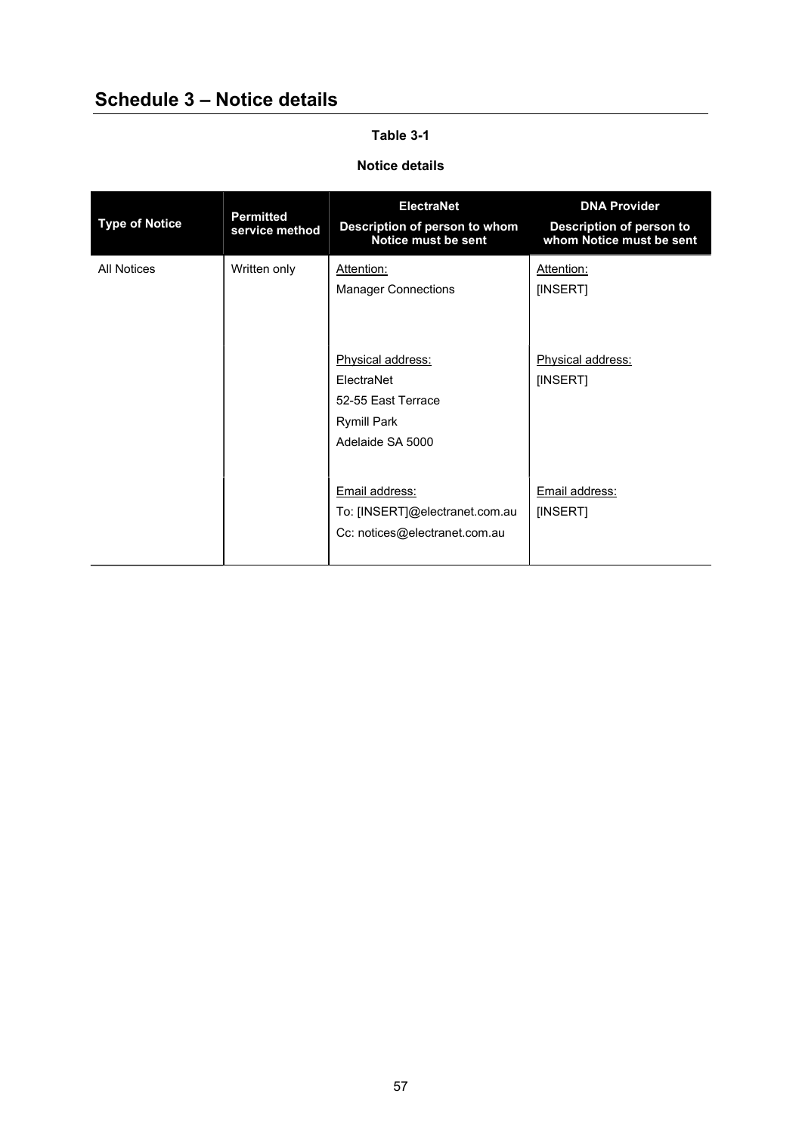## Schedule 3 – Notice details

## Table 3-1

## Notice details

| <b>Type of Notice</b> | <b>Permitted</b><br>service method | ElectraNet<br>Description of person to whom<br>Notice must be sent                              | <b>DNA Provider</b><br>Description of person to<br>whom Notice must be sent |
|-----------------------|------------------------------------|-------------------------------------------------------------------------------------------------|-----------------------------------------------------------------------------|
| <b>All Notices</b>    | Written only                       | Attention:<br><b>Manager Connections</b>                                                        | Attention:<br>[INSERT]                                                      |
|                       |                                    | Physical address:<br>ElectraNet<br>52-55 Fast Terrace<br><b>Rymill Park</b><br>Adelaide SA 5000 | Physical address:<br>[INSERT]                                               |
|                       |                                    | Email address:<br>To: [INSERT]@electranet.com.au<br>Cc: notices@electranet.com.au               | Email address:<br>[INSERT]                                                  |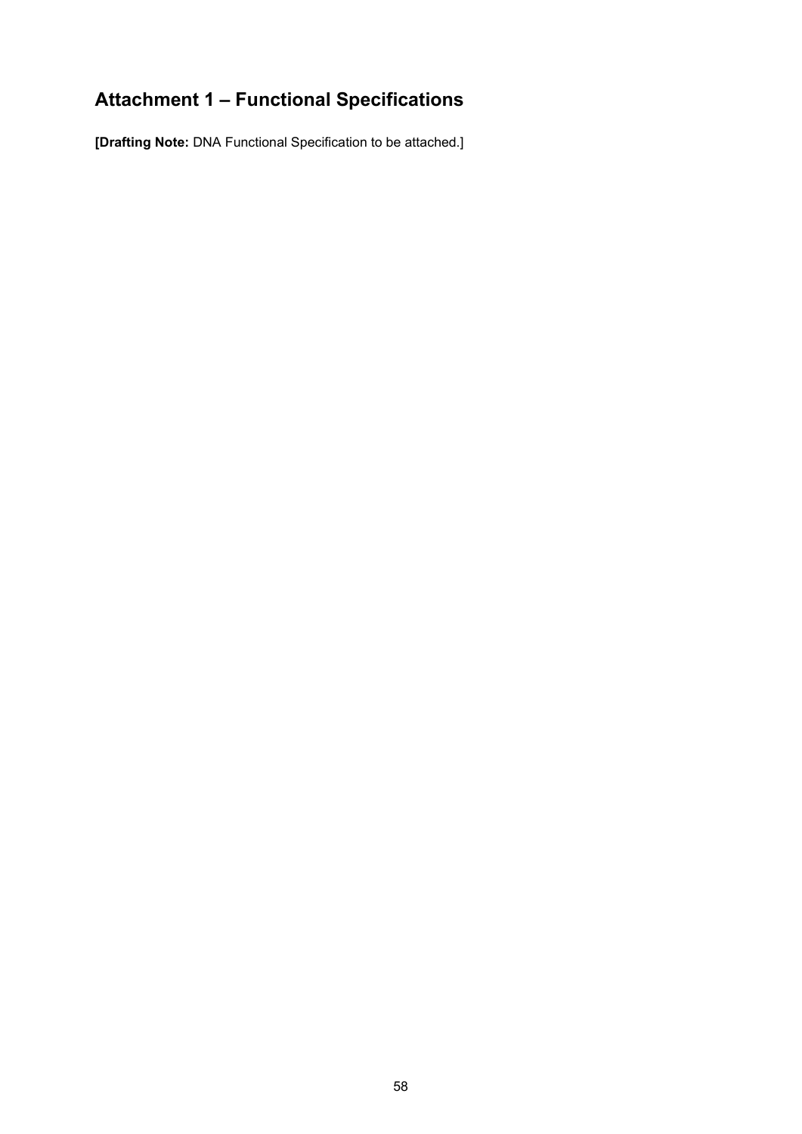## Attachment 1 – Functional Specifications

[Drafting Note: DNA Functional Specification to be attached.]